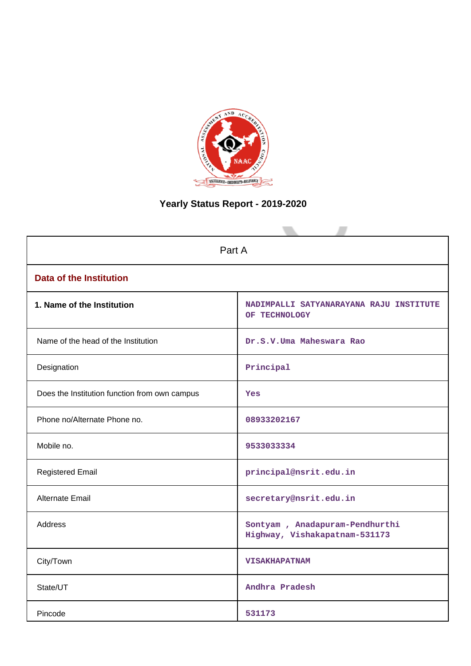

# **Yearly Status Report - 2019-2020**

| Part A                                        |                                                                 |  |  |
|-----------------------------------------------|-----------------------------------------------------------------|--|--|
| <b>Data of the Institution</b>                |                                                                 |  |  |
| 1. Name of the Institution                    | NADIMPALLI SATYANARAYANA RAJU INSTITUTE<br>OF TECHNOLOGY        |  |  |
| Name of the head of the Institution           | Dr.S.V.Uma Maheswara Rao                                        |  |  |
| Designation                                   | Principal                                                       |  |  |
| Does the Institution function from own campus | Yes                                                             |  |  |
| Phone no/Alternate Phone no.                  | 08933202167                                                     |  |  |
| Mobile no.                                    | 9533033334                                                      |  |  |
| <b>Registered Email</b>                       | principal@nsrit.edu.in                                          |  |  |
| Alternate Email                               | secretary@nsrit.edu.in                                          |  |  |
| <b>Address</b>                                | Sontyam, Anadapuram-Pendhurthi<br>Highway, Vishakapatnam-531173 |  |  |
| City/Town                                     | <b>VISAKHAPATNAM</b>                                            |  |  |
| State/UT                                      | Andhra Pradesh                                                  |  |  |
| Pincode                                       | 531173                                                          |  |  |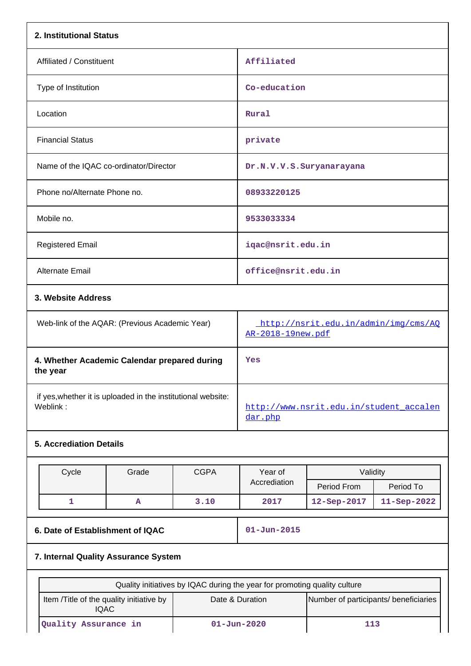| 2. Institutional Status                                                  |                                                                           |                   |                                                           |             |             |
|--------------------------------------------------------------------------|---------------------------------------------------------------------------|-------------------|-----------------------------------------------------------|-------------|-------------|
| Affiliated / Constituent                                                 |                                                                           |                   | Affiliated                                                |             |             |
| Type of Institution                                                      |                                                                           | Co-education      |                                                           |             |             |
| Location                                                                 |                                                                           |                   | Rural                                                     |             |             |
| <b>Financial Status</b>                                                  |                                                                           |                   | private                                                   |             |             |
| Name of the IQAC co-ordinator/Director                                   |                                                                           |                   | Dr.N.V.V.S.Suryanarayana                                  |             |             |
| Phone no/Alternate Phone no.                                             |                                                                           |                   | 08933220125                                               |             |             |
| Mobile no.                                                               |                                                                           |                   | 9533033334                                                |             |             |
| <b>Registered Email</b>                                                  |                                                                           |                   | iqac@nsrit.edu.in                                         |             |             |
| <b>Alternate Email</b>                                                   |                                                                           |                   | office@nsrit.edu.in                                       |             |             |
| 3. Website Address                                                       |                                                                           |                   |                                                           |             |             |
| Web-link of the AQAR: (Previous Academic Year)                           |                                                                           |                   | http://nsrit.edu.in/admin/img/cms/AQ<br>AR-2018-19new.pdf |             |             |
| 4. Whether Academic Calendar prepared during<br>the year                 |                                                                           |                   | Yes                                                       |             |             |
| if yes, whether it is uploaded in the institutional website:<br>Weblink: |                                                                           |                   | http://www.nsrit.edu.in/student accalen<br>dar.php        |             |             |
| <b>5. Accrediation Details</b>                                           |                                                                           |                   |                                                           |             |             |
| Cycle                                                                    | Grade                                                                     | <b>CGPA</b>       | Year of                                                   | Validity    |             |
|                                                                          |                                                                           |                   | Accrediation                                              | Period From | Period To   |
| 1                                                                        | Α                                                                         | 3.10              | 2017                                                      | 12-Sep-2017 | 11-Sep-2022 |
|                                                                          | 6. Date of Establishment of IQAC                                          |                   | $01 - Jun - 2015$                                         |             |             |
| 7. Internal Quality Assurance System                                     |                                                                           |                   |                                                           |             |             |
|                                                                          | Quality initiatives by IQAC during the year for promoting quality culture |                   |                                                           |             |             |
| <b>IQAC</b>                                                              | Item /Title of the quality initiative by                                  |                   | Date & Duration<br>Number of participants/ beneficiaries  |             |             |
| Quality Assurance in                                                     |                                                                           | $01 - Jun - 2020$ | 113                                                       |             |             |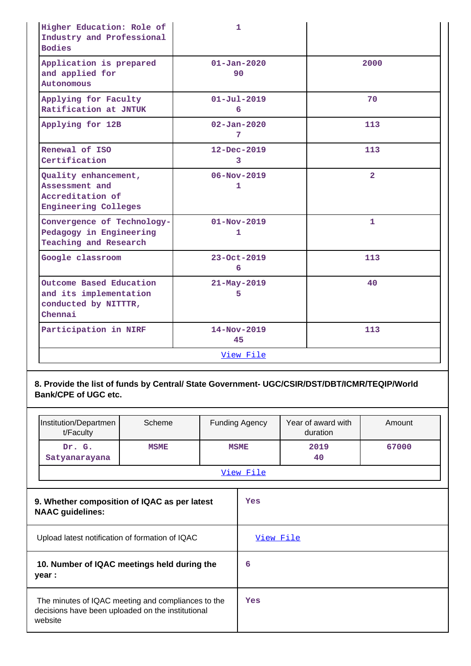| Higher Education: Role of<br>Industry and Professional<br><b>Bodies</b>                   | 1                                 |                |
|-------------------------------------------------------------------------------------------|-----------------------------------|----------------|
| Application is prepared<br>and applied for<br>Autonomous                                  | $01 - Jan - 2020$<br>90           | 2000           |
| Applying for Faculty<br>Ratification at JNTUK                                             | $01 - Jul - 2019$<br>6            | 70             |
| Applying for 12B                                                                          | $02 - Jan - 2020$<br>7            | 113            |
| Renewal of ISO<br>Certification                                                           | $12 - Dec - 2019$<br>3            | 113            |
| Quality enhancement,<br>Assessment and<br>Accreditation of<br><b>Engineering Colleges</b> | $06 - Nov - 2019$<br>$\mathbf{1}$ | $\overline{2}$ |
| Convergence of Technology-<br>Pedagogy in Engineering<br>Teaching and Research            | $01 - Nov - 2019$<br>1            | 1              |
| Google classroom                                                                          | 23-Oct-2019<br>6                  | 113            |
| Outcome Based Education<br>and its implementation<br>conducted by NITTTR,<br>Chennai      | $21 - May - 2019$<br>5            | 40             |
| Participation in NIRF                                                                     | $14 - Nov - 2019$<br>45           | 113            |
|                                                                                           | View File                         |                |

**8. Provide the list of funds by Central/ State Government- UGC/CSIR/DST/DBT/ICMR/TEQIP/World Bank/CPE of UGC etc.**

| Institution/Departmen<br>t/Faculty                                                                                 | Scheme      |                  | <b>Funding Agency</b> | Year of award with<br>duration | Amount |
|--------------------------------------------------------------------------------------------------------------------|-------------|------------------|-----------------------|--------------------------------|--------|
| Dr. G.<br>Satyanarayana                                                                                            | <b>MSME</b> |                  | <b>MSME</b>           | 2019<br>40                     | 67000  |
|                                                                                                                    |             | <u>View File</u> |                       |                                |        |
| 9. Whether composition of IQAC as per latest<br><b>NAAC</b> guidelines:                                            |             |                  | Yes                   |                                |        |
| Upload latest notification of formation of IQAC                                                                    |             | View File        |                       |                                |        |
| 10. Number of IQAC meetings held during the<br>year :                                                              |             | 6                |                       |                                |        |
| The minutes of IQAC meeting and compliances to the<br>decisions have been uploaded on the institutional<br>website |             | Yes              |                       |                                |        |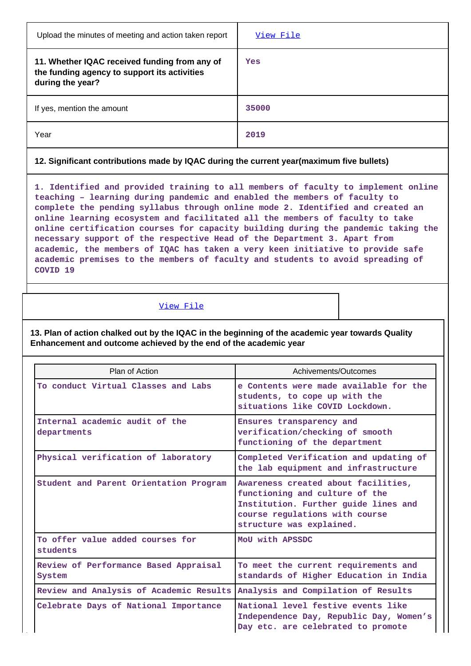| Upload the minutes of meeting and action taken report                                                             | View File |
|-------------------------------------------------------------------------------------------------------------------|-----------|
| 11. Whether IQAC received funding from any of<br>the funding agency to support its activities<br>during the year? | Yes       |
| If yes, mention the amount                                                                                        | 35000     |
| Year                                                                                                              | 2019      |

## **12. Significant contributions made by IQAC during the current year(maximum five bullets)**

**1. Identified and provided training to all members of faculty to implement online teaching – learning during pandemic and enabled the members of faculty to complete the pending syllabus through online mode 2. Identified and created an online learning ecosystem and facilitated all the members of faculty to take online certification courses for capacity building during the pandemic taking the necessary support of the respective Head of the Department 3. Apart from academic, the members of IQAC has taken a very keen initiative to provide safe academic premises to the members of faculty and students to avoid spreading of COVID 19**

## [View File](https://assessmentonline.naac.gov.in/public/Postacc/Contribution/9071_Contribution.xlsx)

**13. Plan of action chalked out by the IQAC in the beginning of the academic year towards Quality Enhancement and outcome achieved by the end of the academic year**

| Plan of Action                                  | Achivements/Outcomes                                                                                                                                                        |
|-------------------------------------------------|-----------------------------------------------------------------------------------------------------------------------------------------------------------------------------|
| To conduct Virtual Classes and Labs             | e Contents were made available for the<br>students, to cope up with the<br>situations like COVID Lockdown.                                                                  |
| Internal academic audit of the<br>departments   | Ensures transparency and<br>verification/checking of smooth<br>functioning of the department                                                                                |
| Physical verification of laboratory             | Completed Verification and updating of<br>the lab equipment and infrastructure                                                                                              |
| Student and Parent Orientation Program          | Awareness created about facilities,<br>functioning and culture of the<br>Institution. Further guide lines and<br>course regulations with course<br>structure was explained. |
| To offer value added courses for<br>students    | MoU with APSSDC                                                                                                                                                             |
| Review of Performance Based Appraisal<br>System | To meet the current requirements and<br>standards of Higher Education in India                                                                                              |
| Review and Analysis of Academic Results         | Analysis and Compilation of Results                                                                                                                                         |
| Celebrate Days of National Importance           | National level festive events like<br>Independence Day, Republic Day, Women's<br>Day etc. are celebrated to promote                                                         |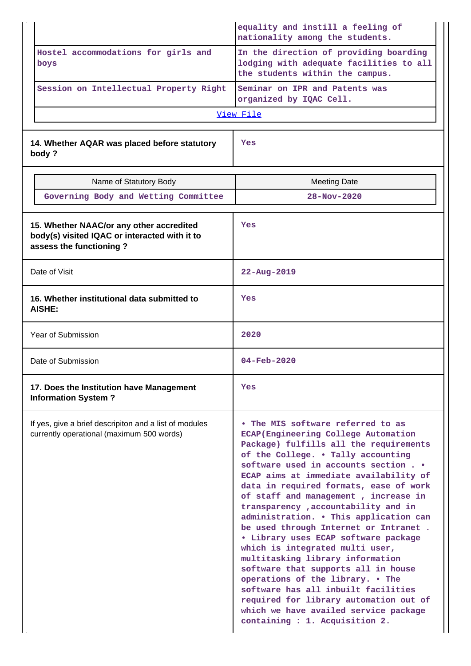|                                                                                                     |                                                                                                                      | equality and instill a feeling of<br>nationality among the students.                                                                                                                                                                                                                                                                                                                                                                                                                                                                                                                                                                                                                                                                                                                                       |
|-----------------------------------------------------------------------------------------------------|----------------------------------------------------------------------------------------------------------------------|------------------------------------------------------------------------------------------------------------------------------------------------------------------------------------------------------------------------------------------------------------------------------------------------------------------------------------------------------------------------------------------------------------------------------------------------------------------------------------------------------------------------------------------------------------------------------------------------------------------------------------------------------------------------------------------------------------------------------------------------------------------------------------------------------------|
|                                                                                                     | Hostel accommodations for girls and<br>boys                                                                          | In the direction of providing boarding<br>lodging with adequate facilities to all<br>the students within the campus.                                                                                                                                                                                                                                                                                                                                                                                                                                                                                                                                                                                                                                                                                       |
|                                                                                                     | Session on Intellectual Property Right                                                                               | Seminar on IPR and Patents was<br>organized by IQAC Cell.                                                                                                                                                                                                                                                                                                                                                                                                                                                                                                                                                                                                                                                                                                                                                  |
|                                                                                                     |                                                                                                                      | View File                                                                                                                                                                                                                                                                                                                                                                                                                                                                                                                                                                                                                                                                                                                                                                                                  |
| 14. Whether AQAR was placed before statutory<br>body?                                               |                                                                                                                      | Yes                                                                                                                                                                                                                                                                                                                                                                                                                                                                                                                                                                                                                                                                                                                                                                                                        |
|                                                                                                     | Name of Statutory Body                                                                                               | <b>Meeting Date</b>                                                                                                                                                                                                                                                                                                                                                                                                                                                                                                                                                                                                                                                                                                                                                                                        |
|                                                                                                     | Governing Body and Wetting Committee                                                                                 | $28 - Nov - 2020$                                                                                                                                                                                                                                                                                                                                                                                                                                                                                                                                                                                                                                                                                                                                                                                          |
|                                                                                                     | 15. Whether NAAC/or any other accredited<br>body(s) visited IQAC or interacted with it to<br>assess the functioning? | Yes                                                                                                                                                                                                                                                                                                                                                                                                                                                                                                                                                                                                                                                                                                                                                                                                        |
|                                                                                                     | Date of Visit                                                                                                        | $22 - Aug - 2019$                                                                                                                                                                                                                                                                                                                                                                                                                                                                                                                                                                                                                                                                                                                                                                                          |
| 16. Whether institutional data submitted to<br><b>AISHE:</b>                                        |                                                                                                                      | Yes                                                                                                                                                                                                                                                                                                                                                                                                                                                                                                                                                                                                                                                                                                                                                                                                        |
|                                                                                                     | Year of Submission                                                                                                   | 2020                                                                                                                                                                                                                                                                                                                                                                                                                                                                                                                                                                                                                                                                                                                                                                                                       |
|                                                                                                     | Date of Submission                                                                                                   | $04 - \text{Feb} - 2020$                                                                                                                                                                                                                                                                                                                                                                                                                                                                                                                                                                                                                                                                                                                                                                                   |
|                                                                                                     | 17. Does the Institution have Management<br><b>Information System?</b>                                               | Yes                                                                                                                                                                                                                                                                                                                                                                                                                                                                                                                                                                                                                                                                                                                                                                                                        |
| If yes, give a brief descripiton and a list of modules<br>currently operational (maximum 500 words) |                                                                                                                      | • The MIS software referred to as<br>ECAP (Engineering College Automation<br>Package) fulfills all the requirements<br>of the College. . Tally accounting<br>software used in accounts section<br>ECAP aims at immediate availability of<br>data in required formats, ease of work<br>of staff and management, increase in<br>transparency, accountability and in<br>administration. . This application can<br>be used through Internet or Intranet.<br>· Library uses ECAP software package<br>which is integrated multi user,<br>multitasking library information<br>software that supports all in house<br>operations of the library. . The<br>software has all inbuilt facilities<br>required for library automation out of<br>which we have availed service package<br>containing : 1. Acquisition 2. |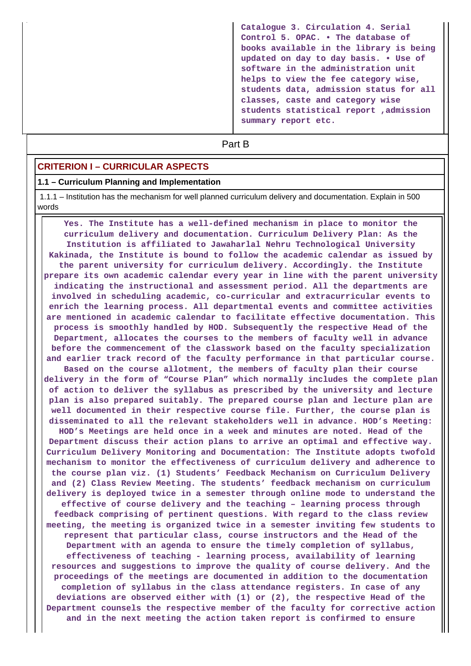**Catalogue 3. Circulation 4. Serial Control 5. OPAC. • The database of books available in the library is being updated on day to day basis. • Use of software in the administration unit helps to view the fee category wise, students data, admission status for all classes, caste and category wise students statistical report ,admission summary report etc.**

# **Part B**

## **CRITERION I – CURRICULAR ASPECTS**

#### **1.1 – Curriculum Planning and Implementation**

 1.1.1 – Institution has the mechanism for well planned curriculum delivery and documentation. Explain in 500 words

 **Yes. The Institute has a well-defined mechanism in place to monitor the curriculum delivery and documentation. Curriculum Delivery Plan: As the Institution is affiliated to Jawaharlal Nehru Technological University Kakinada, the Institute is bound to follow the academic calendar as issued by the parent university for curriculum delivery. Accordingly. the Institute prepare its own academic calendar every year in line with the parent university indicating the instructional and assessment period. All the departments are involved in scheduling academic, co-curricular and extracurricular events to enrich the learning process. All departmental events and committee activities are mentioned in academic calendar to facilitate effective documentation. This process is smoothly handled by HOD. Subsequently the respective Head of the Department, allocates the courses to the members of faculty well in advance before the commencement of the classwork based on the faculty specialization and earlier track record of the faculty performance in that particular course. Based on the course allotment, the members of faculty plan their course delivery in the form of "Course Plan" which normally includes the complete plan of action to deliver the syllabus as prescribed by the university and lecture plan is also prepared suitably. The prepared course plan and lecture plan are well documented in their respective course file. Further, the course plan is disseminated to all the relevant stakeholders well in advance. HOD's Meeting: HOD's Meetings are held once in a week and minutes are noted. Head of the Department discuss their action plans to arrive an optimal and effective way. Curriculum Delivery Monitoring and Documentation: The Institute adopts twofold mechanism to monitor the effectiveness of curriculum delivery and adherence to the course plan viz. (1) Students' Feedback Mechanism on Curriculum Delivery and (2) Class Review Meeting. The students' feedback mechanism on curriculum delivery is deployed twice in a semester through online mode to understand the effective of course delivery and the teaching – learning process through feedback comprising of pertinent questions. With regard to the class review meeting, the meeting is organized twice in a semester inviting few students to represent that particular class, course instructors and the Head of the Department with an agenda to ensure the timely completion of syllabus, effectiveness of teaching - learning process, availability of learning resources and suggestions to improve the quality of course delivery. And the proceedings of the meetings are documented in addition to the documentation completion of syllabus in the class attendance registers. In case of any deviations are observed either with (1) or (2), the respective Head of the Department counsels the respective member of the faculty for corrective action and in the next meeting the action taken report is confirmed to ensure**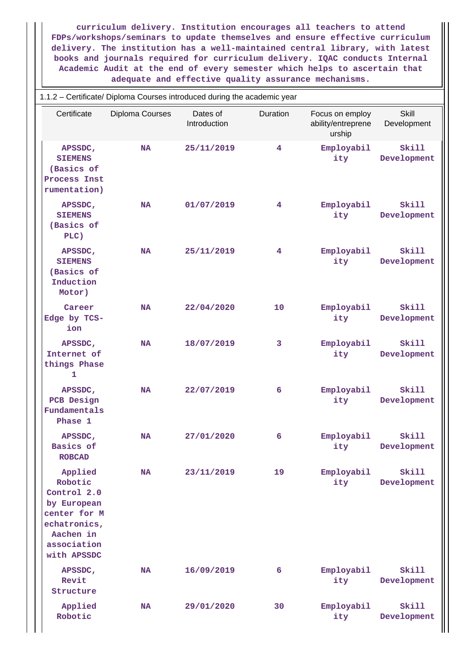**curriculum delivery. Institution encourages all teachers to attend FDPs/workshops/seminars to update themselves and ensure effective curriculum delivery. The institution has a well-maintained central library, with latest books and journals required for curriculum delivery. IQAC conducts Internal Academic Audit at the end of every semester which helps to ascertain that adequate and effective quality assurance mechanisms.**

| 1.1.2 - Certificate/ Diploma Courses introduced during the academic year                                                    |                 |                          |          |                                                 |                      |
|-----------------------------------------------------------------------------------------------------------------------------|-----------------|--------------------------|----------|-------------------------------------------------|----------------------|
| Certificate                                                                                                                 | Diploma Courses | Dates of<br>Introduction | Duration | Focus on employ<br>ability/entreprene<br>urship | Skill<br>Development |
| APSSDC,<br><b>SIEMENS</b><br>(Basics of<br>Process Inst<br>rumentation)                                                     | <b>NA</b>       | 25/11/2019               | 4        | Employabil<br>ity                               | Skill<br>Development |
| APSSDC,<br><b>SIEMENS</b><br>(Basics of<br>PLC)                                                                             | <b>NA</b>       | 01/07/2019               | 4        | Employabil<br>ity                               | Skill<br>Development |
| APSSDC,<br><b>SIEMENS</b><br>(Basics of<br>Induction<br>Motor)                                                              | <b>NA</b>       | 25/11/2019               | 4        | Employabil<br>ity                               | Skill<br>Development |
| Career<br>Edge by TCS-<br>ion                                                                                               | <b>NA</b>       | 22/04/2020               | 10       | Employabil<br>ity                               | Skill<br>Development |
| APSSDC,<br>Internet of<br>things Phase<br>1                                                                                 | <b>NA</b>       | 18/07/2019               | 3        | Employabil<br>ity                               | Skill<br>Development |
| APSSDC,<br>PCB Design<br>Fundamentals<br>Phase 1                                                                            | <b>NA</b>       | 22/07/2019               | 6        | Employabil<br>ity                               | Skill<br>Development |
| APSSDC,<br>Basics of<br><b>ROBCAD</b>                                                                                       | <b>NA</b>       | 27/01/2020               | 6        | Employabil<br>ity                               | Skill<br>Development |
| Applied<br>Robotic<br>Control 2.0<br>by European<br>center for M<br>echatronics,<br>Aachen in<br>association<br>with APSSDC | <b>NA</b>       | 23/11/2019               | 19       | Employabil<br>ity                               | Skill<br>Development |
| APSSDC,<br>Revit<br>Structure                                                                                               | <b>NA</b>       | 16/09/2019               | 6        | Employabil<br>ity                               | Skill<br>Development |
| Applied<br>Robotic                                                                                                          | <b>NA</b>       | 29/01/2020               | 30       | Employabil<br>ity                               | Skill<br>Development |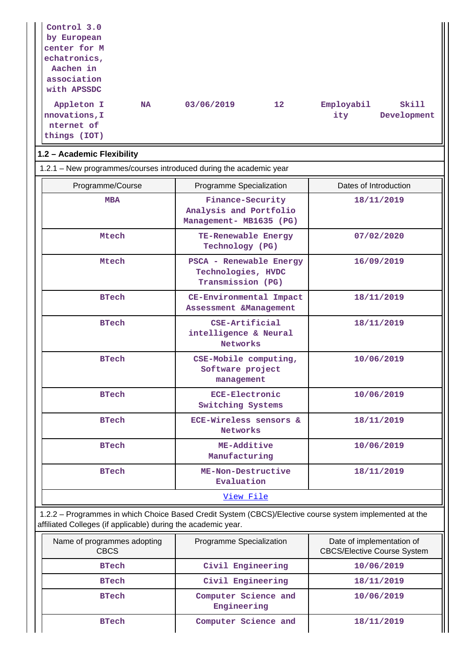| Control 3.0<br>by European<br>center for M<br>echatronics,<br>Aachen in<br>association<br>with APSSDC<br>Appleton I<br><b>NA</b><br>nnovations, I<br>nternet of<br>things (IOT) | 03/06/2019<br>12 <sup>°</sup>                                         | Skill<br>Employabil<br>Development<br>ity                       |
|---------------------------------------------------------------------------------------------------------------------------------------------------------------------------------|-----------------------------------------------------------------------|-----------------------------------------------------------------|
| 1.2 - Academic Flexibility                                                                                                                                                      |                                                                       |                                                                 |
| 1.2.1 - New programmes/courses introduced during the academic year                                                                                                              |                                                                       |                                                                 |
| Programme/Course                                                                                                                                                                | Programme Specialization                                              | Dates of Introduction                                           |
| <b>MBA</b>                                                                                                                                                                      | Finance-Security<br>Analysis and Portfolio<br>Management- MB1635 (PG) | 18/11/2019                                                      |
| Mtech                                                                                                                                                                           | TE-Renewable Energy<br>Technology (PG)                                | 07/02/2020                                                      |
| Mtech                                                                                                                                                                           | PSCA - Renewable Energy<br>Technologies, HVDC<br>Transmission (PG)    | 16/09/2019                                                      |
| <b>BTech</b>                                                                                                                                                                    | CE-Environmental Impact<br>Assessment &Management                     | 18/11/2019                                                      |
| <b>BTech</b>                                                                                                                                                                    | CSE-Artificial<br>intelligence & Neural<br>Networks                   | 18/11/2019                                                      |
| <b>BTech</b>                                                                                                                                                                    | CSE-Mobile computing,<br>Software project<br>management               | 10/06/2019                                                      |
| <b>BTech</b>                                                                                                                                                                    | <b>ECE-Electronic</b><br>Switching Systems                            | 10/06/2019                                                      |
| <b>BTech</b>                                                                                                                                                                    | ECE-Wireless sensors &<br>Networks                                    | 18/11/2019                                                      |
| <b>BTech</b>                                                                                                                                                                    | ME-Additive<br>Manufacturing                                          | 10/06/2019                                                      |
| <b>BTech</b>                                                                                                                                                                    | ME-Non-Destructive<br>18/11/2019<br>Evaluation                        |                                                                 |
|                                                                                                                                                                                 | View File                                                             |                                                                 |
| 1.2.2 - Programmes in which Choice Based Credit System (CBCS)/Elective course system implemented at the<br>affiliated Colleges (if applicable) during the academic year.        |                                                                       |                                                                 |
| Name of programmes adopting<br><b>CBCS</b>                                                                                                                                      | Programme Specialization                                              | Date of implementation of<br><b>CBCS/Elective Course System</b> |

| Name of programmes adopting<br><b>CBCS</b> | Programme Specialization            | Date of implementation of<br><b>CBCS/Elective Course System</b> |
|--------------------------------------------|-------------------------------------|-----------------------------------------------------------------|
| <b>BTech</b>                               | Civil Engineering                   | 10/06/2019                                                      |
| <b>BTech</b>                               | Civil Engineering                   | 18/11/2019                                                      |
| <b>BTech</b>                               | Computer Science and<br>Engineering | 10/06/2019                                                      |
| <b>BTech</b>                               | Computer Science and                | 18/11/2019                                                      |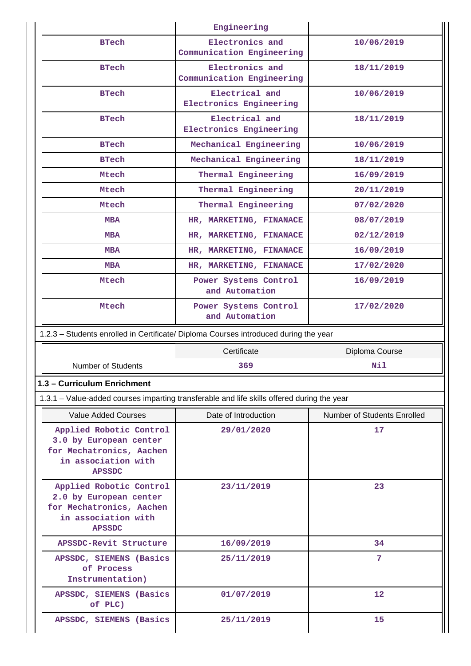|                                                                                                                       | Engineering                                                                                |                             |
|-----------------------------------------------------------------------------------------------------------------------|--------------------------------------------------------------------------------------------|-----------------------------|
| <b>BTech</b>                                                                                                          | Electronics and<br>Communication Engineering                                               | 10/06/2019                  |
| <b>BTech</b>                                                                                                          | Electronics and<br>Communication Engineering                                               | 18/11/2019                  |
| <b>BTech</b>                                                                                                          | Electrical and<br>Electronics Engineering                                                  | 10/06/2019                  |
| <b>BTech</b>                                                                                                          | Electrical and<br>Electronics Engineering                                                  | 18/11/2019                  |
| <b>BTech</b>                                                                                                          | Mechanical Engineering                                                                     | 10/06/2019                  |
| <b>BTech</b>                                                                                                          | Mechanical Engineering                                                                     | 18/11/2019                  |
| Mtech                                                                                                                 | Thermal Engineering                                                                        | 16/09/2019                  |
| Mtech                                                                                                                 | Thermal Engineering                                                                        | 20/11/2019                  |
| Mtech                                                                                                                 | Thermal Engineering                                                                        | 07/02/2020                  |
| <b>MBA</b>                                                                                                            | HR, MARKETING, FINANACE                                                                    | 08/07/2019                  |
| <b>MBA</b>                                                                                                            | HR, MARKETING, FINANACE                                                                    | 02/12/2019                  |
| <b>MBA</b>                                                                                                            | HR, MARKETING, FINANACE                                                                    | 16/09/2019                  |
| <b>MBA</b>                                                                                                            | HR, MARKETING, FINANACE                                                                    | 17/02/2020                  |
| Mtech                                                                                                                 | Power Systems Control<br>and Automation                                                    | 16/09/2019                  |
| Mtech                                                                                                                 | Power Systems Control<br>and Automation                                                    | 17/02/2020                  |
|                                                                                                                       |                                                                                            |                             |
|                                                                                                                       | 1.2.3 - Students enrolled in Certificate/ Diploma Courses introduced during the year       |                             |
|                                                                                                                       | Certificate                                                                                | Diploma Course              |
| <b>Number of Students</b>                                                                                             | 369                                                                                        | Nil                         |
| 1.3 - Curriculum Enrichment                                                                                           |                                                                                            |                             |
|                                                                                                                       | 1.3.1 – Value-added courses imparting transferable and life skills offered during the year |                             |
| Value Added Courses                                                                                                   | Date of Introduction                                                                       | Number of Students Enrolled |
| Applied Robotic Control<br>3.0 by European center<br>for Mechatronics, Aachen<br>in association with<br><b>APSSDC</b> | 29/01/2020                                                                                 | 17                          |
| Applied Robotic Control<br>2.0 by European center<br>for Mechatronics, Aachen<br>in association with<br><b>APSSDC</b> | 23/11/2019                                                                                 | 23                          |
| APSSDC-Revit Structure                                                                                                | 16/09/2019                                                                                 | 34                          |
| APSSDC, SIEMENS (Basics<br>of Process<br>Instrumentation)                                                             | 25/11/2019                                                                                 | $7\phantom{.0}$             |
| APSSDC, SIEMENS (Basics<br>of PLC)                                                                                    | 01/07/2019                                                                                 | 12                          |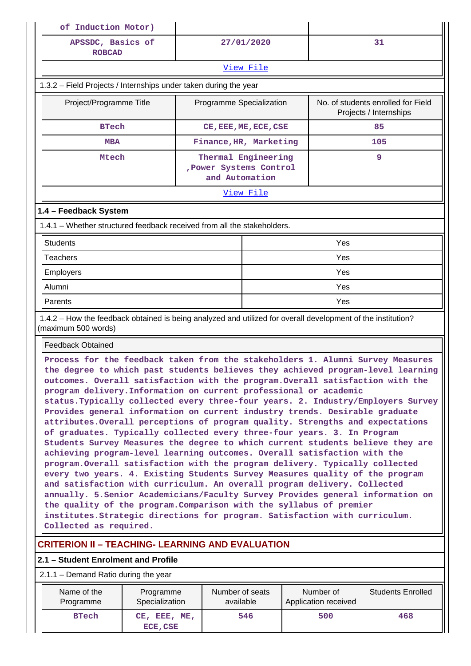| of Induction Motor)                                                                                                                                                                                                                                                                                                                                                                                                                                                                                                                                                                                                                                                                                                                                                                                                                                                                                                                                                                                                                                                                                                                                                                                                                                                                                                                   |                             |                                                                  |                                   |                                                              |
|---------------------------------------------------------------------------------------------------------------------------------------------------------------------------------------------------------------------------------------------------------------------------------------------------------------------------------------------------------------------------------------------------------------------------------------------------------------------------------------------------------------------------------------------------------------------------------------------------------------------------------------------------------------------------------------------------------------------------------------------------------------------------------------------------------------------------------------------------------------------------------------------------------------------------------------------------------------------------------------------------------------------------------------------------------------------------------------------------------------------------------------------------------------------------------------------------------------------------------------------------------------------------------------------------------------------------------------|-----------------------------|------------------------------------------------------------------|-----------------------------------|--------------------------------------------------------------|
| APSSDC, Basics of<br><b>ROBCAD</b>                                                                                                                                                                                                                                                                                                                                                                                                                                                                                                                                                                                                                                                                                                                                                                                                                                                                                                                                                                                                                                                                                                                                                                                                                                                                                                    |                             | 27/01/2020                                                       |                                   | 31                                                           |
| View File                                                                                                                                                                                                                                                                                                                                                                                                                                                                                                                                                                                                                                                                                                                                                                                                                                                                                                                                                                                                                                                                                                                                                                                                                                                                                                                             |                             |                                                                  |                                   |                                                              |
| 1.3.2 – Field Projects / Internships under taken during the year                                                                                                                                                                                                                                                                                                                                                                                                                                                                                                                                                                                                                                                                                                                                                                                                                                                                                                                                                                                                                                                                                                                                                                                                                                                                      |                             |                                                                  |                                   |                                                              |
| Project/Programme Title                                                                                                                                                                                                                                                                                                                                                                                                                                                                                                                                                                                                                                                                                                                                                                                                                                                                                                                                                                                                                                                                                                                                                                                                                                                                                                               |                             | Programme Specialization                                         |                                   | No. of students enrolled for Field<br>Projects / Internships |
| <b>BTech</b>                                                                                                                                                                                                                                                                                                                                                                                                                                                                                                                                                                                                                                                                                                                                                                                                                                                                                                                                                                                                                                                                                                                                                                                                                                                                                                                          |                             | CE, EEE, ME, ECE, CSE                                            |                                   | 85                                                           |
| <b>MBA</b>                                                                                                                                                                                                                                                                                                                                                                                                                                                                                                                                                                                                                                                                                                                                                                                                                                                                                                                                                                                                                                                                                                                                                                                                                                                                                                                            |                             | Finance, HR, Marketing                                           |                                   | 105                                                          |
| Mtech                                                                                                                                                                                                                                                                                                                                                                                                                                                                                                                                                                                                                                                                                                                                                                                                                                                                                                                                                                                                                                                                                                                                                                                                                                                                                                                                 |                             | Thermal Engineering<br>, Power Systems Control<br>and Automation |                                   | 9                                                            |
|                                                                                                                                                                                                                                                                                                                                                                                                                                                                                                                                                                                                                                                                                                                                                                                                                                                                                                                                                                                                                                                                                                                                                                                                                                                                                                                                       |                             | View File                                                        |                                   |                                                              |
| 1.4 - Feedback System                                                                                                                                                                                                                                                                                                                                                                                                                                                                                                                                                                                                                                                                                                                                                                                                                                                                                                                                                                                                                                                                                                                                                                                                                                                                                                                 |                             |                                                                  |                                   |                                                              |
| 1.4.1 – Whether structured feedback received from all the stakeholders.                                                                                                                                                                                                                                                                                                                                                                                                                                                                                                                                                                                                                                                                                                                                                                                                                                                                                                                                                                                                                                                                                                                                                                                                                                                               |                             |                                                                  |                                   |                                                              |
| <b>Students</b>                                                                                                                                                                                                                                                                                                                                                                                                                                                                                                                                                                                                                                                                                                                                                                                                                                                                                                                                                                                                                                                                                                                                                                                                                                                                                                                       |                             |                                                                  | Yes                               |                                                              |
| <b>Teachers</b>                                                                                                                                                                                                                                                                                                                                                                                                                                                                                                                                                                                                                                                                                                                                                                                                                                                                                                                                                                                                                                                                                                                                                                                                                                                                                                                       |                             |                                                                  | Yes                               |                                                              |
| Employers                                                                                                                                                                                                                                                                                                                                                                                                                                                                                                                                                                                                                                                                                                                                                                                                                                                                                                                                                                                                                                                                                                                                                                                                                                                                                                                             |                             |                                                                  | Yes                               |                                                              |
| Alumni                                                                                                                                                                                                                                                                                                                                                                                                                                                                                                                                                                                                                                                                                                                                                                                                                                                                                                                                                                                                                                                                                                                                                                                                                                                                                                                                |                             |                                                                  | Yes                               |                                                              |
| Parents                                                                                                                                                                                                                                                                                                                                                                                                                                                                                                                                                                                                                                                                                                                                                                                                                                                                                                                                                                                                                                                                                                                                                                                                                                                                                                                               |                             |                                                                  | Yes                               |                                                              |
| 1.4.2 - How the feedback obtained is being analyzed and utilized for overall development of the institution?<br>(maximum 500 words)                                                                                                                                                                                                                                                                                                                                                                                                                                                                                                                                                                                                                                                                                                                                                                                                                                                                                                                                                                                                                                                                                                                                                                                                   |                             |                                                                  |                                   |                                                              |
| <b>Feedback Obtained</b>                                                                                                                                                                                                                                                                                                                                                                                                                                                                                                                                                                                                                                                                                                                                                                                                                                                                                                                                                                                                                                                                                                                                                                                                                                                                                                              |                             |                                                                  |                                   |                                                              |
| Process for the feedback taken from the stakeholders 1. Alumni Survey Measures<br>the degree to which past students believes they achieved program-level learning<br>outcomes. Overall satisfaction with the program. Overall satisfaction with the<br>program delivery. Information on current professional or academic<br>status. Typically collected every three-four years. 2. Industry/Employers Survey<br>Provides general information on current industry trends. Desirable graduate<br>attributes. Overall perceptions of program quality. Strengths and expectations<br>of graduates. Typically collected every three-four years. 3. In Program<br>Students Survey Measures the degree to which current students believe they are<br>achieving program-level learning outcomes. Overall satisfaction with the<br>program. Overall satisfaction with the program delivery. Typically collected<br>every two years. 4. Existing Students Survey Measures quality of the program<br>and satisfaction with curriculum. An overall program delivery. Collected<br>annually. 5. Senior Academicians/Faculty Survey Provides general information on<br>the quality of the program. Comparison with the syllabus of premier<br>institutes. Strategic directions for program. Satisfaction with curriculum.<br>Collected as required. |                             |                                                                  |                                   |                                                              |
| <b>CRITERION II - TEACHING- LEARNING AND EVALUATION</b>                                                                                                                                                                                                                                                                                                                                                                                                                                                                                                                                                                                                                                                                                                                                                                                                                                                                                                                                                                                                                                                                                                                                                                                                                                                                               |                             |                                                                  |                                   |                                                              |
| 2.1 - Student Enrolment and Profile                                                                                                                                                                                                                                                                                                                                                                                                                                                                                                                                                                                                                                                                                                                                                                                                                                                                                                                                                                                                                                                                                                                                                                                                                                                                                                   |                             |                                                                  |                                   |                                                              |
| $2.1.1 -$ Demand Ratio during the year                                                                                                                                                                                                                                                                                                                                                                                                                                                                                                                                                                                                                                                                                                                                                                                                                                                                                                                                                                                                                                                                                                                                                                                                                                                                                                |                             |                                                                  |                                   |                                                              |
| Name of the<br>Programme                                                                                                                                                                                                                                                                                                                                                                                                                                                                                                                                                                                                                                                                                                                                                                                                                                                                                                                                                                                                                                                                                                                                                                                                                                                                                                              | Programme<br>Specialization | Number of seats<br>available                                     | Number of<br>Application received | <b>Students Enrolled</b>                                     |
| <b>BTech</b>                                                                                                                                                                                                                                                                                                                                                                                                                                                                                                                                                                                                                                                                                                                                                                                                                                                                                                                                                                                                                                                                                                                                                                                                                                                                                                                          | CE, EEE, ME,<br>ECE, CSE    | 546                                                              | 500                               | 468                                                          |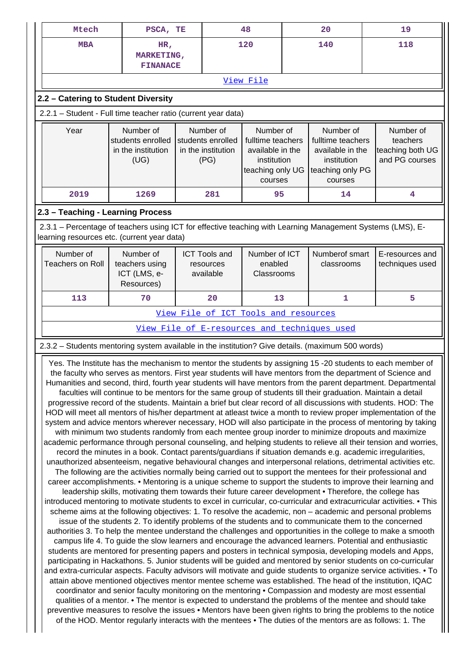| Mtech                                                                                                                                                     | PSCA, TE                                                                                                                                                                                                                                                                                                                                                                                                                                                                                                                                                                                                                                                                                                                                                                                                                                                                                                                                                                                                                                                                                                                                                                                                                                                                                                                                                                                                                                                                                                                                                                                                                                                                                                                                                                                                                                                                                                                                                                                                                                                                                                                                                                                                                                                                                                                                                                                                                                                                                                                                                                                                                                                                                                                                                                                                                                                                                                                                                                                                                                                                                                                               |                                                              | 48                                                                                               |  | 20                                                                                               |  | 19                                                          |
|-----------------------------------------------------------------------------------------------------------------------------------------------------------|----------------------------------------------------------------------------------------------------------------------------------------------------------------------------------------------------------------------------------------------------------------------------------------------------------------------------------------------------------------------------------------------------------------------------------------------------------------------------------------------------------------------------------------------------------------------------------------------------------------------------------------------------------------------------------------------------------------------------------------------------------------------------------------------------------------------------------------------------------------------------------------------------------------------------------------------------------------------------------------------------------------------------------------------------------------------------------------------------------------------------------------------------------------------------------------------------------------------------------------------------------------------------------------------------------------------------------------------------------------------------------------------------------------------------------------------------------------------------------------------------------------------------------------------------------------------------------------------------------------------------------------------------------------------------------------------------------------------------------------------------------------------------------------------------------------------------------------------------------------------------------------------------------------------------------------------------------------------------------------------------------------------------------------------------------------------------------------------------------------------------------------------------------------------------------------------------------------------------------------------------------------------------------------------------------------------------------------------------------------------------------------------------------------------------------------------------------------------------------------------------------------------------------------------------------------------------------------------------------------------------------------------------------------------------------------------------------------------------------------------------------------------------------------------------------------------------------------------------------------------------------------------------------------------------------------------------------------------------------------------------------------------------------------------------------------------------------------------------------------------------------------|--------------------------------------------------------------|--------------------------------------------------------------------------------------------------|--|--------------------------------------------------------------------------------------------------|--|-------------------------------------------------------------|
| <b>MBA</b>                                                                                                                                                | HR,<br>MARKETING,<br><b>FINANACE</b>                                                                                                                                                                                                                                                                                                                                                                                                                                                                                                                                                                                                                                                                                                                                                                                                                                                                                                                                                                                                                                                                                                                                                                                                                                                                                                                                                                                                                                                                                                                                                                                                                                                                                                                                                                                                                                                                                                                                                                                                                                                                                                                                                                                                                                                                                                                                                                                                                                                                                                                                                                                                                                                                                                                                                                                                                                                                                                                                                                                                                                                                                                   |                                                              | 120                                                                                              |  | 140                                                                                              |  | 118                                                         |
|                                                                                                                                                           |                                                                                                                                                                                                                                                                                                                                                                                                                                                                                                                                                                                                                                                                                                                                                                                                                                                                                                                                                                                                                                                                                                                                                                                                                                                                                                                                                                                                                                                                                                                                                                                                                                                                                                                                                                                                                                                                                                                                                                                                                                                                                                                                                                                                                                                                                                                                                                                                                                                                                                                                                                                                                                                                                                                                                                                                                                                                                                                                                                                                                                                                                                                                        |                                                              | View File                                                                                        |  |                                                                                                  |  |                                                             |
| 2.2 - Catering to Student Diversity                                                                                                                       |                                                                                                                                                                                                                                                                                                                                                                                                                                                                                                                                                                                                                                                                                                                                                                                                                                                                                                                                                                                                                                                                                                                                                                                                                                                                                                                                                                                                                                                                                                                                                                                                                                                                                                                                                                                                                                                                                                                                                                                                                                                                                                                                                                                                                                                                                                                                                                                                                                                                                                                                                                                                                                                                                                                                                                                                                                                                                                                                                                                                                                                                                                                                        |                                                              |                                                                                                  |  |                                                                                                  |  |                                                             |
| 2.2.1 - Student - Full time teacher ratio (current year data)                                                                                             |                                                                                                                                                                                                                                                                                                                                                                                                                                                                                                                                                                                                                                                                                                                                                                                                                                                                                                                                                                                                                                                                                                                                                                                                                                                                                                                                                                                                                                                                                                                                                                                                                                                                                                                                                                                                                                                                                                                                                                                                                                                                                                                                                                                                                                                                                                                                                                                                                                                                                                                                                                                                                                                                                                                                                                                                                                                                                                                                                                                                                                                                                                                                        |                                                              |                                                                                                  |  |                                                                                                  |  |                                                             |
| Year                                                                                                                                                      | Number of<br>students enrolled<br>in the institution<br>(UG)                                                                                                                                                                                                                                                                                                                                                                                                                                                                                                                                                                                                                                                                                                                                                                                                                                                                                                                                                                                                                                                                                                                                                                                                                                                                                                                                                                                                                                                                                                                                                                                                                                                                                                                                                                                                                                                                                                                                                                                                                                                                                                                                                                                                                                                                                                                                                                                                                                                                                                                                                                                                                                                                                                                                                                                                                                                                                                                                                                                                                                                                           | Number of<br>students enrolled<br>in the institution<br>(PG) | Number of<br>fulltime teachers<br>available in the<br>institution<br>teaching only UG<br>courses |  | Number of<br>fulltime teachers<br>available in the<br>institution<br>teaching only PG<br>courses |  | Number of<br>teachers<br>teaching both UG<br>and PG courses |
| 2019                                                                                                                                                      | 1269                                                                                                                                                                                                                                                                                                                                                                                                                                                                                                                                                                                                                                                                                                                                                                                                                                                                                                                                                                                                                                                                                                                                                                                                                                                                                                                                                                                                                                                                                                                                                                                                                                                                                                                                                                                                                                                                                                                                                                                                                                                                                                                                                                                                                                                                                                                                                                                                                                                                                                                                                                                                                                                                                                                                                                                                                                                                                                                                                                                                                                                                                                                                   | 281                                                          | 95                                                                                               |  | 14                                                                                               |  | 4                                                           |
| 2.3 - Teaching - Learning Process                                                                                                                         |                                                                                                                                                                                                                                                                                                                                                                                                                                                                                                                                                                                                                                                                                                                                                                                                                                                                                                                                                                                                                                                                                                                                                                                                                                                                                                                                                                                                                                                                                                                                                                                                                                                                                                                                                                                                                                                                                                                                                                                                                                                                                                                                                                                                                                                                                                                                                                                                                                                                                                                                                                                                                                                                                                                                                                                                                                                                                                                                                                                                                                                                                                                                        |                                                              |                                                                                                  |  |                                                                                                  |  |                                                             |
| 2.3.1 – Percentage of teachers using ICT for effective teaching with Learning Management Systems (LMS), E-<br>learning resources etc. (current year data) |                                                                                                                                                                                                                                                                                                                                                                                                                                                                                                                                                                                                                                                                                                                                                                                                                                                                                                                                                                                                                                                                                                                                                                                                                                                                                                                                                                                                                                                                                                                                                                                                                                                                                                                                                                                                                                                                                                                                                                                                                                                                                                                                                                                                                                                                                                                                                                                                                                                                                                                                                                                                                                                                                                                                                                                                                                                                                                                                                                                                                                                                                                                                        |                                                              |                                                                                                  |  |                                                                                                  |  |                                                             |
| Number of<br><b>Teachers on Roll</b>                                                                                                                      | Number of<br>teachers using<br>ICT (LMS, e-<br>Resources)                                                                                                                                                                                                                                                                                                                                                                                                                                                                                                                                                                                                                                                                                                                                                                                                                                                                                                                                                                                                                                                                                                                                                                                                                                                                                                                                                                                                                                                                                                                                                                                                                                                                                                                                                                                                                                                                                                                                                                                                                                                                                                                                                                                                                                                                                                                                                                                                                                                                                                                                                                                                                                                                                                                                                                                                                                                                                                                                                                                                                                                                              | <b>ICT Tools and</b><br>resources<br>available               | Number of ICT<br>enabled<br>Classrooms                                                           |  | Numberof smart<br>classrooms                                                                     |  | E-resources and<br>techniques used                          |
| 113                                                                                                                                                       | 70                                                                                                                                                                                                                                                                                                                                                                                                                                                                                                                                                                                                                                                                                                                                                                                                                                                                                                                                                                                                                                                                                                                                                                                                                                                                                                                                                                                                                                                                                                                                                                                                                                                                                                                                                                                                                                                                                                                                                                                                                                                                                                                                                                                                                                                                                                                                                                                                                                                                                                                                                                                                                                                                                                                                                                                                                                                                                                                                                                                                                                                                                                                                     | 20                                                           | 13                                                                                               |  | 1                                                                                                |  | 5                                                           |
|                                                                                                                                                           |                                                                                                                                                                                                                                                                                                                                                                                                                                                                                                                                                                                                                                                                                                                                                                                                                                                                                                                                                                                                                                                                                                                                                                                                                                                                                                                                                                                                                                                                                                                                                                                                                                                                                                                                                                                                                                                                                                                                                                                                                                                                                                                                                                                                                                                                                                                                                                                                                                                                                                                                                                                                                                                                                                                                                                                                                                                                                                                                                                                                                                                                                                                                        |                                                              | View File of ICT Tools and resources                                                             |  |                                                                                                  |  |                                                             |
|                                                                                                                                                           |                                                                                                                                                                                                                                                                                                                                                                                                                                                                                                                                                                                                                                                                                                                                                                                                                                                                                                                                                                                                                                                                                                                                                                                                                                                                                                                                                                                                                                                                                                                                                                                                                                                                                                                                                                                                                                                                                                                                                                                                                                                                                                                                                                                                                                                                                                                                                                                                                                                                                                                                                                                                                                                                                                                                                                                                                                                                                                                                                                                                                                                                                                                                        |                                                              |                                                                                                  |  | <u>View File of E-resources and techniques used</u>                                              |  |                                                             |
| 2.3.2 - Students mentoring system available in the institution? Give details. (maximum 500 words)                                                         |                                                                                                                                                                                                                                                                                                                                                                                                                                                                                                                                                                                                                                                                                                                                                                                                                                                                                                                                                                                                                                                                                                                                                                                                                                                                                                                                                                                                                                                                                                                                                                                                                                                                                                                                                                                                                                                                                                                                                                                                                                                                                                                                                                                                                                                                                                                                                                                                                                                                                                                                                                                                                                                                                                                                                                                                                                                                                                                                                                                                                                                                                                                                        |                                                              |                                                                                                  |  |                                                                                                  |  |                                                             |
|                                                                                                                                                           | Yes. The Institute has the mechanism to mentor the students by assigning 15 -20 students to each member of<br>the faculty who serves as mentors. First year students will have mentors from the department of Science and<br>Humanities and second, third, fourth year students will have mentors from the parent department. Departmental<br>faculties will continue to be mentors for the same group of students till their graduation. Maintain a detail<br>progressive record of the students. Maintain a brief but clear record of all discussions with students. HOD: The<br>HOD will meet all mentors of his/her department at atleast twice a month to review proper implementation of the<br>system and advice mentors wherever necessary, HOD will also participate in the process of mentoring by taking<br>with minimum two students randomly from each mentee group inorder to minimize dropouts and maximize<br>academic performance through personal counseling, and helping students to relieve all their tension and worries,<br>record the minutes in a book. Contact parents/guardians if situation demands e.g. academic irregularities,<br>unauthorized absenteeism, negative behavioural changes and interpersonal relations, detrimental activities etc.<br>The following are the activities normally being carried out to support the mentees for their professional and<br>career accomplishments. • Mentoring is a unique scheme to support the students to improve their learning and<br>leadership skills, motivating them towards their future career development • Therefore, the college has<br>introduced mentoring to motivate students to excel in curricular, co-curricular and extracurricular activities. • This<br>scheme aims at the following objectives: 1. To resolve the academic, non - academic and personal problems<br>issue of the students 2. To identify problems of the students and to communicate them to the concerned<br>authorities 3. To help the mentee understand the challenges and opportunities in the college to make a smooth<br>campus life 4. To guide the slow learners and encourage the advanced learners. Potential and enthusiastic<br>students are mentored for presenting papers and posters in technical symposia, developing models and Apps,<br>participating in Hackathons. 5. Junior students will be guided and mentored by senior students on co-curricular<br>and extra-curricular aspects. Faculty advisors will motivate and guide students to organize service activities. • To<br>attain above mentioned objectives mentor mentee scheme was established. The head of the institution, IQAC<br>coordinator and senior faculty monitoring on the mentoring . Compassion and modesty are most essential<br>qualities of a mentor. • The mentor is expected to understand the problems of the mentee and should take<br>preventive measures to resolve the issues . Mentors have been given rights to bring the problems to the notice<br>of the HOD. Mentor regularly interacts with the mentees • The duties of the mentors are as follows: 1. The |                                                              |                                                                                                  |  |                                                                                                  |  |                                                             |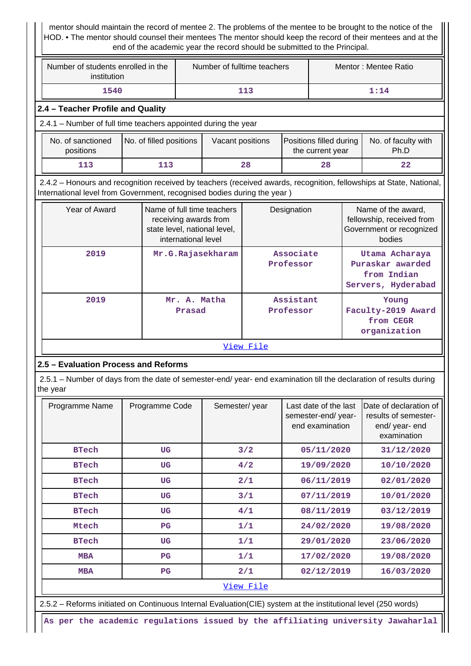mentor should maintain the record of mentee 2. The problems of the mentee to be brought to the notice of the HOD. • The mentor should counsel their mentees The mentor should keep the record of their mentees and at the end of the academic year the record should be submitted to the Principal.

| Number of students enrolled in the<br>institution                                                                                                                                              |                         |                                                                                                            | Number of fulltime teachers |           |                        | Mentor: Mentee Ratio                                     |  |                                                                                                             |  |
|------------------------------------------------------------------------------------------------------------------------------------------------------------------------------------------------|-------------------------|------------------------------------------------------------------------------------------------------------|-----------------------------|-----------|------------------------|----------------------------------------------------------|--|-------------------------------------------------------------------------------------------------------------|--|
| 1540                                                                                                                                                                                           |                         |                                                                                                            |                             | 113       |                        |                                                          |  | 1:14                                                                                                        |  |
| 2.4 - Teacher Profile and Quality                                                                                                                                                              |                         |                                                                                                            |                             |           |                        |                                                          |  |                                                                                                             |  |
| 2.4.1 - Number of full time teachers appointed during the year                                                                                                                                 |                         |                                                                                                            |                             |           |                        |                                                          |  |                                                                                                             |  |
| No. of sanctioned                                                                                                                                                                              | No. of filled positions |                                                                                                            | Vacant positions            |           |                        | Positions filled during                                  |  | No. of faculty with                                                                                         |  |
| positions                                                                                                                                                                                      |                         |                                                                                                            |                             |           |                        | the current year                                         |  | Ph.D                                                                                                        |  |
| 113                                                                                                                                                                                            | 113                     |                                                                                                            |                             | 28        |                        | 28                                                       |  | 22                                                                                                          |  |
| 2.4.2 - Honours and recognition received by teachers (received awards, recognition, fellowships at State, National,<br>International level from Government, recognised bodies during the year) |                         |                                                                                                            |                             |           |                        |                                                          |  |                                                                                                             |  |
| Year of Award                                                                                                                                                                                  |                         | Name of full time teachers<br>receiving awards from<br>state level, national level,<br>international level |                             |           | Designation            |                                                          |  | Name of the award,<br>fellowship, received from<br>Government or recognized<br>bodies                       |  |
| 2019                                                                                                                                                                                           |                         |                                                                                                            | Mr.G.Rajasekharam           |           | Associate<br>Professor | Puraskar awarded<br>from Indian<br>Servers, Hyderabad    |  | Utama Acharaya                                                                                              |  |
| 2019                                                                                                                                                                                           |                         | Mr. A. Matha<br>Prasad                                                                                     |                             |           | Assistant<br>Professor | Young<br>Faculty-2019 Award<br>from CEGR<br>organization |  |                                                                                                             |  |
|                                                                                                                                                                                                |                         |                                                                                                            |                             | View File |                        |                                                          |  |                                                                                                             |  |
| 2.5 - Evaluation Process and Reforms                                                                                                                                                           |                         |                                                                                                            |                             |           |                        |                                                          |  |                                                                                                             |  |
| 2.5.1 – Number of days from the date of semester-end/ year- end examination till the declaration of results during<br>the year                                                                 |                         |                                                                                                            |                             |           |                        |                                                          |  |                                                                                                             |  |
| Programme Name                                                                                                                                                                                 | Programme Code          |                                                                                                            | Semester/year               |           |                        | semester-end/year-<br>end examination                    |  | Last date of the last $ $ Date of declaration of $ $<br>results of semester-<br>end/year-end<br>examination |  |
| <b>BTech</b>                                                                                                                                                                                   | UG                      |                                                                                                            |                             | 3/2       |                        | 05/11/2020                                               |  | 31/12/2020                                                                                                  |  |
| <b>BTech</b>                                                                                                                                                                                   | <b>UG</b>               |                                                                                                            |                             | 4/2       |                        | 19/09/2020                                               |  | 10/10/2020                                                                                                  |  |
| <b>BTech</b>                                                                                                                                                                                   | <b>UG</b>               |                                                                                                            |                             | 2/1       |                        | 06/11/2019                                               |  | 02/01/2020                                                                                                  |  |
| <b>BTech</b>                                                                                                                                                                                   | <b>UG</b>               |                                                                                                            |                             | 3/1       |                        | 07/11/2019                                               |  | 10/01/2020                                                                                                  |  |
| <b>BTech</b>                                                                                                                                                                                   | UG                      |                                                                                                            |                             | 4/1       |                        | 08/11/2019                                               |  | 03/12/2019                                                                                                  |  |
| Mtech                                                                                                                                                                                          | $_{\rm PG}$             |                                                                                                            |                             | 1/1       |                        | 24/02/2020                                               |  | 19/08/2020                                                                                                  |  |
| <b>BTech</b>                                                                                                                                                                                   | <b>UG</b>               |                                                                                                            |                             | 1/1       |                        | 29/01/2020                                               |  | 23/06/2020                                                                                                  |  |
| <b>MBA</b>                                                                                                                                                                                     | $_{\rm PG}$             |                                                                                                            |                             | 1/1       |                        | 17/02/2020                                               |  | 19/08/2020                                                                                                  |  |
| <b>MBA</b>                                                                                                                                                                                     | $_{\rm PG}$             |                                                                                                            |                             | 2/1       |                        | 02/12/2019                                               |  | 16/03/2020                                                                                                  |  |
|                                                                                                                                                                                                |                         |                                                                                                            |                             | View File |                        |                                                          |  |                                                                                                             |  |
| 2.5.2 - Reforms initiated on Continuous Internal Evaluation(CIE) system at the institutional level (250 words)                                                                                 |                         |                                                                                                            |                             |           |                        |                                                          |  |                                                                                                             |  |

**As per the academic regulations issued by the affiliating university Jawaharlal**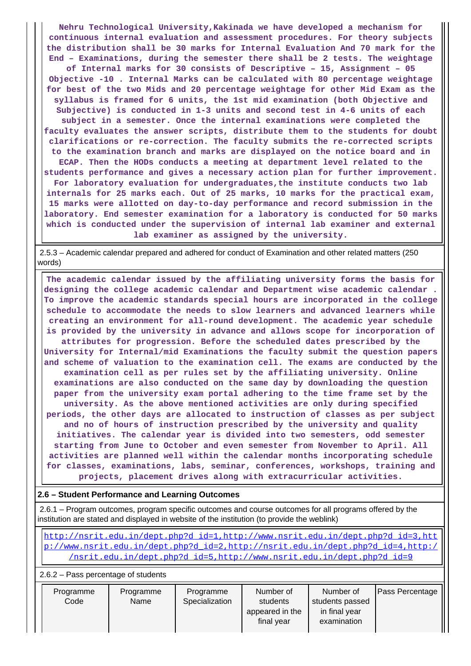**Nehru Technological University,Kakinada we have developed a mechanism for continuous internal evaluation and assessment procedures. For theory subjects the distribution shall be 30 marks for Internal Evaluation And 70 mark for the End – Examinations, during the semester there shall be 2 tests. The weightage of Internal marks for 30 consists of Descriptive – 15, Assignment – 05 Objective -10 . Internal Marks can be calculated with 80 percentage weightage for best of the two Mids and 20 percentage weightage for other Mid Exam as the syllabus is framed for 6 units, the 1st mid examination (both Objective and Subjective) is conducted in 1-3 units and second test in 4-6 units of each subject in a semester. Once the internal examinations were completed the faculty evaluates the answer scripts, distribute them to the students for doubt clarifications or re-correction. The faculty submits the re-corrected scripts to the examination branch and marks are displayed on the notice board and in ECAP. Then the HODs conducts a meeting at department level related to the students performance and gives a necessary action plan for further improvement. For laboratory evaluation for undergraduates,the institute conducts two lab internals for 25 marks each. Out of 25 marks, 10 marks for the practical exam, 15 marks were allotted on day-to-day performance and record submission in the laboratory. End semester examination for a laboratory is conducted for 50 marks which is conducted under the supervision of internal lab examiner and external lab examiner as assigned by the university.**

 2.5.3 – Academic calendar prepared and adhered for conduct of Examination and other related matters (250 words)

 **The academic calendar issued by the affiliating university forms the basis for designing the college academic calendar and Department wise academic calendar . To improve the academic standards special hours are incorporated in the college schedule to accommodate the needs to slow learners and advanced learners while creating an environment for all-round development. The academic year schedule is provided by the university in advance and allows scope for incorporation of attributes for progression. Before the scheduled dates prescribed by the University for Internal/mid Examinations the faculty submit the question papers and scheme of valuation to the examination cell. The exams are conducted by the examination cell as per rules set by the affiliating university. Online examinations are also conducted on the same day by downloading the question paper from the university exam portal adhering to the time frame set by the university. As the above mentioned activities are only during specified periods, the other days are allocated to instruction of classes as per subject and no of hours of instruction prescribed by the university and quality initiatives. The calendar year is divided into two semesters, odd semester starting from June to October and even semester from November to April. All activities are planned well within the calendar months incorporating schedule for classes, examinations, labs, seminar, conferences, workshops, training and projects, placement drives along with extracurricular activities.**

## **2.6 – Student Performance and Learning Outcomes**

 2.6.1 – Program outcomes, program specific outcomes and course outcomes for all programs offered by the institution are stated and displayed in website of the institution (to provide the weblink)

 [http://nsrit.edu.in/dept.php?d\\_id=1,http://www.nsrit.edu.in/dept.php?d\\_id=3,htt](http://nsrit.edu.in/dept.php?d_id=1,http://www.nsrit.edu.in/dept.php?d_id=3,http://www.nsrit.edu.in/dept.php?d_id=2,http://nsrit.edu.in/dept.php?d_id=4,http://nsrit.edu.in/dept.php?d_id=5,http://www.nsrit.edu.in/dept.php?d_id=9) [p://www.nsrit.edu.in/dept.php?d\\_id=2,http://nsrit.edu.in/dept.php?d\\_id=4,http:/](http://nsrit.edu.in/dept.php?d_id=1,http://www.nsrit.edu.in/dept.php?d_id=3,http://www.nsrit.edu.in/dept.php?d_id=2,http://nsrit.edu.in/dept.php?d_id=4,http://nsrit.edu.in/dept.php?d_id=5,http://www.nsrit.edu.in/dept.php?d_id=9) [/nsrit.edu.in/dept.php?d\\_id=5,http://www.nsrit.edu.in/dept.php?d\\_id=9](http://nsrit.edu.in/dept.php?d_id=1,http://www.nsrit.edu.in/dept.php?d_id=3,http://www.nsrit.edu.in/dept.php?d_id=2,http://nsrit.edu.in/dept.php?d_id=4,http://nsrit.edu.in/dept.php?d_id=5,http://www.nsrit.edu.in/dept.php?d_id=9)

2.6.2 – Pass percentage of students

| Programme<br>Code | Programme<br>Name | Programme<br>Specialization | Number of<br>students<br>appeared in the<br>final year | Number of<br>students passed<br>in final year<br>examination | <b>Pass Percentage</b> |
|-------------------|-------------------|-----------------------------|--------------------------------------------------------|--------------------------------------------------------------|------------------------|
|                   |                   |                             |                                                        |                                                              |                        |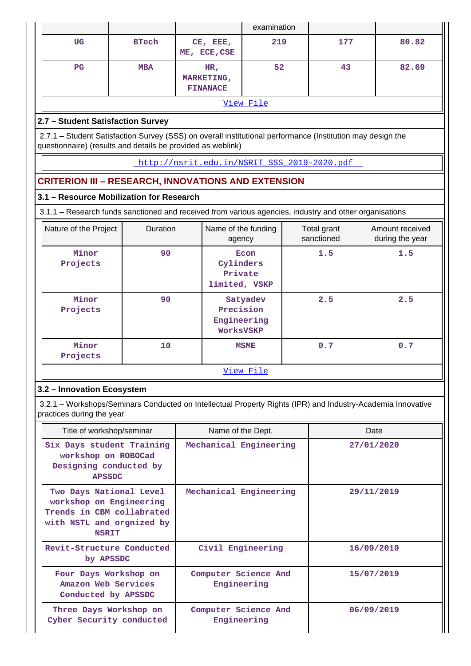|                                                                                                                                                                           |              |                                                                                                  | examination                                          |  |     |            |  |  |  |
|---------------------------------------------------------------------------------------------------------------------------------------------------------------------------|--------------|--------------------------------------------------------------------------------------------------|------------------------------------------------------|--|-----|------------|--|--|--|
| <b>UG</b>                                                                                                                                                                 | <b>BTech</b> | CE, EEE,<br>ME, ECE, CSE                                                                         | 219                                                  |  | 177 | 80.82      |  |  |  |
| $_{\rm PG}$                                                                                                                                                               | <b>MBA</b>   | HR,<br>MARKETING,<br><b>FINANACE</b>                                                             | 52                                                   |  | 43  | 82.69      |  |  |  |
|                                                                                                                                                                           |              |                                                                                                  | View File                                            |  |     |            |  |  |  |
| 2.7 - Student Satisfaction Survey                                                                                                                                         |              |                                                                                                  |                                                      |  |     |            |  |  |  |
| 2.7.1 - Student Satisfaction Survey (SSS) on overall institutional performance (Institution may design the<br>questionnaire) (results and details be provided as weblink) |              |                                                                                                  |                                                      |  |     |            |  |  |  |
|                                                                                                                                                                           |              | http://nsrit.edu.in/NSRIT SSS 2019-2020.pdf                                                      |                                                      |  |     |            |  |  |  |
| <b>CRITERION III - RESEARCH, INNOVATIONS AND EXTENSION</b>                                                                                                                |              |                                                                                                  |                                                      |  |     |            |  |  |  |
| 3.1 - Resource Mobilization for Research                                                                                                                                  |              |                                                                                                  |                                                      |  |     |            |  |  |  |
| 3.1.1 – Research funds sanctioned and received from various agencies, industry and other organisations                                                                    |              |                                                                                                  |                                                      |  |     |            |  |  |  |
| Nature of the Project                                                                                                                                                     | Duration     | Name of the funding<br>Total grant<br>Amount received<br>sanctioned<br>during the year<br>agency |                                                      |  |     |            |  |  |  |
| Minor<br>Projects                                                                                                                                                         | 90           |                                                                                                  | 1.5<br>Econ<br>Cylinders<br>Private<br>limited, VSKP |  | 1.5 |            |  |  |  |
| Minor<br>Projects                                                                                                                                                         | 90           | 2.5<br>Satyadev<br>Precision<br>Engineering<br>WorksVSKP                                         |                                                      |  | 2.5 |            |  |  |  |
| Minor<br>Projects                                                                                                                                                         | 10           |                                                                                                  | <b>MSME</b>                                          |  | 0.7 | 0.7        |  |  |  |
|                                                                                                                                                                           |              |                                                                                                  | View File                                            |  |     |            |  |  |  |
| 3.2 - Innovation Ecosystem                                                                                                                                                |              |                                                                                                  |                                                      |  |     |            |  |  |  |
| 3.2.1 – Workshops/Seminars Conducted on Intellectual Property Rights (IPR) and Industry-Academia Innovative<br>practices during the year                                  |              |                                                                                                  |                                                      |  |     |            |  |  |  |
| Title of workshop/seminar                                                                                                                                                 |              | Name of the Dept.                                                                                |                                                      |  |     | Date       |  |  |  |
| Six Days student Training<br>workshop on ROBOCad<br>Designing conducted by<br><b>APSSDC</b>                                                                               |              | Mechanical Engineering                                                                           |                                                      |  |     | 27/01/2020 |  |  |  |
| Two Days National Level<br>workshop on Engineering<br>Trends in CBM collabrated<br>with NSTL and orgnized by<br><b>NSRIT</b>                                              |              | Mechanical Engineering                                                                           |                                                      |  |     | 29/11/2019 |  |  |  |
| Revit-Structure Conducted<br>by APSSDC                                                                                                                                    |              | Civil Engineering                                                                                |                                                      |  |     | 16/09/2019 |  |  |  |
| Four Days Workshop on<br>Amazon Web Services<br>Conducted by APSSDC                                                                                                       |              | Computer Science And<br>Engineering                                                              |                                                      |  |     | 15/07/2019 |  |  |  |
| Three Days Workshop on                                                                                                                                                    |              | Computer Science And                                                                             |                                                      |  |     | 06/09/2019 |  |  |  |

**Engineering**

**Cyber Security conducted**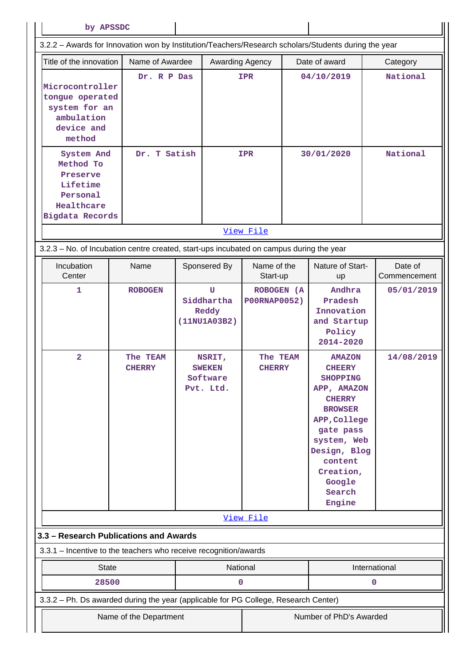| by APSSDC                                                                                            |                                             |                                                                                              |                                                                |  |                                                                                                                                                                                                                                                                  |                          |
|------------------------------------------------------------------------------------------------------|---------------------------------------------|----------------------------------------------------------------------------------------------|----------------------------------------------------------------|--|------------------------------------------------------------------------------------------------------------------------------------------------------------------------------------------------------------------------------------------------------------------|--------------------------|
| 3.2.2 - Awards for Innovation won by Institution/Teachers/Research scholars/Students during the year |                                             |                                                                                              |                                                                |  |                                                                                                                                                                                                                                                                  |                          |
| Title of the innovation                                                                              | Name of Awardee                             | Awarding Agency                                                                              |                                                                |  | Date of award                                                                                                                                                                                                                                                    | Category                 |
| Microcontroller<br>tongue operated<br>system for an<br>ambulation<br>device and<br>method            | Dr. R P Das                                 |                                                                                              | <b>IPR</b>                                                     |  | 04/10/2019                                                                                                                                                                                                                                                       | National                 |
| System And<br>Method To<br>Preserve<br>Lifetime<br>Personal<br>Healthcare<br>Bigdata Records         | Dr. T Satish                                |                                                                                              | <b>IPR</b><br>30/01/2020                                       |  |                                                                                                                                                                                                                                                                  | National                 |
|                                                                                                      |                                             |                                                                                              | View File                                                      |  |                                                                                                                                                                                                                                                                  |                          |
| 3.2.3 - No. of Incubation centre created, start-ups incubated on campus during the year              |                                             |                                                                                              |                                                                |  |                                                                                                                                                                                                                                                                  |                          |
| Incubation<br>Center                                                                                 | Name                                        | Sponsered By                                                                                 | Name of the<br>Start-up                                        |  | Nature of Start-<br>up                                                                                                                                                                                                                                           | Date of<br>Commencement  |
| $\mathbf 1$<br>$\overline{\mathbf{2}}$                                                               | <b>ROBOGEN</b><br>The TEAM<br><b>CHERRY</b> | U<br>Siddhartha<br>Reddy<br>(11NU1A03B2)<br>NSRIT,<br><b>SWEKEN</b><br>Software<br>Pvt. Ltd. | ROBOGEN (A<br><b>P00RNAP0052)</b><br>The TEAM<br><b>CHERRY</b> |  | Andhra<br>Pradesh<br>Innovation<br>and Startup<br>Policy<br>2014-2020<br><b>AMAZON</b><br><b>CHEERY</b><br><b>SHOPPING</b><br>APP, AMAZON<br><b>CHERRY</b><br><b>BROWSER</b><br>APP, College<br>gate pass<br>system, Web<br>Design, Blog<br>content<br>Creation, | 05/01/2019<br>14/08/2019 |
| 3.3 - Research Publications and Awards                                                               |                                             |                                                                                              | View File                                                      |  | Google<br>Search<br>Engine                                                                                                                                                                                                                                       |                          |
| 3.3.1 – Incentive to the teachers who receive recognition/awards                                     |                                             |                                                                                              |                                                                |  |                                                                                                                                                                                                                                                                  |                          |
| <b>State</b>                                                                                         |                                             | National                                                                                     |                                                                |  |                                                                                                                                                                                                                                                                  | International            |
| 28500                                                                                                |                                             | 0                                                                                            |                                                                |  |                                                                                                                                                                                                                                                                  | $\mathbf 0$              |
| 3.3.2 - Ph. Ds awarded during the year (applicable for PG College, Research Center)                  | Name of the Department                      |                                                                                              |                                                                |  | Number of PhD's Awarded                                                                                                                                                                                                                                          |                          |
|                                                                                                      |                                             |                                                                                              |                                                                |  |                                                                                                                                                                                                                                                                  |                          |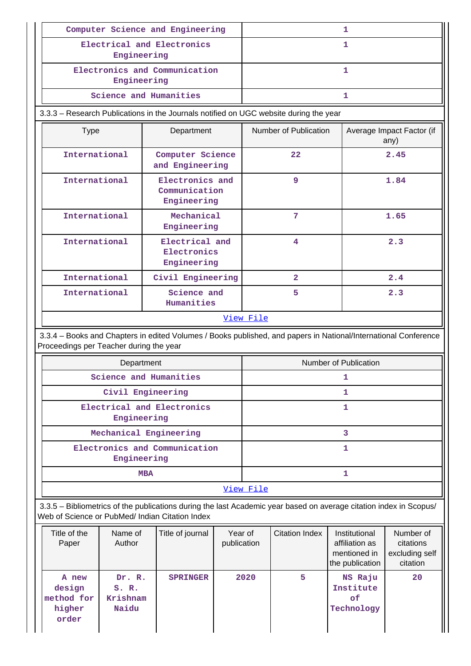|                                                                                                                                                                       |                                      | Computer Science and Engineering                |                        | 1                     |                       |                                                                    |                                                      |  |  |
|-----------------------------------------------------------------------------------------------------------------------------------------------------------------------|--------------------------------------|-------------------------------------------------|------------------------|-----------------------|-----------------------|--------------------------------------------------------------------|------------------------------------------------------|--|--|
|                                                                                                                                                                       | Engineering                          | Electrical and Electronics                      |                        |                       |                       | 1                                                                  |                                                      |  |  |
|                                                                                                                                                                       | Engineering                          | Electronics and Communication                   |                        |                       |                       | 1                                                                  |                                                      |  |  |
|                                                                                                                                                                       | Science and Humanities               |                                                 |                        |                       |                       | $\mathbf{1}$                                                       |                                                      |  |  |
| 3.3.3 - Research Publications in the Journals notified on UGC website during the year                                                                                 |                                      |                                                 |                        |                       |                       |                                                                    |                                                      |  |  |
| <b>Type</b>                                                                                                                                                           |                                      | Department                                      |                        |                       | Number of Publication |                                                                    | Average Impact Factor (if<br>any)                    |  |  |
| International                                                                                                                                                         |                                      | Computer Science<br>and Engineering             |                        |                       | $22 \,$               |                                                                    | 2.45                                                 |  |  |
| International                                                                                                                                                         |                                      | Electronics and<br>Communication<br>Engineering |                        |                       | 9                     |                                                                    | 1.84                                                 |  |  |
| International                                                                                                                                                         |                                      | Mechanical<br>Engineering                       |                        |                       | 7                     |                                                                    | 1.65                                                 |  |  |
| International                                                                                                                                                         |                                      | Electrical and<br>Electronics<br>Engineering    |                        |                       | 4                     |                                                                    | 2.3                                                  |  |  |
| International                                                                                                                                                         |                                      | Civil Engineering                               |                        |                       | $\overline{a}$        |                                                                    | 2.4                                                  |  |  |
| International                                                                                                                                                         |                                      | Science and<br>Humanities                       |                        |                       | 5<br>2.3              |                                                                    |                                                      |  |  |
|                                                                                                                                                                       |                                      |                                                 |                        | View File             |                       |                                                                    |                                                      |  |  |
| 3.3.4 - Books and Chapters in edited Volumes / Books published, and papers in National/International Conference<br>Proceedings per Teacher during the year            |                                      |                                                 |                        |                       |                       |                                                                    |                                                      |  |  |
|                                                                                                                                                                       | Department                           |                                                 |                        | Number of Publication |                       |                                                                    |                                                      |  |  |
|                                                                                                                                                                       | Science and Humanities               |                                                 |                        | 1                     |                       |                                                                    |                                                      |  |  |
|                                                                                                                                                                       | Civil Engineering                    |                                                 |                        | 1                     |                       |                                                                    |                                                      |  |  |
|                                                                                                                                                                       | Engineering                          | Electrical and Electronics                      |                        |                       |                       | 1                                                                  |                                                      |  |  |
|                                                                                                                                                                       | Mechanical Engineering               |                                                 |                        |                       |                       | 3                                                                  |                                                      |  |  |
|                                                                                                                                                                       | Engineering                          | Electronics and Communication                   |                        |                       |                       | 1                                                                  |                                                      |  |  |
|                                                                                                                                                                       | <b>MBA</b>                           |                                                 |                        |                       |                       | 1                                                                  |                                                      |  |  |
|                                                                                                                                                                       |                                      |                                                 |                        | View File             |                       |                                                                    |                                                      |  |  |
| 3.3.5 - Bibliometrics of the publications during the last Academic year based on average citation index in Scopus/<br>Web of Science or PubMed/ Indian Citation Index |                                      |                                                 |                        |                       |                       |                                                                    |                                                      |  |  |
| Title of the<br>Paper                                                                                                                                                 | Name of<br>Author                    | Title of journal                                | Year of<br>publication |                       | <b>Citation Index</b> | Institutional<br>affiliation as<br>mentioned in<br>the publication | Number of<br>citations<br>excluding self<br>citation |  |  |
| A new<br>design<br>method for<br>higher                                                                                                                               | Dr. R.<br>S. R.<br>Krishnam<br>Naidu | <b>SPRINGER</b>                                 |                        | 2020                  | 5                     | NS Raju<br>Institute<br>of<br>Technology                           | 20                                                   |  |  |

Ш

**order**

 $\mathbf{I}$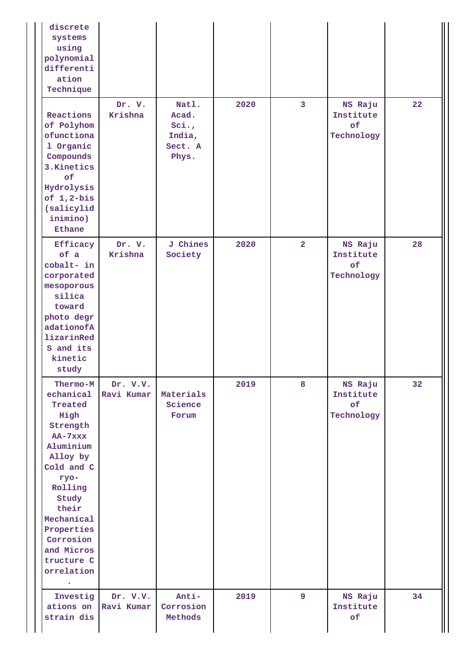| discrete<br>systems<br>using<br>polynomial<br>differenti<br>ation<br>Technique                                                                                                                                                 |                        |                                                      |      |                |                                          |                   |
|--------------------------------------------------------------------------------------------------------------------------------------------------------------------------------------------------------------------------------|------------------------|------------------------------------------------------|------|----------------|------------------------------------------|-------------------|
| Reactions<br>of Polyhom<br>ofunctiona<br>1 Organic<br>Compounds<br>3. Kinetics<br>of<br>Hydrolysis<br>of $1, 2-bis$<br>(salicylid<br>inimino)<br>Ethane                                                                        | Dr. V.<br>Krishna      | Natl.<br>Acad.<br>Sci.<br>India,<br>Sect. A<br>Phys. | 2020 | 3              | NS Raju<br>Institute<br>of<br>Technology | $22 \overline{)}$ |
| Efficacy<br>of a<br>cobalt- in<br>corporated<br>mesoporous<br>silica<br>toward<br>photo degr<br>adationofA<br>lizarinRed<br>S and its<br>kinetic<br>study                                                                      | Dr. V.<br>Krishna      | <b>J</b> Chines<br>Society                           | 2020 | $\overline{2}$ | NS Raju<br>Institute<br>of<br>Technology | 28                |
| Thermo-M<br>echanical<br>Treated<br>High<br>Strength<br>AA-7xxx<br>Aluminium<br>Alloy by<br>Cold and C<br>ryo-<br>Rolling<br>Study<br>their<br>Mechanical<br>Properties<br>Corrosion<br>and Micros<br>tructure C<br>orrelation | Dr. V.V.<br>Ravi Kumar | Materials<br>Science<br>Forum                        | 2019 | 8              | NS Raju<br>Institute<br>of<br>Technology | 32                |
| Investig<br>ations on<br>strain dis                                                                                                                                                                                            | Dr. V.V.<br>Ravi Kumar | Anti-<br>Corrosion<br>Methods                        | 2019 | 9              | NS Raju<br>Institute<br>of               | 34                |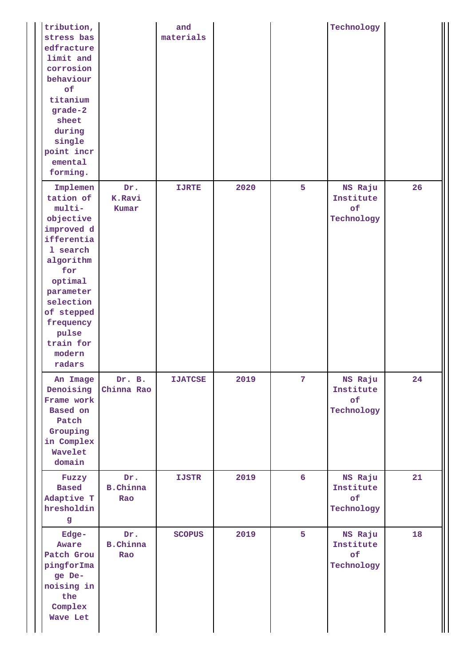| tribution,<br>stress bas<br>edfracture<br>limit and<br>corrosion<br>behaviour<br>of<br>titanium<br>grade-2<br>sheet<br>during<br>single<br>point incr<br>emental<br>forming.                                       |                               | and<br>materials |      |                  | Technology                               |    |
|--------------------------------------------------------------------------------------------------------------------------------------------------------------------------------------------------------------------|-------------------------------|------------------|------|------------------|------------------------------------------|----|
| Implemen<br>tation of<br>multi-<br>objective<br>improved d<br>ifferentia<br>1 search<br>algorithm<br>for<br>optimal<br>parameter<br>selection<br>of stepped<br>frequency<br>pulse<br>train for<br>modern<br>radars | Dr.<br>K.Ravi<br>Kumar        | <b>IJRTE</b>     | 2020 | 5                | NS Raju<br>Institute<br>of<br>Technology | 26 |
| An Image<br>Denoising<br>Frame work<br>Based on<br>Patch<br>Grouping<br>in Complex<br>Wavelet<br>domain                                                                                                            | Dr. B.<br>Chinna Rao          | <b>IJATCSE</b>   | 2019 | 7 <sup>1</sup>   | NS Raju<br>Institute<br>of<br>Technology | 24 |
| Fuzzy<br><b>Based</b><br>Adaptive T<br>hresholdin<br>g                                                                                                                                                             | Dr.<br><b>B.Chinna</b><br>Rao | <b>IJSTR</b>     | 2019 | $6 \overline{6}$ | NS Raju<br>Institute<br>of<br>Technology | 21 |
| Edge-<br>Aware<br>Patch Grou<br>pingforIma<br>ge De-<br>noising in<br>the<br>Complex<br>Wave Let                                                                                                                   | Dr.<br><b>B.Chinna</b><br>Rao | <b>SCOPUS</b>    | 2019 | 5                | NS Raju<br>Institute<br>of<br>Technology | 18 |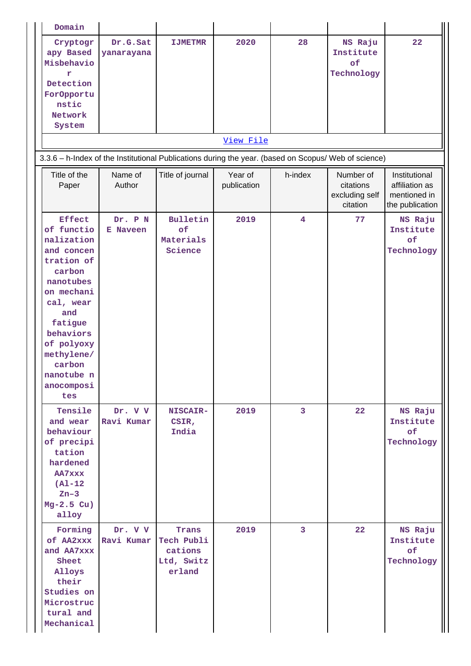| Domain                                                                                                                                                                                                                          |                            |                                                        |                        |         |                                                      |                                                                    |
|---------------------------------------------------------------------------------------------------------------------------------------------------------------------------------------------------------------------------------|----------------------------|--------------------------------------------------------|------------------------|---------|------------------------------------------------------|--------------------------------------------------------------------|
| Cryptogr<br>apy Based<br>Misbehavio<br>r<br>Detection<br>For0pportu<br>nstic<br>Network<br>System                                                                                                                               | Dr.G.Sat<br>yanarayana     | <b>IJMETMR</b>                                         | 2020                   | 28      | NS Raju<br>Institute<br>of<br>Technology             | 22                                                                 |
|                                                                                                                                                                                                                                 |                            |                                                        | View File              |         |                                                      |                                                                    |
| 3.3.6 - h-Index of the Institutional Publications during the year. (based on Scopus/ Web of science)                                                                                                                            |                            |                                                        |                        |         |                                                      |                                                                    |
| Title of the<br>Paper                                                                                                                                                                                                           | Name of<br>Author          | Title of journal                                       | Year of<br>publication | h-index | Number of<br>citations<br>excluding self<br>citation | Institutional<br>affiliation as<br>mentioned in<br>the publication |
| <b>Effect</b><br>of functio<br>nalization<br>and concen<br>tration of<br>carbon<br>nanotubes<br>on mechani<br>cal, wear<br>and<br>fatigue<br>behaviors<br>of polyoxy<br>methylene/<br>carbon<br>nanotube n<br>anocomposi<br>tes | Dr. P N<br><b>E</b> Naveen | Bulletin<br>of<br>Materials<br>Science                 | 2019                   | 4       | 77                                                   | NS Raju<br>Institute<br>of<br>Technology                           |
| Tensile<br>and wear<br>behaviour<br>of precipi<br>tation<br>hardened<br>AA7xxx<br>$(A1-12)$<br>$Zn-3$<br>$Mg-2.5$ Cu)<br>alloy                                                                                                  | Dr. V V<br>Ravi Kumar      | <b>NISCAIR-</b><br>CSIR,<br>India                      | 2019                   | 3       | 22                                                   | NS Raju<br>Institute<br>of<br>Technology                           |
| Forming<br>of AA2xxx<br>and AA7xxx<br>Sheet<br>Alloys<br>their<br>Studies on<br>Microstruc<br>tural and<br>Mechanical                                                                                                           | Dr. V V<br>Ravi Kumar      | Trans<br>Tech Publi<br>cations<br>Ltd, Switz<br>erland | 2019                   | 3       | 22                                                   | NS Raju<br>Institute<br>of<br>Technology                           |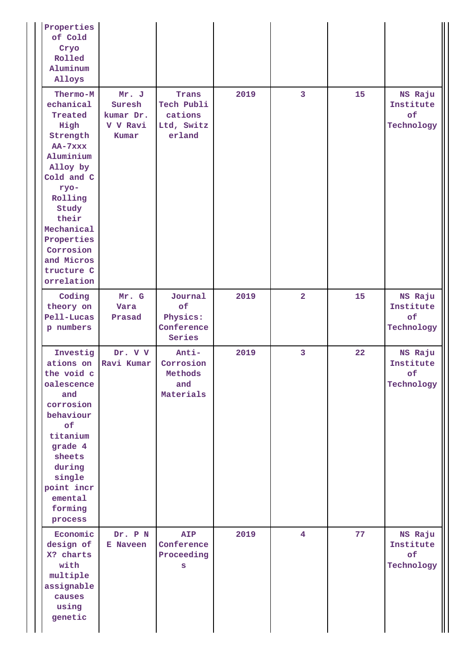| Properties<br>of Cold<br>Cryo<br>Rolled<br>Aluminum<br>Alloys                                                                                                                                                                  |                                                   |                                                        |      |                |                   |                                                 |
|--------------------------------------------------------------------------------------------------------------------------------------------------------------------------------------------------------------------------------|---------------------------------------------------|--------------------------------------------------------|------|----------------|-------------------|-------------------------------------------------|
| Thermo-M<br>echanical<br>Treated<br>High<br>Strength<br>AA-7xxx<br>Aluminium<br>Alloy by<br>Cold and C<br>ryo-<br>Rolling<br>Study<br>their<br>Mechanical<br>Properties<br>Corrosion<br>and Micros<br>tructure C<br>orrelation | Mr. J<br>Suresh<br>kumar Dr.<br>V V Ravi<br>Kumar | Trans<br>Tech Publi<br>cations<br>Ltd, Switz<br>erland | 2019 | $\overline{3}$ | 15 <sub>1</sub>   | NS Raju<br>Institute<br>of<br>Technology        |
| Coding<br>theory on<br>Pell-Lucas<br>p numbers                                                                                                                                                                                 | Mr. G<br>Vara<br>Prasad                           | Journal<br>of<br>Physics:<br>Conference<br>Series      | 2019 | $\overline{2}$ | 15                | NS Raju<br>Institute<br>of<br>Technology        |
| Investig<br>ations on<br>the void c<br>oalescence<br>and<br>corrosion<br>behaviour<br>of<br>titanium<br>grade 4<br>sheets<br>during<br>single<br>point incr<br>emental<br>forming<br>process                                   | Dr. V V<br>Ravi Kumar                             | Anti-<br>Corrosion<br>Methods<br>and<br>Materials      | 2019 | $\overline{3}$ | $22 \overline{)}$ | NS Raju<br>Institute<br>$\circ$ £<br>Technology |
| Economic<br>design of<br>X? charts<br>with<br>multiple<br>assignable<br>causes<br>using<br>genetic                                                                                                                             | Dr. P N<br>E Naveen                               | <b>AIP</b><br>Conference<br>Proceeding<br>S            | 2019 | $\overline{4}$ | 77                | NS Raju<br>Institute<br>of<br>Technology        |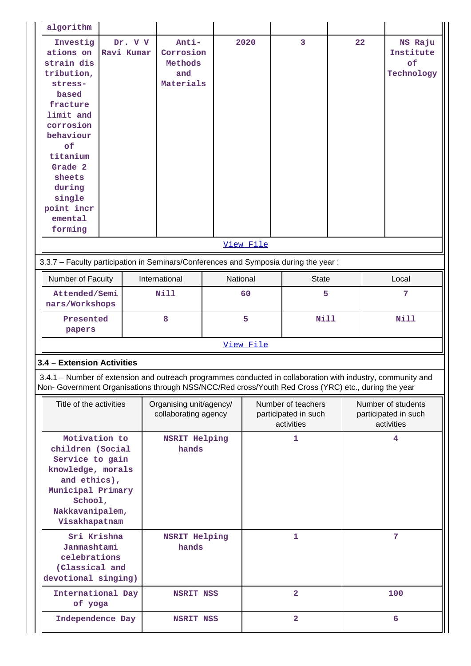| algorithm                                                                                                                                                                                                          |                       |                                                   |          |           |                                                          |    |                                                          |                                          |
|--------------------------------------------------------------------------------------------------------------------------------------------------------------------------------------------------------------------|-----------------------|---------------------------------------------------|----------|-----------|----------------------------------------------------------|----|----------------------------------------------------------|------------------------------------------|
| Investig<br>ations on<br>strain dis<br>tribution,<br>stress-<br>based<br>fracture<br>limit and<br>corrosion<br>behaviour<br>of<br>titanium<br>Grade 2<br>sheets<br>during<br>single<br>point incr<br>emental       | Dr. V V<br>Ravi Kumar | Anti-<br>Corrosion<br>Methods<br>and<br>Materials |          | 2020      | $\overline{3}$                                           | 22 |                                                          | NS Raju<br>Institute<br>of<br>Technology |
| forming                                                                                                                                                                                                            |                       |                                                   |          |           |                                                          |    |                                                          |                                          |
|                                                                                                                                                                                                                    |                       |                                                   |          | View File |                                                          |    |                                                          |                                          |
| 3.3.7 - Faculty participation in Seminars/Conferences and Symposia during the year:                                                                                                                                |                       |                                                   |          |           |                                                          |    |                                                          |                                          |
| Number of Faculty                                                                                                                                                                                                  |                       | International                                     | National |           | <b>State</b>                                             |    |                                                          | Local                                    |
| Attended/Semi<br>nars/Workshops                                                                                                                                                                                    |                       | <b>Nill</b>                                       |          | 60<br>5   |                                                          |    |                                                          | 7                                        |
| Presented<br>papers                                                                                                                                                                                                |                       | 8                                                 |          | 5         | <b>Nill</b>                                              |    |                                                          | <b>Nill</b>                              |
|                                                                                                                                                                                                                    |                       |                                                   |          | View File |                                                          |    |                                                          |                                          |
| 3.4 - Extension Activities                                                                                                                                                                                         |                       |                                                   |          |           |                                                          |    |                                                          |                                          |
| 3.4.1 – Number of extension and outreach programmes conducted in collaboration with industry, community and<br>Non- Government Organisations through NSS/NCC/Red cross/Youth Red Cross (YRC) etc., during the year |                       |                                                   |          |           |                                                          |    |                                                          |                                          |
| Title of the activities                                                                                                                                                                                            |                       | Organising unit/agency/<br>collaborating agency   |          |           | Number of teachers<br>participated in such<br>activities |    | Number of students<br>participated in such<br>activities |                                          |
| Motivation to<br>children (Social<br>Service to gain<br>knowledge, morals<br>and ethics),<br>Municipal Primary<br>School,<br>Nakkavanipalem,<br>Visakhapatnam                                                      |                       | <b>NSRIT Helping</b><br>hands                     |          |           | 1                                                        |    |                                                          | 4                                        |
| Sri Krishna<br>Janmashtami<br>celebrations<br>(Classical and<br>devotional singing)                                                                                                                                |                       | <b>NSRIT Helping</b><br>hands                     |          |           | 1                                                        |    |                                                          | $\overline{7}$                           |
| International Day<br>of yoga                                                                                                                                                                                       |                       | <b>NSRIT NSS</b>                                  |          |           | $\overline{2}$                                           |    |                                                          | 100                                      |
| Independence Day                                                                                                                                                                                                   |                       | NSRIT NSS                                         |          |           | $\overline{a}$                                           |    | 6                                                        |                                          |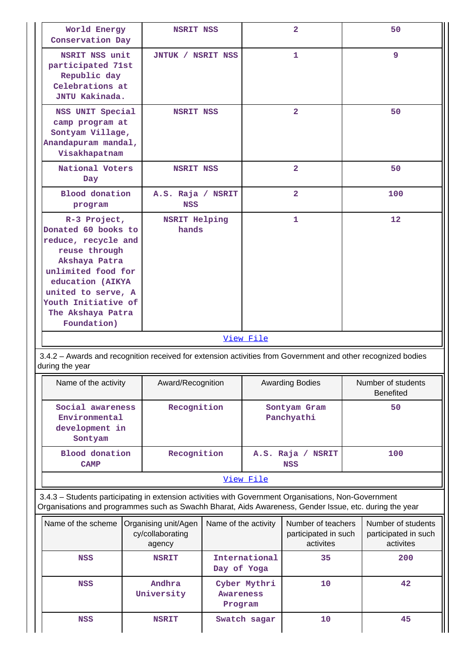| World Energy<br>Conservation Day                                                                                                                                                                                        | <b>NSRIT NSS</b>                                   |                             |               | $\overline{\mathbf{2}}$                                 | 50                                                      |
|-------------------------------------------------------------------------------------------------------------------------------------------------------------------------------------------------------------------------|----------------------------------------------------|-----------------------------|---------------|---------------------------------------------------------|---------------------------------------------------------|
| NSRIT NSS unit<br>participated 71st<br>Republic day<br>Celebrations at<br>JNTU Kakinada.                                                                                                                                | JNTUK / NSRIT NSS                                  |                             |               | 1                                                       | 9                                                       |
| NSS UNIT Special<br>camp program at<br>Sontyam Village,<br>Anandapuram mandal,<br>Visakhapatnam                                                                                                                         | <b>NSRIT NSS</b>                                   |                             |               | $\overline{2}$                                          | 50                                                      |
| National Voters<br>Day                                                                                                                                                                                                  | <b>NSRIT NSS</b>                                   |                             |               | $\overline{2}$                                          | 50                                                      |
| <b>Blood</b> donation<br>program                                                                                                                                                                                        | A.S. Raja / NSRIT<br><b>NSS</b>                    |                             |               | $\overline{\mathbf{2}}$                                 | 100                                                     |
| R-3 Project,<br>Donated 60 books to<br>reduce, recycle and<br>reuse through<br>Akshaya Patra<br>unlimited food for<br>education (AIKYA<br>united to serve, A<br>Youth Initiative of<br>The Akshaya Patra<br>Foundation) | <b>NSRIT Helping</b><br>hands                      |                             |               | $\mathbf{1}$                                            | 12                                                      |
|                                                                                                                                                                                                                         |                                                    |                             |               |                                                         |                                                         |
|                                                                                                                                                                                                                         |                                                    |                             | View File     |                                                         |                                                         |
| 3.4.2 - Awards and recognition received for extension activities from Government and other recognized bodies<br>during the year                                                                                         |                                                    |                             |               |                                                         |                                                         |
| Name of the activity                                                                                                                                                                                                    | Award/Recognition                                  |                             |               | <b>Awarding Bodies</b>                                  | Number of students<br><b>Benefited</b>                  |
| Social awareness<br>Environmental<br>development in<br>Sontyam                                                                                                                                                          | Recognition                                        |                             |               | Sontyam Gram<br>Panchyathi                              | 50                                                      |
| <b>Blood</b> donation<br><b>CAMP</b>                                                                                                                                                                                    | Recognition                                        |                             |               | A.S. Raja / NSRIT<br><b>NSS</b>                         | 100                                                     |
|                                                                                                                                                                                                                         |                                                    |                             | View File     |                                                         |                                                         |
| 3.4.3 - Students participating in extension activities with Government Organisations, Non-Government<br>Organisations and programmes such as Swachh Bharat, Aids Awareness, Gender Issue, etc. during the year          |                                                    |                             |               |                                                         |                                                         |
| Name of the scheme                                                                                                                                                                                                      | Organising unit/Agen<br>cy/collaborating<br>agency | Name of the activity        |               | Number of teachers<br>participated in such<br>activites | Number of students<br>participated in such<br>activites |
| <b>NSS</b>                                                                                                                                                                                                              | <b>NSRIT</b>                                       | Day of Yoga                 | International | 35                                                      | 200                                                     |
| <b>NSS</b>                                                                                                                                                                                                              | Andhra<br>University                               | <b>Awareness</b><br>Program | Cyber Mythri  | 10                                                      | 42                                                      |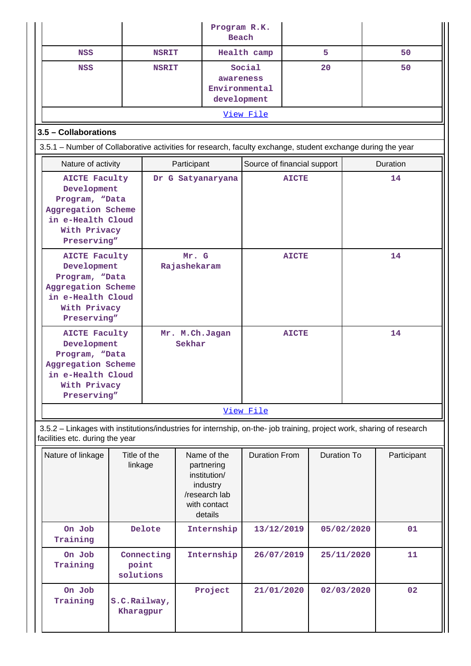|                                                                                                                                                          |                                  |                          |                       | Program R.K.                                                                                      | Beach                       |    |                    |                  |             |
|----------------------------------------------------------------------------------------------------------------------------------------------------------|----------------------------------|--------------------------|-----------------------|---------------------------------------------------------------------------------------------------|-----------------------------|----|--------------------|------------------|-------------|
| <b>NSS</b>                                                                                                                                               |                                  | <b>NSRIT</b>             |                       |                                                                                                   | Health camp                 | 5  |                    |                  | 50          |
| <b>NSS</b>                                                                                                                                               |                                  | <b>NSRIT</b>             |                       | Social<br>awareness<br>Environmental<br>development                                               |                             | 20 |                    |                  | 50          |
|                                                                                                                                                          |                                  |                          |                       |                                                                                                   | View File                   |    |                    |                  |             |
| 3.5 - Collaborations                                                                                                                                     |                                  |                          |                       |                                                                                                   |                             |    |                    |                  |             |
| 3.5.1 - Number of Collaborative activities for research, faculty exchange, student exchange during the year                                              |                                  |                          |                       |                                                                                                   |                             |    |                    |                  |             |
| Nature of activity                                                                                                                                       |                                  |                          | Participant           |                                                                                                   | Source of financial support |    |                    |                  | Duration    |
| <b>AICTE Faculty</b><br>Development<br>Program, "Data<br>Aggregation Scheme<br>in e-Health Cloud<br>With Privacy<br>Preserving"                          |                                  |                          |                       | Dr G Satyanaryana                                                                                 | <b>AICTE</b>                |    |                    | 14               |             |
| <b>AICTE Faculty</b><br>Development<br>Program, "Data<br>Aggregation Scheme<br>in e-Health Cloud<br>With Privacy<br>Preserving"                          |                                  |                          | Mr. G<br>Rajashekaram |                                                                                                   | <b>AICTE</b>                |    |                    | 14               |             |
| <b>AICTE Faculty</b><br>Development<br>Program, "Data<br>Aggregation Scheme<br>in e-Health Cloud<br>With Privacy<br>Preserving"                          |                                  | Mr. M.Ch.Jagan<br>Sekhar |                       |                                                                                                   | <b>AICTE</b>                |    |                    | 14               |             |
|                                                                                                                                                          |                                  |                          |                       |                                                                                                   | View File                   |    |                    |                  |             |
| 3.5.2 - Linkages with institutions/industries for internship, on-the- job training, project work, sharing of research<br>facilities etc. during the year |                                  |                          |                       |                                                                                                   |                             |    |                    |                  |             |
| Nature of linkage                                                                                                                                        | Title of the<br>linkage          |                          |                       | Name of the<br>partnering<br>institution/<br>industry<br>/research lab<br>with contact<br>details | <b>Duration From</b>        |    | <b>Duration To</b> |                  | Participant |
| On Job<br>Training                                                                                                                                       |                                  | Delote                   |                       | Internship                                                                                        | 13/12/2019                  |    | 05/02/2020         |                  | 01          |
| On Job<br>Training                                                                                                                                       | Connecting<br>point<br>solutions |                          |                       | Internship                                                                                        | 26/07/2019                  |    |                    | 25/11/2020<br>11 |             |
| On Job<br>Training                                                                                                                                       | S.C.Railway,<br>Kharagpur        |                          |                       | Project                                                                                           | 21/01/2020                  |    | 02/03/2020         |                  | 02          |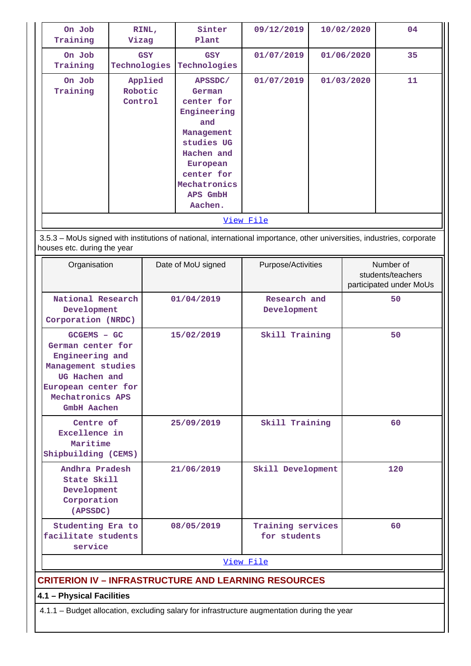| On Job<br>Training                                                                                                                                   | Vizag                         | RINL,      | Sinter<br>Plant                                                                                                                                                  | 09/12/2019                                                                                                             | 10/02/2020 |            | 04                                                        |
|------------------------------------------------------------------------------------------------------------------------------------------------------|-------------------------------|------------|------------------------------------------------------------------------------------------------------------------------------------------------------------------|------------------------------------------------------------------------------------------------------------------------|------------|------------|-----------------------------------------------------------|
| On Job<br>Training                                                                                                                                   | Technologies                  | <b>GSY</b> | <b>GSY</b><br>Technologies                                                                                                                                       | 01/07/2019                                                                                                             |            | 01/06/2020 | 35                                                        |
| On Job<br>Training                                                                                                                                   | Applied<br>Robotic<br>Control |            | APSSDC/<br>German<br>center for<br>Engineering<br>and<br>Management<br>studies UG<br>Hachen and<br>European<br>center for<br>Mechatronics<br>APS GmbH<br>Aachen. | 01/07/2019<br>View File                                                                                                |            | 01/03/2020 | 11                                                        |
|                                                                                                                                                      |                               |            |                                                                                                                                                                  | 3.5.3 - MoUs signed with institutions of national, international importance, other universities, industries, corporate |            |            |                                                           |
| houses etc. during the year                                                                                                                          |                               |            |                                                                                                                                                                  |                                                                                                                        |            |            |                                                           |
| Organisation                                                                                                                                         |                               |            | Date of MoU signed                                                                                                                                               | Purpose/Activities                                                                                                     |            |            | Number of<br>students/teachers<br>participated under MoUs |
| National Research<br>Development<br>Corporation (NRDC)                                                                                               |                               |            | 01/04/2019                                                                                                                                                       | Research and<br>Development                                                                                            |            |            | 50                                                        |
| GCGEMS - GC<br>German center for<br>Engineering and<br>Management studies<br>UG Hachen and<br>European center for<br>Mechatronics APS<br>GmbH Aachen |                               |            | 15/02/2019                                                                                                                                                       | Skill Training                                                                                                         |            |            | 50                                                        |
| Centre of<br>Excellence in<br>Maritime<br>Shipbuilding (CEMS)                                                                                        |                               |            | 25/09/2019                                                                                                                                                       | Skill Training                                                                                                         |            |            | 60                                                        |
| Andhra Pradesh<br>State Skill<br>Development<br>Corporation<br>(APSSDC)                                                                              |                               | 21/06/2019 |                                                                                                                                                                  | Skill Development                                                                                                      |            |            | 120                                                       |
| Studenting Era to<br>facilitate students<br>service                                                                                                  |                               |            | 08/05/2019                                                                                                                                                       | Training services<br>for students                                                                                      |            |            | 60                                                        |
|                                                                                                                                                      |                               |            |                                                                                                                                                                  | View File                                                                                                              |            |            |                                                           |
|                                                                                                                                                      |                               |            |                                                                                                                                                                  | <b>CRITERION IV - INFRASTRUCTURE AND LEARNING RESOURCES</b>                                                            |            |            |                                                           |
| 4.1 - Physical Facilities                                                                                                                            |                               |            |                                                                                                                                                                  |                                                                                                                        |            |            |                                                           |
| 4.1.1 - Budget allocation, excluding salary for infrastructure augmentation during the year                                                          |                               |            |                                                                                                                                                                  |                                                                                                                        |            |            |                                                           |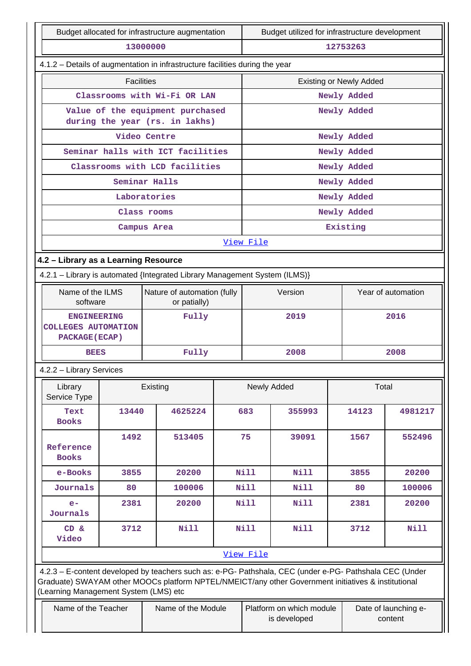| Budget allocated for infrastructure augmentation                   |                                                                              |                                                                                                                                                                                                                |                                             |                                | Budget utilized for infrastructure development |             |                                 |  |
|--------------------------------------------------------------------|------------------------------------------------------------------------------|----------------------------------------------------------------------------------------------------------------------------------------------------------------------------------------------------------------|---------------------------------------------|--------------------------------|------------------------------------------------|-------------|---------------------------------|--|
| 13000000                                                           |                                                                              |                                                                                                                                                                                                                |                                             |                                | 12753263                                       |             |                                 |  |
|                                                                    | 4.1.2 - Details of augmentation in infrastructure facilities during the year |                                                                                                                                                                                                                |                                             |                                |                                                |             |                                 |  |
|                                                                    | <b>Facilities</b>                                                            |                                                                                                                                                                                                                |                                             | <b>Existing or Newly Added</b> |                                                |             |                                 |  |
|                                                                    |                                                                              | Classrooms with Wi-Fi OR LAN                                                                                                                                                                                   |                                             |                                |                                                | Newly Added |                                 |  |
|                                                                    |                                                                              | Value of the equipment purchased<br>during the year (rs. in lakhs)                                                                                                                                             |                                             |                                |                                                | Newly Added |                                 |  |
|                                                                    |                                                                              | Video Centre                                                                                                                                                                                                   |                                             |                                |                                                | Newly Added |                                 |  |
|                                                                    |                                                                              | Seminar halls with ICT facilities                                                                                                                                                                              |                                             |                                |                                                | Newly Added |                                 |  |
|                                                                    |                                                                              | Classrooms with LCD facilities                                                                                                                                                                                 |                                             |                                |                                                | Newly Added |                                 |  |
|                                                                    |                                                                              | Seminar Halls                                                                                                                                                                                                  |                                             |                                |                                                | Newly Added |                                 |  |
|                                                                    |                                                                              | Laboratories                                                                                                                                                                                                   |                                             |                                |                                                | Newly Added |                                 |  |
|                                                                    |                                                                              | Class rooms                                                                                                                                                                                                    |                                             |                                |                                                | Newly Added |                                 |  |
|                                                                    |                                                                              | Campus Area                                                                                                                                                                                                    |                                             |                                |                                                | Existing    |                                 |  |
|                                                                    |                                                                              |                                                                                                                                                                                                                |                                             | View File                      |                                                |             |                                 |  |
| 4.2 - Library as a Learning Resource                               |                                                                              |                                                                                                                                                                                                                |                                             |                                |                                                |             |                                 |  |
|                                                                    |                                                                              | 4.2.1 - Library is automated {Integrated Library Management System (ILMS)}                                                                                                                                     |                                             |                                |                                                |             |                                 |  |
| Name of the ILMS<br>software                                       |                                                                              |                                                                                                                                                                                                                | Nature of automation (fully<br>or patially) |                                | Version                                        |             | Year of automation              |  |
| <b>ENGINEERING</b><br><b>COLLEGES AUTOMATION</b><br>PACKAGE (ECAP) |                                                                              | Fully                                                                                                                                                                                                          |                                             | 2019                           |                                                |             | 2016                            |  |
| <b>BEES</b>                                                        |                                                                              | Fully                                                                                                                                                                                                          |                                             |                                | 2008                                           |             | 2008                            |  |
| 4.2.2 - Library Services                                           |                                                                              |                                                                                                                                                                                                                |                                             |                                |                                                |             |                                 |  |
| Library<br>Service Type                                            |                                                                              | Existing                                                                                                                                                                                                       |                                             | Newly Added                    |                                                |             | Total                           |  |
| Text<br><b>Books</b>                                               | 13440                                                                        | 4625224                                                                                                                                                                                                        |                                             | 683                            | 355993                                         | 14123       | 4981217                         |  |
| Reference<br><b>Books</b>                                          | 1492                                                                         | 513405                                                                                                                                                                                                         |                                             | 75                             | 39091                                          | 1567        | 552496                          |  |
| e-Books                                                            | 3855                                                                         | 20200                                                                                                                                                                                                          |                                             | <b>Nill</b>                    | <b>Nill</b>                                    | 3855        | 20200                           |  |
| Journals                                                           | 80                                                                           | 100006                                                                                                                                                                                                         |                                             | Nill                           | Nill                                           | 80          | 100006                          |  |
| $e-$<br>Journals                                                   | 2381                                                                         | 20200                                                                                                                                                                                                          |                                             | <b>Nill</b>                    | <b>Nill</b>                                    | 2381        | 20200                           |  |
| CD &<br>Video                                                      | 3712<br><b>Nill</b>                                                          |                                                                                                                                                                                                                |                                             | <b>Nill</b>                    | <b>Nill</b>                                    | 3712        | Nill                            |  |
|                                                                    |                                                                              |                                                                                                                                                                                                                |                                             | View File                      |                                                |             |                                 |  |
| (Learning Management System (LMS) etc                              |                                                                              | 4.2.3 - E-content developed by teachers such as: e-PG- Pathshala, CEC (under e-PG- Pathshala CEC (Under<br>Graduate) SWAYAM other MOOCs platform NPTEL/NMEICT/any other Government initiatives & institutional |                                             |                                |                                                |             |                                 |  |
|                                                                    | Name of the Teacher<br>Name of the Module                                    |                                                                                                                                                                                                                |                                             |                                | Platform on which module<br>is developed       |             | Date of launching e-<br>content |  |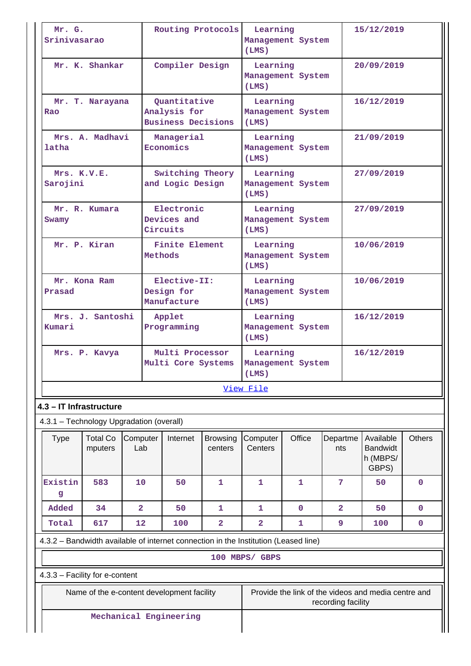| Mr. G.<br>Srinivasarao                                                              |                            |                 |                                           | Routing Protocols                                         |                            | Learning<br>(LMS)                      | Management System |                    | 15/12/2019                                          |               |
|-------------------------------------------------------------------------------------|----------------------------|-----------------|-------------------------------------------|-----------------------------------------------------------|----------------------------|----------------------------------------|-------------------|--------------------|-----------------------------------------------------|---------------|
|                                                                                     | Mr. K. Shankar             |                 |                                           | Compiler Design                                           |                            | Learning<br>(LMS)                      | Management System |                    | 20/09/2019                                          |               |
| Rao                                                                                 | Mr. T. Narayana            |                 |                                           | Quantitative<br>Analysis for<br><b>Business Decisions</b> |                            | Learning<br>(LMS)                      | Management System |                    | 16/12/2019                                          |               |
| latha                                                                               | Mrs. A. Madhavi            |                 |                                           | Managerial<br>Economics                                   |                            | Learning<br>(LMS)                      | Management System |                    | 21/09/2019                                          |               |
| Mrs. K.V.E.<br>Sarojini                                                             |                            |                 |                                           | Switching Theory<br>and Logic Design                      |                            | Learning<br>(LMS)                      | Management System |                    | 27/09/2019                                          |               |
| Swamy                                                                               | Mr. R. Kumara              |                 |                                           | Electronic<br>Devices and<br>Circuits                     |                            | Learning<br>(LMS)                      | Management System |                    | 27/09/2019                                          |               |
|                                                                                     | Mr. P. Kiran               |                 | <b>Finite Element</b><br>Methods          |                                                           |                            | Learning<br>Management System<br>(LMS) |                   |                    | 10/06/2019                                          |               |
| Prasad                                                                              | Mr. Kona Ram               |                 | Elective-II:<br>Design for<br>Manufacture |                                                           |                            | Learning<br>(LMS)                      | Management System |                    | 10/06/2019                                          |               |
| Kumari                                                                              | Mrs. J. Santoshi           |                 |                                           | Applet<br>Programming                                     |                            | Learning<br>(LMS)                      | Management System |                    | 16/12/2019                                          |               |
|                                                                                     | Mrs. P. Kavya              |                 |                                           | Multi Processor<br>Multi Core Systems                     |                            | Learning<br>(LMS)                      | Management System |                    | 16/12/2019                                          |               |
|                                                                                     |                            |                 |                                           |                                                           |                            | View File                              |                   |                    |                                                     |               |
| 4.3 - IT Infrastructure                                                             |                            |                 |                                           |                                                           |                            |                                        |                   |                    |                                                     |               |
| 4.3.1 - Technology Upgradation (overall)                                            |                            |                 |                                           |                                                           |                            |                                        |                   |                    |                                                     |               |
| <b>Type</b>                                                                         | <b>Total Co</b><br>mputers | Computer<br>Lab |                                           | Internet                                                  | <b>Browsing</b><br>centers | Computer<br>Centers                    | Office            | Departme<br>nts    | Available<br><b>Bandwidt</b><br>h (MBPS/<br>GBPS)   | <b>Others</b> |
| Existin<br>g                                                                        | 583                        | 10              |                                           | 50                                                        | $\mathbf 1$                | 1                                      | 1                 | 7                  | 50                                                  | $\mathbf 0$   |
| Added                                                                               | 34                         | $\overline{2}$  |                                           | 50                                                        | 1                          | 1                                      | $\mathbf 0$       | $\overline{2}$     | 50                                                  | $\mathbf 0$   |
| Total                                                                               | 617                        | 12              |                                           | 100                                                       | $\overline{\mathbf{2}}$    | $\overline{\mathbf{2}}$                | $\mathbf{1}$      | 9                  | 100                                                 | $\mathbf 0$   |
| 4.3.2 - Bandwidth available of internet connection in the Institution (Leased line) |                            |                 |                                           |                                                           |                            |                                        |                   |                    |                                                     |               |
|                                                                                     |                            |                 |                                           |                                                           |                            | 100 MBPS/ GBPS                         |                   |                    |                                                     |               |
| 4.3.3 - Facility for e-content                                                      |                            |                 |                                           |                                                           |                            |                                        |                   |                    |                                                     |               |
|                                                                                     |                            |                 |                                           | Name of the e-content development facility                |                            |                                        |                   | recording facility | Provide the link of the videos and media centre and |               |
|                                                                                     |                            |                 |                                           | Mechanical Engineering                                    |                            |                                        |                   |                    |                                                     |               |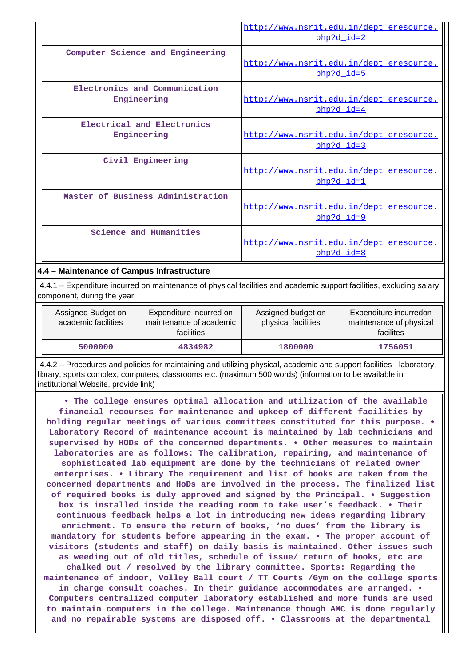|                                              | http://www.nsrit.edu.in/dept eresource.<br>php?d_id=2   |
|----------------------------------------------|---------------------------------------------------------|
| Computer Science and Engineering             | http://www.nsrit.edu.in/dept eresource.<br>php?d id=5   |
| Electronics and Communication<br>Engineering | http://www.nsrit.edu.in/dept eresource.<br>php?d_id=4   |
| Electrical and Electronics<br>Engineering    | http://www.nsrit.edu.in/dept eresource.<br>$php?d$ id=3 |
| Civil Engineering                            | http://www.nsrit.edu.in/dept_eresource.<br>php?d id=1   |
| Master of Business Administration            | http://www.nsrit.edu.in/dept eresource.<br>php?d id=9   |
| Science and Humanities                       | http://www.nsrit.edu.in/dept eresource.<br>php?d id=8   |

## **4.4 – Maintenance of Campus Infrastructure**

 4.4.1 – Expenditure incurred on maintenance of physical facilities and academic support facilities, excluding salary component, during the year

| Assigned Budget on<br>academic facilities | Expenditure incurred on<br>maintenance of academic<br>facilities | Assigned budget on<br>physical facilities | Expenditure incurredon<br>maintenance of physical<br>facilites |
|-------------------------------------------|------------------------------------------------------------------|-------------------------------------------|----------------------------------------------------------------|
| 5000000                                   | 4834982                                                          | 1800000                                   | 1756051                                                        |

 4.4.2 – Procedures and policies for maintaining and utilizing physical, academic and support facilities - laboratory, library, sports complex, computers, classrooms etc. (maximum 500 words) (information to be available in institutional Website, provide link)

 **• The college ensures optimal allocation and utilization of the available financial recourses for maintenance and upkeep of different facilities by holding regular meetings of various committees constituted for this purpose. • Laboratory Record of maintenance account is maintained by lab technicians and supervised by HODs of the concerned departments. • Other measures to maintain laboratories are as follows: The calibration, repairing, and maintenance of sophisticated lab equipment are done by the technicians of related owner enterprises. • Library The requirement and list of books are taken from the concerned departments and HoDs are involved in the process. The finalized list of required books is duly approved and signed by the Principal. • Suggestion box is installed inside the reading room to take user's feedback. • Their continuous feedback helps a lot in introducing new ideas regarding library enrichment. To ensure the return of books, 'no dues' from the library is mandatory for students before appearing in the exam. • The proper account of visitors (students and staff) on daily basis is maintained. Other issues such as weeding out of old titles, schedule of issue/ return of books, etc are chalked out / resolved by the library committee. Sports: Regarding the maintenance of indoor, Volley Ball court / TT Courts /Gym on the college sports in charge consult coaches. In their guidance accommodates are arranged. • Computers centralized computer laboratory established and more funds are used to maintain computers in the college. Maintenance though AMC is done regularly and no repairable systems are disposed off. • Classrooms at the departmental**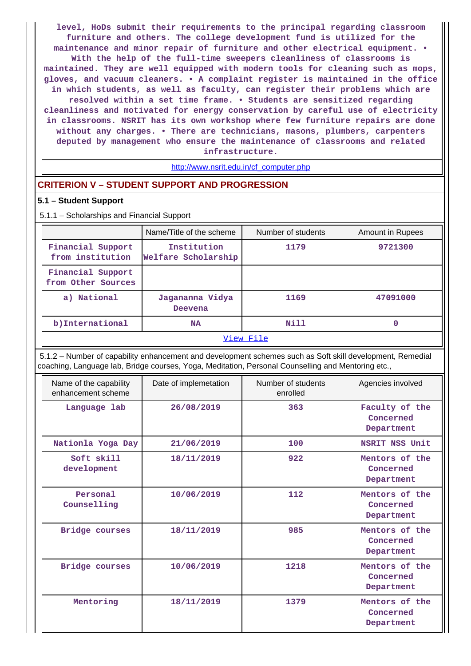**level, HoDs submit their requirements to the principal regarding classroom furniture and others. The college development fund is utilized for the maintenance and minor repair of furniture and other electrical equipment. • With the help of the full-time sweepers cleanliness of classrooms is maintained. They are well equipped with modern tools for cleaning such as mops, gloves, and vacuum cleaners. • A complaint register is maintained in the office in which students, as well as faculty, can register their problems which are resolved within a set time frame. • Students are sensitized regarding cleanliness and motivated for energy conservation by careful use of electricity in classrooms. NSRIT has its own workshop where few furniture repairs are done without any charges. • There are technicians, masons, plumbers, carpenters deputed by management who ensure the maintenance of classrooms and related infrastructure.**

#### [http://www.nsrit.edu.in/cf\\_computer.php](http://www.nsrit.edu.in/cf_computer.php)

#### **CRITERION V – STUDENT SUPPORT AND PROGRESSION**

#### **5.1 – Student Support**

5.1.1 – Scholarships and Financial Support

|                                         | Name/Title of the scheme           | Number of students | Amount in Rupees |  |  |  |
|-----------------------------------------|------------------------------------|--------------------|------------------|--|--|--|
| Financial Support<br>from institution   | Institution<br>Welfare Scholarship | 1179               | 9721300          |  |  |  |
| Financial Support<br>from Other Sources |                                    |                    |                  |  |  |  |
| a) National                             | Jagananna Vidya<br>Deevena         | 1169               | 47091000         |  |  |  |
| b)International                         | <b>NA</b>                          | Nill               | 0                |  |  |  |
| View File                               |                                    |                    |                  |  |  |  |

 5.1.2 – Number of capability enhancement and development schemes such as Soft skill development, Remedial coaching, Language lab, Bridge courses, Yoga, Meditation, Personal Counselling and Mentoring etc.,

| Name of the capability<br>enhancement scheme | Date of implemetation | Number of students<br>enrolled | Agencies involved                         |
|----------------------------------------------|-----------------------|--------------------------------|-------------------------------------------|
| Language lab                                 | 26/08/2019            | 363                            | Faculty of the<br>Concerned<br>Department |
| Nationla Yoga Day                            | 21/06/2019            | 100                            | NSRIT NSS Unit                            |
| Soft skill<br>development                    | 18/11/2019            | 922                            | Mentors of the<br>Concerned<br>Department |
| Personal<br>Counselling                      | 10/06/2019            | 112                            | Mentors of the<br>Concerned<br>Department |
| Bridge courses                               | 18/11/2019            | 985                            | Mentors of the<br>Concerned<br>Department |
| Bridge courses                               | 10/06/2019            | 1218                           | Mentors of the<br>Concerned<br>Department |
| Mentoring                                    | 18/11/2019            | 1379                           | Mentors of the<br>Concerned<br>Department |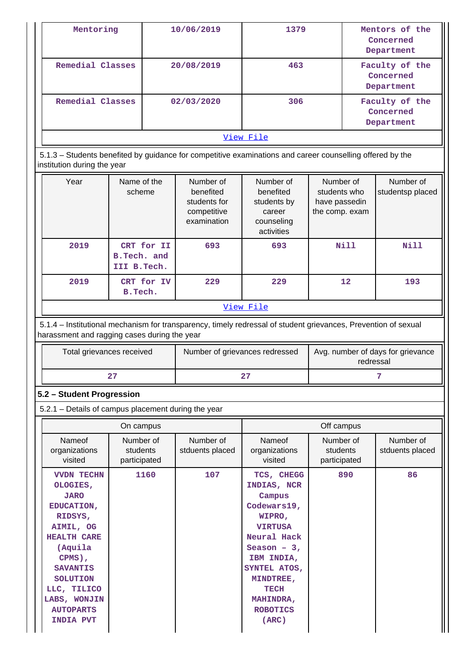| Mentoring                                                                                                                                                      |                                           |            | 10/06/2019                                                           | 1379                                                                        |                                                              | Mentors of the<br>Concerned<br>Department |                               |
|----------------------------------------------------------------------------------------------------------------------------------------------------------------|-------------------------------------------|------------|----------------------------------------------------------------------|-----------------------------------------------------------------------------|--------------------------------------------------------------|-------------------------------------------|-------------------------------|
| Remedial Classes                                                                                                                                               |                                           |            | 20/08/2019                                                           | 463                                                                         |                                                              | Faculty of the<br>Concerned<br>Department |                               |
| Remedial Classes                                                                                                                                               |                                           |            | 02/03/2020                                                           | 306                                                                         |                                                              | Faculty of the<br>Concerned<br>Department |                               |
|                                                                                                                                                                |                                           |            |                                                                      | View File                                                                   |                                                              |                                           |                               |
| 5.1.3 – Students benefited by guidance for competitive examinations and career counselling offered by the<br>institution during the year                       |                                           |            |                                                                      |                                                                             |                                                              |                                           |                               |
| Year                                                                                                                                                           | Name of the<br>scheme                     |            | Number of<br>benefited<br>students for<br>competitive<br>examination | Number of<br>benefited<br>students by<br>career<br>counseling<br>activities | Number of<br>students who<br>have passedin<br>the comp. exam |                                           | Number of<br>studentsp placed |
| 2019                                                                                                                                                           | CRT for II<br>B.Tech. and<br>III B. Tech. |            | 693                                                                  | 693                                                                         |                                                              | Nill                                      | Nill                          |
| 2019                                                                                                                                                           | B.Tech.                                   | CRT for IV | 229                                                                  | 229                                                                         | 12                                                           |                                           | 193                           |
|                                                                                                                                                                |                                           |            |                                                                      | View File                                                                   |                                                              |                                           |                               |
| 5.1.4 – Institutional mechanism for transparency, timely redressal of student grievances, Prevention of sexual<br>harassment and ragging cases during the year |                                           |            |                                                                      |                                                                             |                                                              |                                           |                               |
| Total grievances received                                                                                                                                      |                                           |            | Number of grievances redressed                                       | Avg. number of days for grievance<br>redressal                              |                                                              |                                           |                               |
|                                                                                                                                                                | 27                                        |            |                                                                      | 27                                                                          |                                                              |                                           | 7                             |
| 5.2 - Student Progression                                                                                                                                      |                                           |            |                                                                      |                                                                             |                                                              |                                           |                               |
| 5.2.1 - Details of campus placement during the year                                                                                                            |                                           |            |                                                                      |                                                                             |                                                              |                                           |                               |
|                                                                                                                                                                | On campus                                 |            |                                                                      |                                                                             | Off campus                                                   |                                           |                               |
| Nameof<br>organizations<br>visited                                                                                                                             | Number of<br>students<br>participated     |            | Number of<br>stduents placed                                         | Nameof<br>organizations<br>visited                                          | Number of<br>students<br>participated                        |                                           | Number of<br>stduents placed  |
| <b>VVDN TECHN</b><br>OLOGIES,<br><b>JARO</b><br>EDUCATION,<br>RIDSYS,                                                                                          |                                           | 1160       | 107                                                                  | TCS, CHEGG<br>INDIAS, NCR<br>Campus<br>Codewars19,<br>WIPRO,                |                                                              | 890                                       | 86                            |

**VIRTUSA Neural Hack Season – 3, IBM INDIA, SYNTEL ATOS, MINDTREE, TECH MAHINDRA, ROBOTICS (ARC)**

**AIMIL, OG HEALTH CARE (Aquila CPMS), SAVANTIS SOLUTION LLC, TILICO LABS, WONJIN AUTOPARTS INDIA PVT**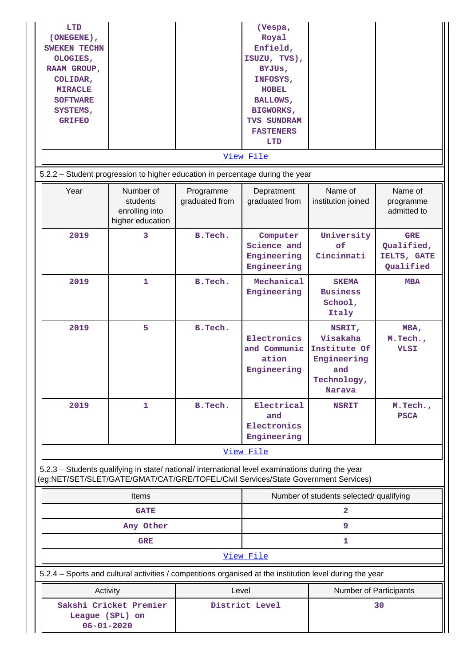| LTD<br>(ONEGENE),<br><b>SWEKEN TECHN</b><br>OLOGIES,<br>RAAM GROUP,<br>COLIDAR,<br><b>MIRACLE</b><br><b>SOFTWARE</b><br>SYSTEMS,<br><b>GRIFEO</b> |                                                                                                          |                             | (Vespa,<br>Royal<br>Enfield,<br>ISUZU, TVS),<br>BYJUS,<br>INFOSYS,<br><b>HOBEL</b><br><b>BALLOWS,</b><br><b>BIGWORKS,</b><br>TVS SUNDRAM<br><b>FASTENERS</b><br><b>LTD</b><br>View File |                                                                                   |                                                      |  |
|---------------------------------------------------------------------------------------------------------------------------------------------------|----------------------------------------------------------------------------------------------------------|-----------------------------|-----------------------------------------------------------------------------------------------------------------------------------------------------------------------------------------|-----------------------------------------------------------------------------------|------------------------------------------------------|--|
|                                                                                                                                                   | 5.2.2 - Student progression to higher education in percentage during the year                            |                             |                                                                                                                                                                                         |                                                                                   |                                                      |  |
| Year                                                                                                                                              | Number of<br>students<br>enrolling into<br>higher education                                              | Programme<br>graduated from | Depratment<br>graduated from                                                                                                                                                            | Name of<br>institution joined                                                     | Name of<br>programme<br>admitted to                  |  |
| 2019                                                                                                                                              | 3                                                                                                        | B. Tech.                    | Computer<br>Science and<br>Engineering<br>Engineering                                                                                                                                   | University<br>of<br>Cincinnati                                                    | <b>GRE</b><br>Qualified,<br>IELTS, GATE<br>Qualified |  |
| 2019                                                                                                                                              | $\mathbf{1}$                                                                                             | B.Tech.                     | Mechanical<br>Engineering                                                                                                                                                               | <b>SKEMA</b><br><b>Business</b><br>School,<br>Italy                               | <b>MBA</b>                                           |  |
| 2019                                                                                                                                              | 5                                                                                                        | B.Tech.                     | Electronics<br>and Communic<br>ation<br>Engineering                                                                                                                                     | NSRIT,<br>Visakaha<br>Institute Of<br>Engineering<br>and<br>Technology,<br>Narava | MBA,<br>M.Tech.,<br><b>VLSI</b>                      |  |
| 2019                                                                                                                                              | 1                                                                                                        | B. Tech.                    | Electrical<br>and<br>Electronics<br>Engineering                                                                                                                                         | <b>NSRIT</b>                                                                      | M. Tech.,<br><b>PSCA</b>                             |  |
|                                                                                                                                                   |                                                                                                          |                             | View File                                                                                                                                                                               |                                                                                   |                                                      |  |
| (eg:NET/SET/SLET/GATE/GMAT/CAT/GRE/TOFEL/Civil Services/State Government Services)                                                                | 5.2.3 - Students qualifying in state/ national/ international level examinations during the year         |                             |                                                                                                                                                                                         |                                                                                   |                                                      |  |
|                                                                                                                                                   | Items                                                                                                    |                             |                                                                                                                                                                                         | Number of students selected/ qualifying                                           |                                                      |  |
|                                                                                                                                                   | <b>GATE</b>                                                                                              |                             |                                                                                                                                                                                         | 2                                                                                 |                                                      |  |
|                                                                                                                                                   | Any Other                                                                                                |                             |                                                                                                                                                                                         | 9                                                                                 |                                                      |  |
|                                                                                                                                                   | <b>GRE</b>                                                                                               |                             | View File                                                                                                                                                                               | 1                                                                                 |                                                      |  |
|                                                                                                                                                   | 5.2.4 - Sports and cultural activities / competitions organised at the institution level during the year |                             |                                                                                                                                                                                         |                                                                                   |                                                      |  |
| Activity                                                                                                                                          |                                                                                                          | Level                       |                                                                                                                                                                                         |                                                                                   |                                                      |  |
| $06 - 01 - 2020$                                                                                                                                  | Sakshi Cricket Premier<br>League (SPL) on                                                                |                             | District Level                                                                                                                                                                          |                                                                                   | Number of Participants<br>30                         |  |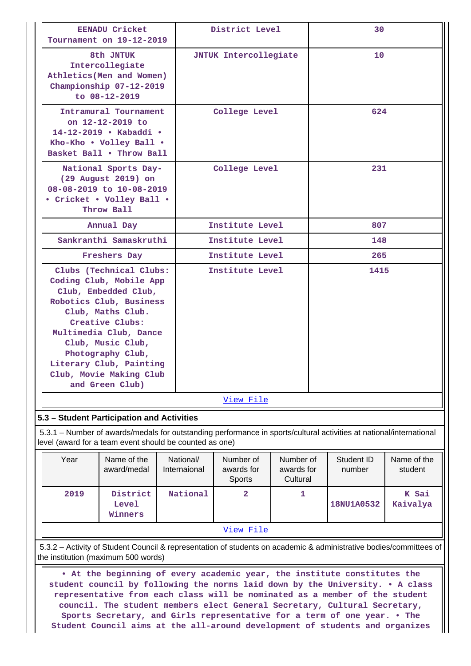|                                                                                                                                                           | <b>EENADU Cricket</b><br>Tournament on 19-12-2019                                                                                                                                                                                                                                          |                           | District Level                    |                                     | 30                                                                                                                  |                        |  |
|-----------------------------------------------------------------------------------------------------------------------------------------------------------|--------------------------------------------------------------------------------------------------------------------------------------------------------------------------------------------------------------------------------------------------------------------------------------------|---------------------------|-----------------------------------|-------------------------------------|---------------------------------------------------------------------------------------------------------------------|------------------------|--|
|                                                                                                                                                           | 8th JNTUK<br>Intercollegiate<br>Athletics (Men and Women)<br>Championship 07-12-2019<br>to $08 - 12 - 2019$                                                                                                                                                                                |                           | <b>JNTUK Intercollegiate</b>      |                                     | 10                                                                                                                  |                        |  |
|                                                                                                                                                           | Intramural Tournament<br>on 12-12-2019 to<br>14-12-2019 • Kabaddi •<br>Kho-Kho . Volley Ball .<br>Basket Ball . Throw Ball                                                                                                                                                                 |                           | College Level                     |                                     | 624                                                                                                                 |                        |  |
|                                                                                                                                                           | National Sports Day-<br>(29 August 2019) on<br>08-08-2019 to 10-08-2019<br>• Cricket • Volley Ball •<br>Throw Ball                                                                                                                                                                         |                           | College Level                     |                                     | 231                                                                                                                 |                        |  |
|                                                                                                                                                           | Annual Day                                                                                                                                                                                                                                                                                 |                           | Institute Level                   |                                     | 807                                                                                                                 |                        |  |
|                                                                                                                                                           | Sankranthi Samaskruthi                                                                                                                                                                                                                                                                     |                           | Institute Level                   |                                     | 148                                                                                                                 |                        |  |
|                                                                                                                                                           | Freshers Day                                                                                                                                                                                                                                                                               |                           | Institute Level                   |                                     | 265                                                                                                                 |                        |  |
|                                                                                                                                                           | Clubs (Technical Clubs:<br>Coding Club, Mobile App<br>Club, Embedded Club,<br>Robotics Club, Business<br>Club, Maths Club.<br>Creative Clubs:<br>Multimedia Club, Dance<br>Club, Music Club,<br>Photography Club,<br>Literary Club, Painting<br>Club, Movie Making Club<br>and Green Club) |                           | Institute Level                   |                                     | 1415                                                                                                                |                        |  |
|                                                                                                                                                           |                                                                                                                                                                                                                                                                                            |                           | View File                         |                                     |                                                                                                                     |                        |  |
| 5.3 - Student Participation and Activities                                                                                                                |                                                                                                                                                                                                                                                                                            |                           |                                   |                                     |                                                                                                                     |                        |  |
| level (award for a team event should be counted as one)                                                                                                   |                                                                                                                                                                                                                                                                                            |                           |                                   |                                     | 5.3.1 - Number of awards/medals for outstanding performance in sports/cultural activities at national/international |                        |  |
| Year                                                                                                                                                      | Name of the<br>award/medal                                                                                                                                                                                                                                                                 | National/<br>Internaional | Number of<br>awards for<br>Sports | Number of<br>awards for<br>Cultural | Student ID<br>number                                                                                                | Name of the<br>student |  |
| 2019                                                                                                                                                      | District<br>Level<br>Winners                                                                                                                                                                                                                                                               | National                  | 2                                 | 1                                   | 18NU1A0532                                                                                                          | K Sai<br>Kaivalya      |  |
|                                                                                                                                                           |                                                                                                                                                                                                                                                                                            |                           | <u>View File</u>                  |                                     |                                                                                                                     |                        |  |
| 5.3.2 - Activity of Student Council & representation of students on academic & administrative bodies/committees of<br>the institution (maximum 500 words) |                                                                                                                                                                                                                                                                                            |                           |                                   |                                     |                                                                                                                     |                        |  |

 **• At the beginning of every academic year, the institute constitutes the student council by following the norms laid down by the University. • A class representative from each class will be nominated as a member of the student council. The student members elect General Secretary, Cultural Secretary, Sports Secretary, and Girls representative for a term of one year. • The Student Council aims at the all-around development of students and organizes**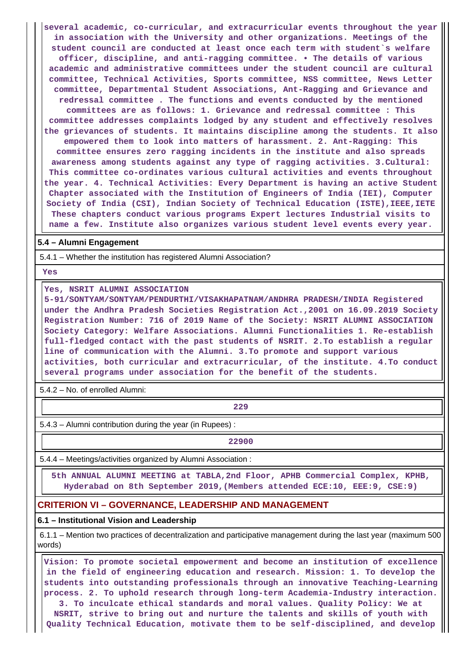**several academic, co-curricular, and extracurricular events throughout the year in association with the University and other organizations. Meetings of the student council are conducted at least once each term with student`s welfare officer, discipline, and anti-ragging committee. • The details of various academic and administrative committees under the student council are cultural committee, Technical Activities, Sports committee, NSS committee, News Letter committee, Departmental Student Associations, Ant-Ragging and Grievance and redressal committee . The functions and events conducted by the mentioned committees are as follows: 1. Grievance and redressal committee : This committee addresses complaints lodged by any student and effectively resolves the grievances of students. It maintains discipline among the students. It also empowered them to look into matters of harassment. 2. Ant-Ragging: This committee ensures zero ragging incidents in the institute and also spreads awareness among students against any type of ragging activities. 3.Cultural: This committee co-ordinates various cultural activities and events throughout the year. 4. Technical Activities: Every Department is having an active Student Chapter associated with the Institution of Engineers of India (IEI), Computer Society of India (CSI), Indian Society of Technical Education (ISTE),IEEE,IETE These chapters conduct various programs Expert lectures Industrial visits to name a few. Institute also organizes various student level events every year.**

#### **5.4 – Alumni Engagement**

5.4.1 – Whether the institution has registered Alumni Association?

 **Yes**

**Yes, NSRIT ALUMNI ASSOCIATION**

**5-91/SONTYAM/SONTYAM/PENDURTHI/VISAKHAPATNAM/ANDHRA PRADESH/INDIA Registered under the Andhra Pradesh Societies Registration Act.,2001 on 16.09.2019 Society Registration Number: 716 of 2019 Name of the Society: NSRIT ALUMNI ASSOCIATION Society Category: Welfare Associations. Alumni Functionalities 1. Re-establish full-fledged contact with the past students of NSRIT. 2.To establish a regular line of communication with the Alumni. 3.To promote and support various activities, both curricular and extracurricular, of the institute. 4.To conduct several programs under association for the benefit of the students.**

5.4.2 – No. of enrolled Alumni:

— <u>229</u> марта в област в област в 229 марта в област в 229 марта в област в 229

5.4.3 – Alumni contribution during the year (in Rupees) :

**22900**

5.4.4 – Meetings/activities organized by Alumni Association :

 **5th ANNUAL ALUMNI MEETING at TABLA,2nd Floor, APHB Commercial Complex, KPHB, Hyderabad on 8th September 2019,(Members attended ECE:10, EEE:9, CSE:9)**

#### **CRITERION VI – GOVERNANCE, LEADERSHIP AND MANAGEMENT**

#### **6.1 – Institutional Vision and Leadership**

 6.1.1 – Mention two practices of decentralization and participative management during the last year (maximum 500 words)

 **Vision: To promote societal empowerment and become an institution of excellence in the field of engineering education and research. Mission: 1. To develop the students into outstanding professionals through an innovative Teaching-Learning process. 2. To uphold research through long-term Academia-Industry interaction.**

**3. To inculcate ethical standards and moral values. Quality Policy: We at NSRIT, strive to bring out and nurture the talents and skills of youth with Quality Technical Education, motivate them to be self-disciplined, and develop**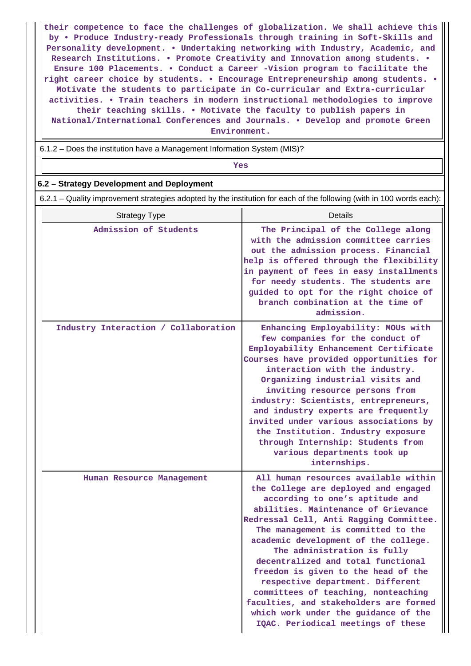**their competence to face the challenges of globalization. We shall achieve this by • Produce Industry-ready Professionals through training in Soft-Skills and Personality development. • Undertaking networking with Industry, Academic, and Research Institutions. • Promote Creativity and Innovation among students. • Ensure 100 Placements. • Conduct a Career -Vision program to facilitate the right career choice by students. • Encourage Entrepreneurship among students. • Motivate the students to participate in Co-curricular and Extra-curricular activities. • Train teachers in modern instructional methodologies to improve their teaching skills. • Motivate the faculty to publish papers in National/International Conferences and Journals. • Develop and promote Green Environment.**

6.1.2 – Does the institution have a Management Information System (MIS)?

# *Yes*

#### **6.2 – Strategy Development and Deployment**

6.2.1 – Quality improvement strategies adopted by the institution for each of the following (with in 100 words each):

| <b>Strategy Type</b>                 | Details                                                                                                                                                                                                                                                                                                                                                                                                                                                                                                                                                                                        |
|--------------------------------------|------------------------------------------------------------------------------------------------------------------------------------------------------------------------------------------------------------------------------------------------------------------------------------------------------------------------------------------------------------------------------------------------------------------------------------------------------------------------------------------------------------------------------------------------------------------------------------------------|
| Admission of Students                | The Principal of the College along<br>with the admission committee carries<br>out the admission process. Financial<br>help is offered through the flexibility<br>in payment of fees in easy installments<br>for needy students. The students are<br>guided to opt for the right choice of<br>branch combination at the time of<br>admission.                                                                                                                                                                                                                                                   |
| Industry Interaction / Collaboration | Enhancing Employability: MOUs with<br>few companies for the conduct of<br>Employability Enhancement Certificate<br>Courses have provided opportunities for<br>interaction with the industry.<br>Organizing industrial visits and<br>inviting resource persons from<br>industry: Scientists, entrepreneurs,<br>and industry experts are frequently<br>invited under various associations by<br>the Institution. Industry exposure<br>through Internship: Students from<br>various departments took up<br>internships.                                                                           |
| Human Resource Management            | All human resources available within<br>the College are deployed and engaged<br>according to one's aptitude and<br>abilities. Maintenance of Grievance<br>Redressal Cell, Anti Ragging Committee.<br>The management is committed to the<br>academic development of the college.<br>The administration is fully<br>decentralized and total functional<br>freedom is given to the head of the<br>respective department. Different<br>committees of teaching, nonteaching<br>faculties, and stakeholders are formed<br>which work under the guidance of the<br>IQAC. Periodical meetings of these |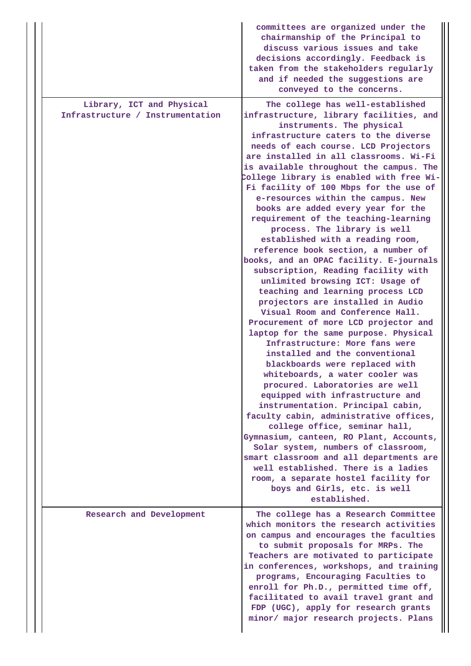|                                                               | committees are organized under the<br>chairmanship of the Principal to<br>discuss various issues and take<br>decisions accordingly. Feedback is<br>taken from the stakeholders regularly<br>and if needed the suggestions are<br>conveyed to the concerns.                                                                                                                                                                                                                                                                                                                                                                                                                                                                                                                                                                                                                                                                                                                                                                                                                                                                                                                                                                                                                                                                                                                                                                                                                                           |
|---------------------------------------------------------------|------------------------------------------------------------------------------------------------------------------------------------------------------------------------------------------------------------------------------------------------------------------------------------------------------------------------------------------------------------------------------------------------------------------------------------------------------------------------------------------------------------------------------------------------------------------------------------------------------------------------------------------------------------------------------------------------------------------------------------------------------------------------------------------------------------------------------------------------------------------------------------------------------------------------------------------------------------------------------------------------------------------------------------------------------------------------------------------------------------------------------------------------------------------------------------------------------------------------------------------------------------------------------------------------------------------------------------------------------------------------------------------------------------------------------------------------------------------------------------------------------|
| Library, ICT and Physical<br>Infrastructure / Instrumentation | The college has well-established<br>infrastructure, library facilities, and<br>instruments. The physical<br>infrastructure caters to the diverse<br>needs of each course. LCD Projectors<br>are installed in all classrooms. Wi-Fi<br>is available throughout the campus. The<br>College library is enabled with free Wi-<br>Fi facility of 100 Mbps for the use of<br>e-resources within the campus. New<br>books are added every year for the<br>requirement of the teaching-learning<br>process. The library is well<br>established with a reading room,<br>reference book section, a number of<br>books, and an OPAC facility. E-journals<br>subscription, Reading facility with<br>unlimited browsing ICT: Usage of<br>teaching and learning process LCD<br>projectors are installed in Audio<br>Visual Room and Conference Hall.<br>Procurement of more LCD projector and<br>laptop for the same purpose. Physical<br>Infrastructure: More fans were<br>installed and the conventional<br>blackboards were replaced with<br>whiteboards, a water cooler was<br>procured. Laboratories are well<br>equipped with infrastructure and<br>instrumentation. Principal cabin,<br>faculty cabin, administrative offices,<br>college office, seminar hall,<br>Gymnasium, canteen, RO Plant, Accounts,<br>Solar system, numbers of classroom,<br>smart classroom and all departments are<br>well established. There is a ladies<br>room, a separate hostel facility for<br>boys and Girls, etc. is well |
| Research and Development                                      | established.<br>The college has a Research Committee<br>which monitors the research activities<br>on campus and encourages the faculties                                                                                                                                                                                                                                                                                                                                                                                                                                                                                                                                                                                                                                                                                                                                                                                                                                                                                                                                                                                                                                                                                                                                                                                                                                                                                                                                                             |
|                                                               | to submit proposals for MRPs. The<br>Teachers are motivated to participate<br>in conferences, workshops, and training<br>programs, Encouraging Faculties to<br>enroll for Ph.D., permitted time off,<br>facilitated to avail travel grant and<br>FDP (UGC), apply for research grants<br>minor/ major research projects. Plans                                                                                                                                                                                                                                                                                                                                                                                                                                                                                                                                                                                                                                                                                                                                                                                                                                                                                                                                                                                                                                                                                                                                                                       |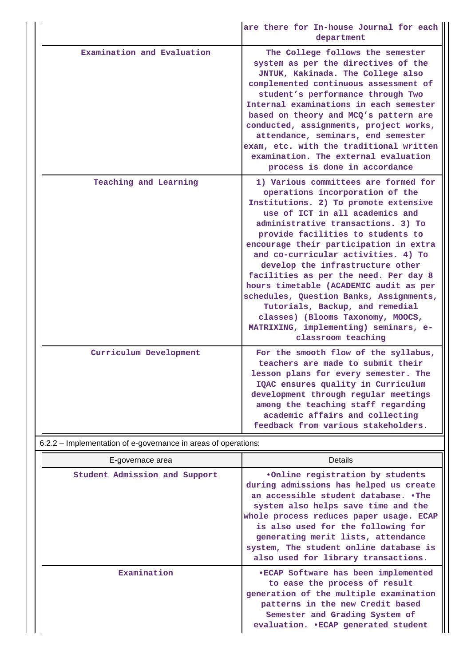|                                                                | are there for In-house Journal for each<br>department                                                                                                                                                                                                                                                                                                                                                                                                                                                                                                                                                                    |
|----------------------------------------------------------------|--------------------------------------------------------------------------------------------------------------------------------------------------------------------------------------------------------------------------------------------------------------------------------------------------------------------------------------------------------------------------------------------------------------------------------------------------------------------------------------------------------------------------------------------------------------------------------------------------------------------------|
| Examination and Evaluation                                     | The College follows the semester<br>system as per the directives of the<br>JNTUK, Kakinada. The College also<br>complemented continuous assessment of<br>student's performance through Two<br>Internal examinations in each semester<br>based on theory and MCQ's pattern are<br>conducted, assignments, project works,<br>attendance, seminars, end semester<br>exam, etc. with the traditional written<br>examination. The external evaluation<br>process is done in accordance                                                                                                                                        |
| Teaching and Learning                                          | 1) Various committees are formed for<br>operations incorporation of the<br>Institutions. 2) To promote extensive<br>use of ICT in all academics and<br>administrative transactions. 3) To<br>provide facilities to students to<br>encourage their participation in extra<br>and co-curricular activities. 4) To<br>develop the infrastructure other<br>facilities as per the need. Per day 8<br>hours timetable (ACADEMIC audit as per<br>schedules, Question Banks, Assignments,<br>Tutorials, Backup, and remedial<br>classes) (Blooms Taxonomy, MOOCS,<br>MATRIXING, implementing) seminars, e-<br>classroom teaching |
| Curriculum Development                                         | For the smooth flow of the syllabus,<br>teachers are made to submit their<br>lesson plans for every semester. The<br>IQAC ensures quality in Curriculum<br>development through regular meetings<br>among the teaching staff regarding<br>academic affairs and collecting<br>feedback from various stakeholders.                                                                                                                                                                                                                                                                                                          |
| 6.2.2 - Implementation of e-governance in areas of operations: |                                                                                                                                                                                                                                                                                                                                                                                                                                                                                                                                                                                                                          |
| E-governace area                                               | Details                                                                                                                                                                                                                                                                                                                                                                                                                                                                                                                                                                                                                  |
| Student Admission and Support                                  | eOnline registration by students                                                                                                                                                                                                                                                                                                                                                                                                                                                                                                                                                                                         |

| Student Admission and Support | .Online registration by students<br>during admissions has helped us create<br>an accessible student database. .The<br>system also helps save time and the<br>whole process reduces paper usage. ECAP<br>is also used for the following for<br>generating merit lists, attendance<br>system, The student online database is<br>also used for library transactions. |
|-------------------------------|-------------------------------------------------------------------------------------------------------------------------------------------------------------------------------------------------------------------------------------------------------------------------------------------------------------------------------------------------------------------|
| Examination                   | .ECAP Software has been implemented<br>to ease the process of result<br>generation of the multiple examination<br>patterns in the new Credit based<br>Semester and Grading System of<br>evaluation. . ECAP generated student                                                                                                                                      |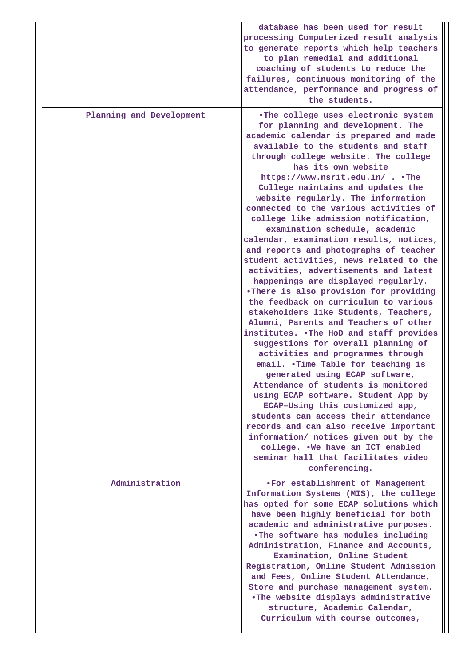|                          | database has been used for result<br>processing Computerized result analysis<br>to generate reports which help teachers<br>to plan remedial and additional<br>coaching of students to reduce the<br>failures, continuous monitoring of the<br>attendance, performance and progress of<br>the students.                                                                                                                                                                                                                                                                                                                                                                                                                                                                                                                                                                                                                                                                                                                                                                                                                                                                                                                                                                                                                                                                |
|--------------------------|-----------------------------------------------------------------------------------------------------------------------------------------------------------------------------------------------------------------------------------------------------------------------------------------------------------------------------------------------------------------------------------------------------------------------------------------------------------------------------------------------------------------------------------------------------------------------------------------------------------------------------------------------------------------------------------------------------------------------------------------------------------------------------------------------------------------------------------------------------------------------------------------------------------------------------------------------------------------------------------------------------------------------------------------------------------------------------------------------------------------------------------------------------------------------------------------------------------------------------------------------------------------------------------------------------------------------------------------------------------------------|
| Planning and Development | .The college uses electronic system<br>for planning and development. The<br>academic calendar is prepared and made<br>available to the students and staff<br>through college website. The college<br>has its own website<br>https://www.nsrit.edu.in/ The<br>College maintains and updates the<br>website regularly. The information<br>connected to the various activities of<br>college like admission notification,<br>examination schedule, academic<br>calendar, examination results, notices,<br>and reports and photographs of teacher<br>student activities, news related to the<br>activities, advertisements and latest<br>happenings are displayed regularly.<br>.There is also provision for providing<br>the feedback on curriculum to various<br>stakeholders like Students, Teachers,<br>Alumni, Parents and Teachers of other<br>institutes. . The HoD and staff provides<br>suggestions for overall planning of<br>activities and programmes through<br>email. .Time Table for teaching is<br>generated using ECAP software,<br>Attendance of students is monitored<br>using ECAP software. Student App by<br>ECAP-Using this customized app,<br>students can access their attendance<br>records and can also receive important<br>information/ notices given out by the<br>college. . We have an ICT enabled<br>seminar hall that facilitates video |
|                          | conferencing.                                                                                                                                                                                                                                                                                                                                                                                                                                                                                                                                                                                                                                                                                                                                                                                                                                                                                                                                                                                                                                                                                                                                                                                                                                                                                                                                                         |
| Administration           | .For establishment of Management<br>Information Systems (MIS), the college<br>has opted for some ECAP solutions which<br>have been highly beneficial for both<br>academic and administrative purposes.<br>.The software has modules including<br>Administration, Finance and Accounts,<br>Examination, Online Student<br>Registration, Online Student Admission<br>and Fees, Online Student Attendance,<br>Store and purchase management system.<br>.The website displays administrative<br>structure, Academic Calendar,<br>Curriculum with course outcomes,                                                                                                                                                                                                                                                                                                                                                                                                                                                                                                                                                                                                                                                                                                                                                                                                         |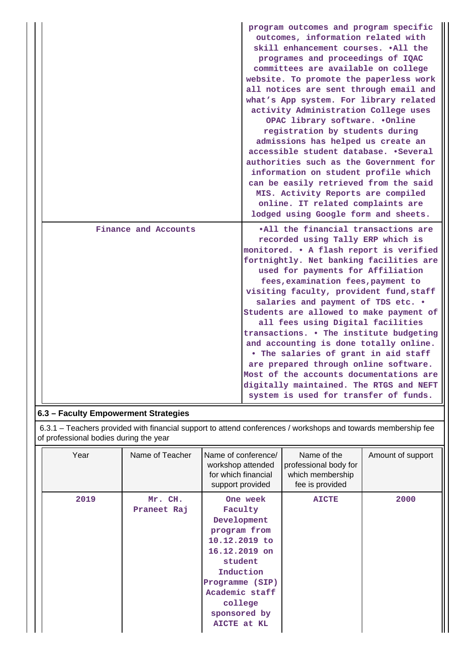|                      | program outcomes and program specific<br>outcomes, information related with<br>skill enhancement courses. . All the<br>programes and proceedings of IQAC<br>committees are available on college<br>website. To promote the paperless work<br>all notices are sent through email and<br>what's App system. For library related<br>activity Administration College uses<br>OPAC library software. .Online<br>registration by students during<br>admissions has helped us create an<br>accessible student database. .Several<br>authorities such as the Government for<br>information on student profile which<br>can be easily retrieved from the said<br>MIS. Activity Reports are compiled<br>online. IT related complaints are<br>lodged using Google form and sheets. |
|----------------------|-------------------------------------------------------------------------------------------------------------------------------------------------------------------------------------------------------------------------------------------------------------------------------------------------------------------------------------------------------------------------------------------------------------------------------------------------------------------------------------------------------------------------------------------------------------------------------------------------------------------------------------------------------------------------------------------------------------------------------------------------------------------------|
| Finance and Accounts | .All the financial transactions are<br>recorded using Tally ERP which is<br>monitored. . A flash report is verified<br>fortnightly. Net banking facilities are<br>used for payments for Affiliation<br>fees, examination fees, payment to<br>visiting faculty, provident fund, staff<br>salaries and payment of TDS etc. .<br>Students are allowed to make payment of<br>all fees using Digital facilities<br>transactions. . The institute budgeting<br>and accounting is done totally online.<br>. The salaries of grant in aid staff<br>are prepared through online software.<br>Most of the accounts documentations are<br>digitally maintained. The RTGS and NEFT<br>system is used for transfer of funds.                                                         |

# **6.3 – Faculty Empowerment Strategies**

 6.3.1 – Teachers provided with financial support to attend conferences / workshops and towards membership fee of professional bodies during the year

| Year | Name of Teacher        | Name of conference/<br>workshop attended<br>for which financial<br>support provided                                                                                                         | Name of the<br>professional body for<br>which membership<br>fee is provided | Amount of support |
|------|------------------------|---------------------------------------------------------------------------------------------------------------------------------------------------------------------------------------------|-----------------------------------------------------------------------------|-------------------|
| 2019 | Mr. CH.<br>Praneet Raj | One week<br>Faculty<br>Development<br>program from<br>10.12.2019 to<br>16.12.2019 on<br>student<br>Induction<br>Programme (SIP)<br>Academic staff<br>college<br>sponsored by<br>AICTE at KL | <b>AICTE</b>                                                                | 2000              |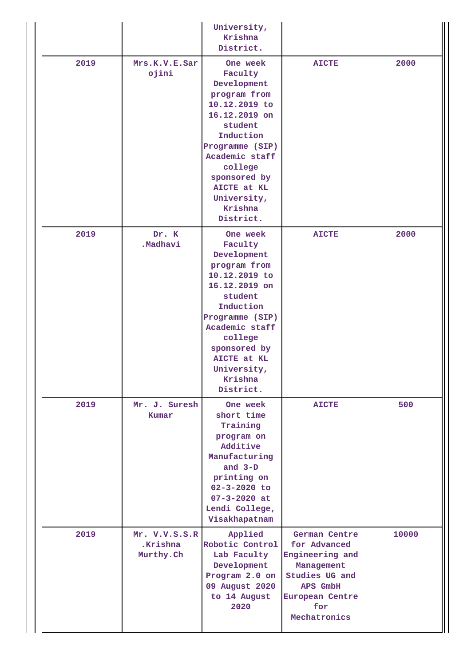|      |                                        | University,<br>Krishna<br>District.                                                                                                                                                                                                |                                                                                                                                        |       |
|------|----------------------------------------|------------------------------------------------------------------------------------------------------------------------------------------------------------------------------------------------------------------------------------|----------------------------------------------------------------------------------------------------------------------------------------|-------|
| 2019 | Mrs.K.V.E.Sar<br>ojini                 | One week<br>Faculty<br>Development<br>program from<br>10.12.2019 to<br>16.12.2019 on<br>student<br>Induction<br>Programme (SIP)<br>Academic staff<br>college<br>sponsored by<br>AICTE at KL<br>University,<br>Krishna<br>District. | <b>AICTE</b>                                                                                                                           | 2000  |
| 2019 | Dr. K<br>.Madhavi                      | One week<br>Faculty<br>Development<br>program from<br>10.12.2019 to<br>16.12.2019 on<br>student<br>Induction<br>Programme (SIP)<br>Academic staff<br>college<br>sponsored by<br>AICTE at KL<br>University,<br>Krishna<br>District. | <b>AICTE</b>                                                                                                                           | 2000  |
| 2019 | Mr. J. Suresh<br>Kumar                 | One week<br>short time<br>Training<br>program on<br>Additive<br>Manufacturing<br>and $3-D$<br>printing on<br>$02 - 3 - 2020$ to<br>$07 - 3 - 2020$ at<br>Lendi College,<br>Visakhapatnam                                           | <b>AICTE</b>                                                                                                                           | 500   |
| 2019 | Mr. V.V.S.S.R<br>.Krishna<br>Murthy.Ch | Applied<br>Robotic Control<br>Lab Faculty<br>Development<br>Program 2.0 on<br>09 August 2020<br>to 14 August<br>2020                                                                                                               | German Centre<br>for Advanced<br>Engineering and<br>Management<br>Studies UG and<br>APS GmbH<br>European Centre<br>for<br>Mechatronics | 10000 |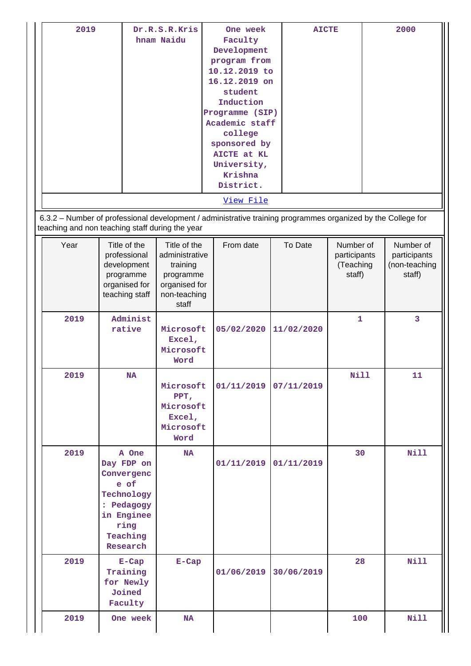| 2019<br>6.3.2 - Number of professional development / administrative training programmes organized by the College for |                                                                                                                     | Dr.R.S.R.Kris<br>hnam Naidu                                                                       | One week<br>Faculty<br>Development<br>program from<br>10.12.2019 to<br>16.12.2019 on<br>student<br>Induction<br>Programme (SIP)<br>Academic staff<br>college<br>sponsored by<br>AICTE at KL<br>University,<br>Krishna<br>District.<br>View File | <b>AICTE</b> |                                                  | 2000                                                 |
|----------------------------------------------------------------------------------------------------------------------|---------------------------------------------------------------------------------------------------------------------|---------------------------------------------------------------------------------------------------|-------------------------------------------------------------------------------------------------------------------------------------------------------------------------------------------------------------------------------------------------|--------------|--------------------------------------------------|------------------------------------------------------|
| teaching and non teaching staff during the year                                                                      |                                                                                                                     |                                                                                                   |                                                                                                                                                                                                                                                 |              |                                                  |                                                      |
| Year                                                                                                                 | Title of the<br>professional<br>development<br>programme<br>organised for<br>teaching staff                         | Title of the<br>administrative<br>training<br>programme<br>organised for<br>non-teaching<br>staff | From date                                                                                                                                                                                                                                       | To Date      | Number of<br>participants<br>(Teaching<br>staff) | Number of<br>participants<br>(non-teaching<br>staff) |
| 2019                                                                                                                 | Administ<br>rative                                                                                                  | Microsoft<br>Excel,<br>Microsoft<br>Word                                                          | 05/02/2020                                                                                                                                                                                                                                      | 11/02/2020   | $\mathbf{1}$                                     | 3                                                    |
| 2019                                                                                                                 | NA                                                                                                                  | Microsoft<br>PPT,<br>Microsoft<br>Excel,<br>Microsoft<br>Word                                     | 01/11/2019                                                                                                                                                                                                                                      | 07/11/2019   | Nill                                             | 11                                                   |
| 2019                                                                                                                 | A One<br>Day FDP on<br>Convergenc<br>e of<br>Technology<br>: Pedagogy<br>in Enginee<br>ring<br>Teaching<br>Research | <b>NA</b>                                                                                         | 01/11/2019                                                                                                                                                                                                                                      | 01/11/2019   | 30                                               | <b>Nill</b>                                          |
| 2019                                                                                                                 | $E-Cap$<br>Training<br>for Newly<br>Joined<br>Faculty                                                               | $E-Cap$                                                                                           | 01/06/2019                                                                                                                                                                                                                                      | 30/06/2019   | 28                                               | <b>Nill</b>                                          |
| 2019                                                                                                                 | One week                                                                                                            | <b>NA</b>                                                                                         |                                                                                                                                                                                                                                                 |              | 100                                              | <b>Nill</b>                                          |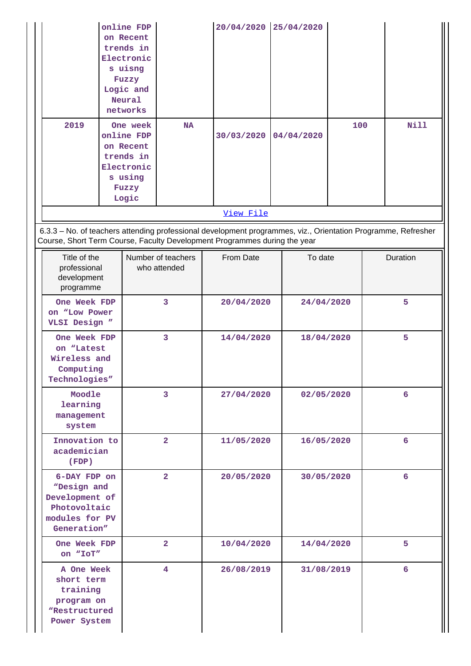|                                                                                                |  | online FDP<br>on Recent<br>trends in<br>Electronic<br>s uisng<br>Fuzzy<br>Logic and<br>Neural<br>networks |                                    | 20/04/2020                                                                                                                                                                                 |  | 25/04/2020 |     |   |             |
|------------------------------------------------------------------------------------------------|--|-----------------------------------------------------------------------------------------------------------|------------------------------------|--------------------------------------------------------------------------------------------------------------------------------------------------------------------------------------------|--|------------|-----|---|-------------|
| 2019                                                                                           |  | One week<br>online FDP<br>on Recent<br>trends in<br>Electronic<br>s using<br>Fuzzy<br>Logic               | <b>NA</b>                          | 30/03/2020                                                                                                                                                                                 |  | 04/04/2020 | 100 |   | <b>Nill</b> |
|                                                                                                |  |                                                                                                           |                                    | View File                                                                                                                                                                                  |  |            |     |   |             |
|                                                                                                |  |                                                                                                           |                                    | 6.3.3 - No. of teachers attending professional development programmes, viz., Orientation Programme, Refresher<br>Course, Short Term Course, Faculty Development Programmes during the year |  |            |     |   |             |
| Title of the<br>professional<br>development<br>programme                                       |  |                                                                                                           | Number of teachers<br>who attended | From Date                                                                                                                                                                                  |  | To date    |     |   | Duration    |
| One Week FDP<br>on "Low Power<br>VLSI Design "                                                 |  |                                                                                                           | 3                                  | 20/04/2020<br>24/04/2020                                                                                                                                                                   |  |            |     | 5 |             |
| One Week FDP<br>on "Latest<br>Wireless and<br>Computing<br>Technologies"                       |  |                                                                                                           | 3                                  | 14/04/2020<br>18/04/2020                                                                                                                                                                   |  |            |     | 5 |             |
| Moodle<br>learning<br>management<br>system                                                     |  |                                                                                                           | 3                                  | 27/04/2020                                                                                                                                                                                 |  | 02/05/2020 |     |   | 6           |
| Innovation to<br>academician<br>(FDP)                                                          |  |                                                                                                           | $\overline{2}$                     | 11/05/2020                                                                                                                                                                                 |  | 16/05/2020 |     |   | 6           |
| 6-DAY FDP on<br>"Design and<br>Development of<br>Photovoltaic<br>modules for PV<br>Generation" |  |                                                                                                           | $\overline{2}$                     | 20/05/2020                                                                                                                                                                                 |  | 30/05/2020 |     |   | 6           |
| One Week FDP<br>on "IoT"                                                                       |  |                                                                                                           | $\overline{2}$                     | 10/04/2020                                                                                                                                                                                 |  | 14/04/2020 |     |   | 5           |
| A One Week<br>short term<br>training<br>program on<br>"Restructured<br>Power System            |  |                                                                                                           | 4                                  | 26/08/2019                                                                                                                                                                                 |  | 31/08/2019 |     |   | 6           |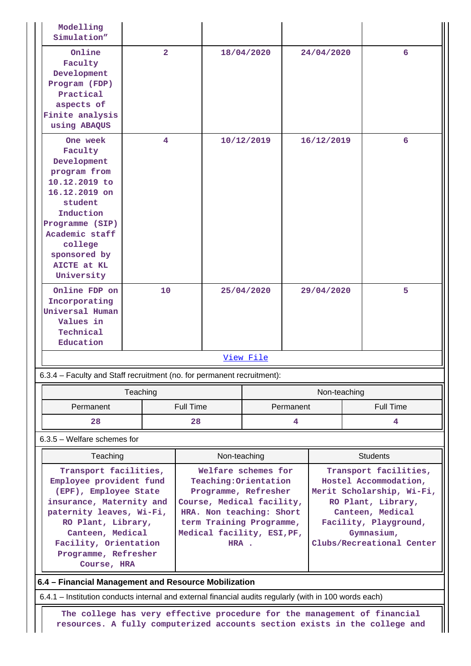| Modelling<br>Simulation"                                                                                                                                                                                                                    |                |                  |                                                                                                                                                                                                  |            |                                                                                                                                                                                           |              |  |                  |
|---------------------------------------------------------------------------------------------------------------------------------------------------------------------------------------------------------------------------------------------|----------------|------------------|--------------------------------------------------------------------------------------------------------------------------------------------------------------------------------------------------|------------|-------------------------------------------------------------------------------------------------------------------------------------------------------------------------------------------|--------------|--|------------------|
| Online<br>Faculty<br>Development<br>Program (FDP)<br>Practical<br>aspects of<br>Finite analysis<br>using ABAQUS                                                                                                                             | $\overline{2}$ |                  |                                                                                                                                                                                                  | 18/04/2020 |                                                                                                                                                                                           | 24/04/2020   |  | 6                |
| One week<br>Faculty<br>Development<br>program from<br>10.12.2019 to<br>16.12.2019 on<br>student<br>Induction<br>Programme (SIP)<br>Academic staff<br>college<br>sponsored by<br>AICTE at KL<br>University                                   | 4              |                  | 10/12/2019                                                                                                                                                                                       |            | 16/12/2019                                                                                                                                                                                |              |  | 6                |
| Online FDP on<br>Incorporating<br>Universal Human<br>Values in<br>Technical<br>Education                                                                                                                                                    | 10             |                  | 25/04/2020                                                                                                                                                                                       |            | 29/04/2020                                                                                                                                                                                |              |  | 5                |
|                                                                                                                                                                                                                                             |                |                  |                                                                                                                                                                                                  | View File  |                                                                                                                                                                                           |              |  |                  |
| 6.3.4 - Faculty and Staff recruitment (no. for permanent recruitment):                                                                                                                                                                      |                |                  |                                                                                                                                                                                                  |            |                                                                                                                                                                                           |              |  |                  |
|                                                                                                                                                                                                                                             | Teaching       |                  |                                                                                                                                                                                                  |            |                                                                                                                                                                                           | Non-teaching |  |                  |
| Permanent                                                                                                                                                                                                                                   |                | <b>Full Time</b> |                                                                                                                                                                                                  |            | Permanent                                                                                                                                                                                 |              |  | <b>Full Time</b> |
| 28                                                                                                                                                                                                                                          |                | 28               |                                                                                                                                                                                                  | 4          |                                                                                                                                                                                           |              |  | 4                |
| $6.3.5$ – Welfare schemes for                                                                                                                                                                                                               |                |                  |                                                                                                                                                                                                  |            |                                                                                                                                                                                           |              |  |                  |
| Teaching                                                                                                                                                                                                                                    |                |                  | Non-teaching                                                                                                                                                                                     |            |                                                                                                                                                                                           |              |  | <b>Students</b>  |
| Transport facilities,<br>Employee provident fund<br>(EPF), Employee State<br>insurance, Maternity and<br>paternity leaves, Wi-Fi,<br>RO Plant, Library,<br>Canteen, Medical<br>Facility, Orientation<br>Programme, Refresher<br>Course, HRA |                |                  | Welfare schemes for<br>Teaching: Orientation<br>Programme, Refresher<br>Course, Medical facility,<br>HRA. Non teaching: Short<br>term Training Programme,<br>Medical facility, ESI, PF,<br>HRA . |            | Transport facilities,<br>Hostel Accommodation,<br>Merit Scholarship, Wi-Fi,<br>RO Plant, Library,<br>Canteen, Medical<br>Facility, Playground,<br>Gymnasium,<br>Clubs/Recreational Center |              |  |                  |
| 6.4 - Financial Management and Resource Mobilization                                                                                                                                                                                        |                |                  |                                                                                                                                                                                                  |            |                                                                                                                                                                                           |              |  |                  |
| 6.4.1 – Institution conducts internal and external financial audits regularly (with in 100 words each)                                                                                                                                      |                |                  |                                                                                                                                                                                                  |            |                                                                                                                                                                                           |              |  |                  |
| The college has very effective procedure for the management of financial<br>resources. A fully computerized accounts section exists in the college and                                                                                      |                |                  |                                                                                                                                                                                                  |            |                                                                                                                                                                                           |              |  |                  |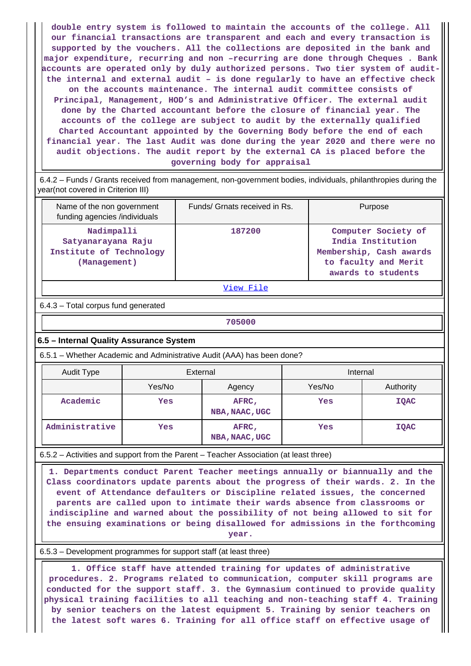**double entry system is followed to maintain the accounts of the college. All our financial transactions are transparent and each and every transaction is supported by the vouchers. All the collections are deposited in the bank and major expenditure, recurring and non –recurring are done through Cheques . Bank accounts are operated only by duly authorized persons. Two tier system of auditthe internal and external audit – is done regularly to have an effective check on the accounts maintenance. The internal audit committee consists of Principal, Management, HOD's and Administrative Officer. The external audit done by the Charted accountant before the closure of financial year. The accounts of the college are subject to audit by the externally qualified Charted Accountant appointed by the Governing Body before the end of each financial year. The last Audit was done during the year 2020 and there were no audit objections. The audit report by the external CA is placed before the governing body for appraisal**

 6.4.2 – Funds / Grants received from management, non-government bodies, individuals, philanthropies during the year(not covered in Criterion III)

| Name of the non government<br>funding agencies /individuals                 | Funds/ Grnats received in Rs. | Purpose                                                                                                           |
|-----------------------------------------------------------------------------|-------------------------------|-------------------------------------------------------------------------------------------------------------------|
| Nadimpalli<br>Satyanarayana Raju<br>Institute of Technology<br>(Management) | 187200                        | Computer Society of<br>India Institution<br>Membership, Cash awards<br>to faculty and Merit<br>awards to students |

[View File](https://assessmentonline.naac.gov.in/public/Postacc/Funds_or_Grants/9071_Funds_or_Grants_1619158788.xlsx)

6.4.3 – Total corpus fund generated

**705000**

#### **6.5 – Internal Quality Assurance System**

6.5.1 – Whether Academic and Administrative Audit (AAA) has been done?

| Audit Type     | External |                         | Internal |             |  |  |
|----------------|----------|-------------------------|----------|-------------|--|--|
|                | Yes/No   | Agency                  |          | Authority   |  |  |
| Academic       | Yes      | AFRC,<br>NBA, NAAC, UGC | Yes      | <b>IQAC</b> |  |  |
| Administrative | Yes      | AFRC,<br>NBA, NAAC, UGC | Yes      | <b>IQAC</b> |  |  |

6.5.2 – Activities and support from the Parent – Teacher Association (at least three)

 **1. Departments conduct Parent Teacher meetings annually or biannually and the Class coordinators update parents about the progress of their wards. 2. In the event of Attendance defaulters or Discipline related issues, the concerned parents are called upon to intimate their wards absence from classrooms or indiscipline and warned about the possibility of not being allowed to sit for the ensuing examinations or being disallowed for admissions in the forthcoming year.**

#### 6.5.3 – Development programmes for support staff (at least three)

 **1. Office staff have attended training for updates of administrative procedures. 2. Programs related to communication, computer skill programs are conducted for the support staff. 3. the Gymnasium continued to provide quality physical training facilities to all teaching and non-teaching staff 4. Training by senior teachers on the latest equipment 5. Training by senior teachers on the latest soft wares 6. Training for all office staff on effective usage of**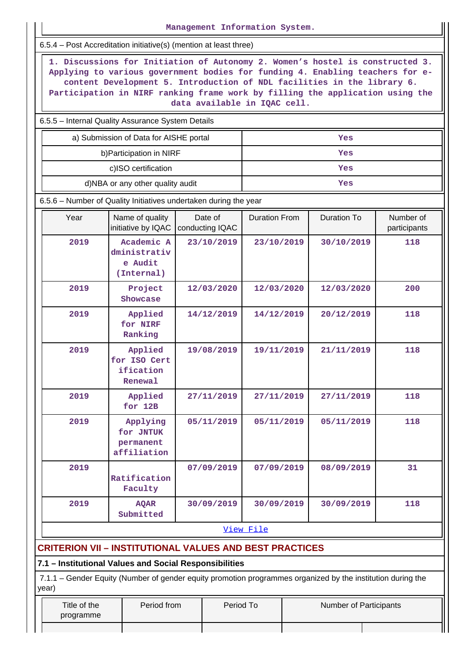| Management Information System.                                                                                                                                                                                                                                                                                                                             |                                                                                                                                                                       |                            |                      |  |                        |                           |  |  |  |  |  |
|------------------------------------------------------------------------------------------------------------------------------------------------------------------------------------------------------------------------------------------------------------------------------------------------------------------------------------------------------------|-----------------------------------------------------------------------------------------------------------------------------------------------------------------------|----------------------------|----------------------|--|------------------------|---------------------------|--|--|--|--|--|
| 6.5.4 – Post Accreditation initiative(s) (mention at least three)                                                                                                                                                                                                                                                                                          |                                                                                                                                                                       |                            |                      |  |                        |                           |  |  |  |  |  |
| 1. Discussions for Initiation of Autonomy 2. Women's hostel is constructed 3.<br>Applying to various government bodies for funding 4. Enabling teachers for e-<br>content Development 5. Introduction of NDL facilities in the library 6.<br>Participation in NIRF ranking frame work by filling the application using the<br>data available in IQAC cell. |                                                                                                                                                                       |                            |                      |  |                        |                           |  |  |  |  |  |
| 6.5.5 - Internal Quality Assurance System Details                                                                                                                                                                                                                                                                                                          |                                                                                                                                                                       |                            |                      |  |                        |                           |  |  |  |  |  |
| a) Submission of Data for AISHE portal<br>Yes                                                                                                                                                                                                                                                                                                              |                                                                                                                                                                       |                            |                      |  |                        |                           |  |  |  |  |  |
|                                                                                                                                                                                                                                                                                                                                                            | b) Participation in NIRF                                                                                                                                              |                            |                      |  | Yes                    |                           |  |  |  |  |  |
|                                                                                                                                                                                                                                                                                                                                                            | c)ISO certification                                                                                                                                                   |                            |                      |  | Yes                    |                           |  |  |  |  |  |
|                                                                                                                                                                                                                                                                                                                                                            | d)NBA or any other quality audit                                                                                                                                      |                            |                      |  | Yes                    |                           |  |  |  |  |  |
|                                                                                                                                                                                                                                                                                                                                                            | 6.5.6 - Number of Quality Initiatives undertaken during the year                                                                                                      |                            |                      |  |                        |                           |  |  |  |  |  |
| Year                                                                                                                                                                                                                                                                                                                                                       | Name of quality<br>initiative by IQAC                                                                                                                                 | Date of<br>conducting IQAC | <b>Duration From</b> |  | <b>Duration To</b>     | Number of<br>participants |  |  |  |  |  |
| 2019                                                                                                                                                                                                                                                                                                                                                       | Academic A<br>dministrativ<br>e Audit<br>(Internal)                                                                                                                   | 23/10/2019                 | 23/10/2019           |  | 30/10/2019             | 118                       |  |  |  |  |  |
| 2019                                                                                                                                                                                                                                                                                                                                                       | Project<br>Showcase                                                                                                                                                   | 12/03/2020                 | 12/03/2020           |  | 12/03/2020             | 200                       |  |  |  |  |  |
| 2019                                                                                                                                                                                                                                                                                                                                                       | Applied<br>for NIRF<br>Ranking                                                                                                                                        | 14/12/2019                 | 14/12/2019           |  | 20/12/2019             | 118                       |  |  |  |  |  |
| 2019<br>Applied<br>for ISO Cert<br>ification<br>Renewal                                                                                                                                                                                                                                                                                                    |                                                                                                                                                                       | 19/08/2019                 | 19/11/2019           |  | 21/11/2019             | 118                       |  |  |  |  |  |
| 2019                                                                                                                                                                                                                                                                                                                                                       | Applied<br>for 12B                                                                                                                                                    | 27/11/2019                 | 27/11/2019           |  | 27/11/2019             | 118                       |  |  |  |  |  |
| 2019                                                                                                                                                                                                                                                                                                                                                       | Applying<br>for JNTUK<br>permanent<br>affiliation                                                                                                                     | 05/11/2019                 | 05/11/2019           |  | 05/11/2019             | 118                       |  |  |  |  |  |
| 2019                                                                                                                                                                                                                                                                                                                                                       | Ratification<br>Faculty                                                                                                                                               | 07/09/2019                 | 07/09/2019           |  | 08/09/2019             | 31                        |  |  |  |  |  |
| 2019                                                                                                                                                                                                                                                                                                                                                       | <b>AQAR</b><br>Submitted                                                                                                                                              | 30/09/2019                 | 30/09/2019           |  | 30/09/2019             | 118                       |  |  |  |  |  |
| View File                                                                                                                                                                                                                                                                                                                                                  |                                                                                                                                                                       |                            |                      |  |                        |                           |  |  |  |  |  |
|                                                                                                                                                                                                                                                                                                                                                            | <b>CRITERION VII - INSTITUTIONAL VALUES AND BEST PRACTICES</b>                                                                                                        |                            |                      |  |                        |                           |  |  |  |  |  |
|                                                                                                                                                                                                                                                                                                                                                            | 7.1 - Institutional Values and Social Responsibilities<br>7.1.1 – Gender Equity (Number of gender equity promotion programmes organized by the institution during the |                            |                      |  |                        |                           |  |  |  |  |  |
| year)                                                                                                                                                                                                                                                                                                                                                      |                                                                                                                                                                       |                            |                      |  |                        |                           |  |  |  |  |  |
| Title of the<br>programme                                                                                                                                                                                                                                                                                                                                  | Period from                                                                                                                                                           |                            | Period To            |  | Number of Participants |                           |  |  |  |  |  |
|                                                                                                                                                                                                                                                                                                                                                            |                                                                                                                                                                       |                            |                      |  |                        |                           |  |  |  |  |  |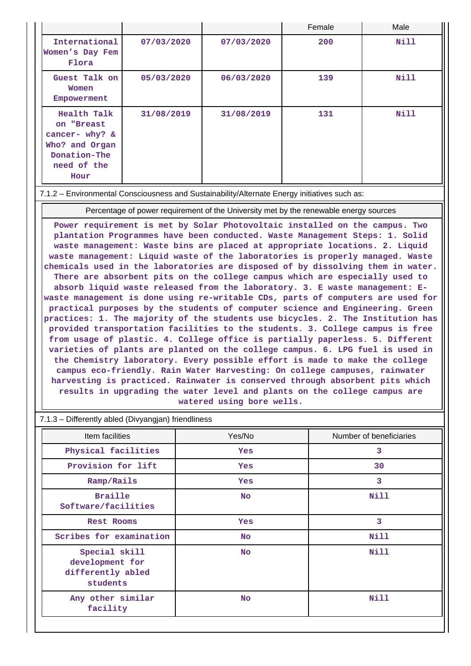|                                                                                                      |            |            | Female | Male        |
|------------------------------------------------------------------------------------------------------|------------|------------|--------|-------------|
| International<br>Women's Day Fem<br>Flora                                                            | 07/03/2020 | 07/03/2020 | 200    | <b>Nill</b> |
| Guest Talk on<br>Women<br>Empowerment                                                                | 05/03/2020 | 06/03/2020 | 139    | Nill        |
| Health Talk<br>on "Breast<br>cancer- why? &<br>Who? and Organ<br>Donation-The<br>need of the<br>Hour | 31/08/2019 | 31/08/2019 | 131    | <b>Nill</b> |

#### 7.1.2 – Environmental Consciousness and Sustainability/Alternate Energy initiatives such as:

Percentage of power requirement of the University met by the renewable energy sources

**Power requirement is met by Solar Photovoltaic installed on the campus. Two plantation Programmes have been conducted. Waste Management Steps: 1. Solid waste management: Waste bins are placed at appropriate locations. 2. Liquid waste management: Liquid waste of the laboratories is properly managed. Waste chemicals used in the laboratories are disposed of by dissolving them in water. There are absorbent pits on the college campus which are especially used to absorb liquid waste released from the laboratory. 3. E waste management: Ewaste management is done using re-writable CDs, parts of computers are used for practical purposes by the students of computer science and Engineering. Green practices: 1. The majority of the students use bicycles. 2. The Institution has provided transportation facilities to the students. 3. College campus is free from usage of plastic. 4. College office is partially paperless. 5. Different varieties of plants are planted on the college campus. 6. LPG fuel is used in the Chemistry laboratory. Every possible effort is made to make the college campus eco-friendly. Rain Water Harvesting: On college campuses, rainwater harvesting is practiced. Rainwater is conserved through absorbent pits which results in upgrading the water level and plants on the college campus are watered using bore wells.**

#### 7.1.3 – Differently abled (Divyangjan) friendliness

| Item facilities                                                   | Yes/No     | Number of beneficiaries |
|-------------------------------------------------------------------|------------|-------------------------|
| Physical facilities                                               | <b>Yes</b> | 3                       |
| Provision for lift                                                | <b>Yes</b> | 30                      |
| Ramp/Rails                                                        | <b>Yes</b> | 3                       |
| <b>Braille</b><br>Software/facilities                             | <b>No</b>  | Nill                    |
| <b>Rest Rooms</b>                                                 | Yes        | 3                       |
| Scribes for examination                                           | <b>No</b>  | Nill                    |
| Special skill<br>development for<br>differently abled<br>students | <b>No</b>  | Nill                    |
| Any other similar<br>facility                                     | <b>No</b>  | Nill                    |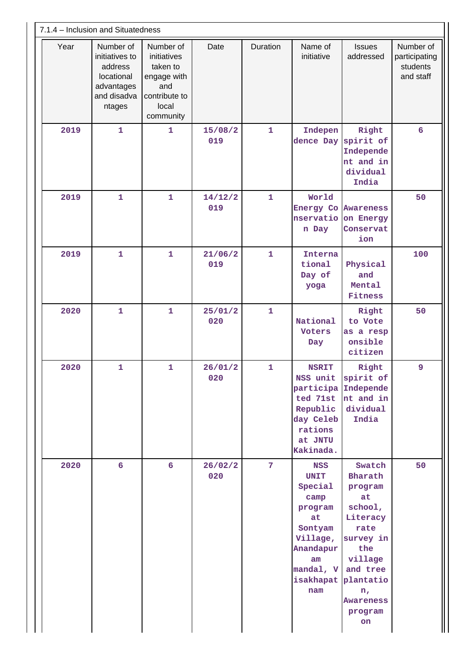| 7.1.4 - Inclusion and Situatedness |                                                                                             |                                                                                                   |                                                                                   |                                                            |                                                                                                                                          |                                                                                                                                                                    |                                                     |  |  |
|------------------------------------|---------------------------------------------------------------------------------------------|---------------------------------------------------------------------------------------------------|-----------------------------------------------------------------------------------|------------------------------------------------------------|------------------------------------------------------------------------------------------------------------------------------------------|--------------------------------------------------------------------------------------------------------------------------------------------------------------------|-----------------------------------------------------|--|--|
| Year                               | Number of<br>initiatives to<br>address<br>locational<br>advantages<br>and disadva<br>ntages | Number of<br>initiatives<br>taken to<br>engage with<br>and<br>contribute to<br>local<br>community | Date                                                                              | Duration<br>Name of<br>initiative                          |                                                                                                                                          | <b>Issues</b><br>addressed                                                                                                                                         | Number of<br>participating<br>students<br>and staff |  |  |
| 2019                               | $\mathbf{1}$                                                                                | $\mathbf{1}$                                                                                      | 15/08/2<br>019                                                                    | $\mathbf{1}$                                               | Indepen<br>dence Day                                                                                                                     | Right<br>spirit of<br>Independe<br>nt and in<br>dividual<br>India                                                                                                  | 6                                                   |  |  |
| 2019                               | $\mathbf{1}$                                                                                | $\mathbf{1}$                                                                                      | $\mathbf{1}$<br>World<br>14/12/2<br>019<br><b>Energy Co</b><br>nservatio<br>n Day |                                                            | Awareness<br>on Energy<br>Conservat<br>ion                                                                                               | 50                                                                                                                                                                 |                                                     |  |  |
| 2019                               | $\mathbf{1}$                                                                                | $\overline{1}$                                                                                    | 21/06/2<br>019                                                                    | $\mathbf{1}$<br>Interna<br>tional<br>and<br>Day of<br>yoga |                                                                                                                                          | Physical<br>Mental<br>Fitness                                                                                                                                      | 100                                                 |  |  |
| 2020                               | $\mathbf{1}$                                                                                | $\mathbf{1}$                                                                                      | 25/01/2<br>020                                                                    | $\mathbf{1}$                                               | National<br>Voters<br>Day                                                                                                                | Right<br>to Vote<br>as a resp<br>onsible<br>citizen                                                                                                                | 50                                                  |  |  |
| 2020                               | $\mathbf{1}$                                                                                | $\mathbf{1}$                                                                                      | 26/01/2<br>020                                                                    | $\mathbf{1}$                                               | <b>NSRIT</b><br>NSS unit<br>participa<br>ted 71st<br>Republic<br>day Celeb<br>rations<br>at JNTU<br>Kakinada.                            | Right<br>spirit of<br>Independe<br>nt and in<br>dividual<br>India                                                                                                  | 9                                                   |  |  |
| 2020                               | 6                                                                                           | $6\overline{6}$                                                                                   | 26/02/2<br>020                                                                    | 7                                                          | <b>NSS</b><br><b>UNIT</b><br>Special<br>camp<br>program<br>at<br>Sontyam<br>Village,<br>Anandapur<br>am<br>mandal, V<br>isakhapat<br>nam | Swatch<br>Bharath<br>program<br>at<br>school,<br>Literacy<br>rate<br>survey in<br>the<br>village<br>and tree<br>plantatio<br>$n_{I}$<br>Awareness<br>program<br>on | 50                                                  |  |  |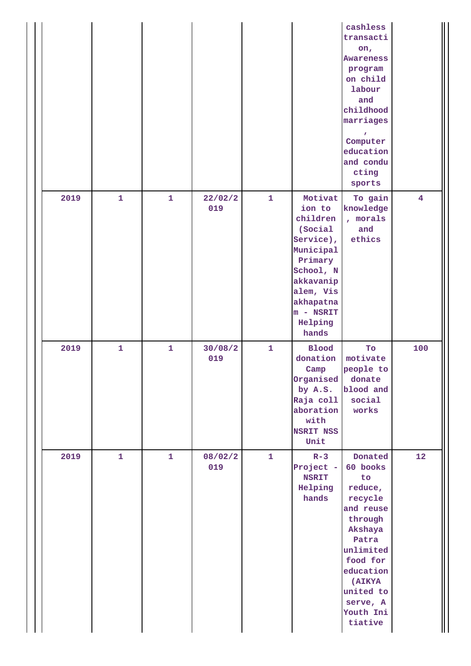|      |              |              |                |              |                                                                                                                                                                      | cashless<br>transacti<br>on,<br>Awareness<br>program<br>on child<br>labour<br>and<br>childhood<br>marriages<br>Computer<br>education<br>and condu<br>cting<br>sports                         |                         |
|------|--------------|--------------|----------------|--------------|----------------------------------------------------------------------------------------------------------------------------------------------------------------------|----------------------------------------------------------------------------------------------------------------------------------------------------------------------------------------------|-------------------------|
| 2019 | $\mathbf{1}$ | $\mathbf{1}$ | 22/02/2<br>019 | $\mathbf{1}$ | Motivat<br>ion to<br>children<br>(Social<br>Service),<br>Municipal<br>Primary<br>School, N<br>akkavanip<br>alem, Vis<br>akhapatna<br>$m - NSRIT$<br>Helping<br>hands | To gain<br>knowledge<br>, morals<br>and<br>ethics                                                                                                                                            | $\overline{\mathbf{4}}$ |
| 2019 | $\mathbf{1}$ | $\mathbf{1}$ | 30/08/2<br>019 | $\mathbf{1}$ | <b>Blood</b><br>donation<br>Camp<br>Organised<br>by A.S.<br>Raja coll<br>aboration<br>with<br><b>NSRIT NSS</b><br>Unit                                               | To<br>motivate<br>people to<br>donate<br>blood and<br>social<br>works                                                                                                                        | 100                     |
| 2019 | $\mathbf{1}$ | $\mathbf{1}$ | 08/02/2<br>019 | $\mathbf{1}$ | $R - 3$<br>Project -<br><b>NSRIT</b><br>Helping<br>hands                                                                                                             | Donated<br>60 books<br>to<br>reduce,<br>recycle<br>and reuse<br>through<br>Akshaya<br>Patra<br>unlimited<br>food for<br>education<br>(AIKYA<br>united to<br>serve, A<br>Youth Ini<br>tiative | 12                      |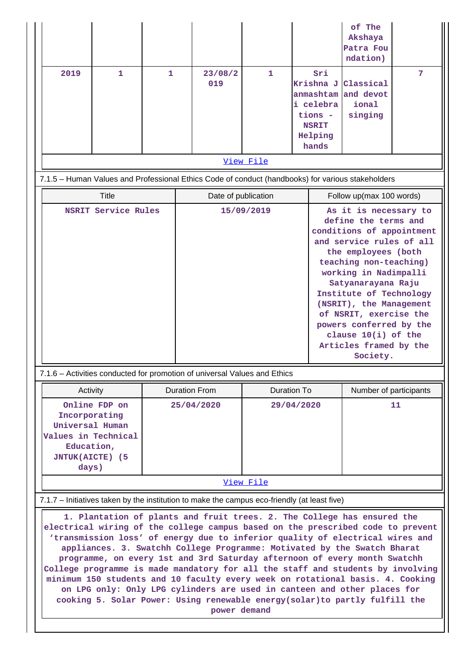|                                                                                                                                                                                                                                                                                                                                                                                                                                                                                                                                                                                                                                                                                                                                                     |              |              |                          |                                                                                                                                                                                                                                                                                                                                                                                                                                                                             |                    |  |                                                                                           | of The<br>Akshaya<br>Patra Fou<br>ndation) |   |
|-----------------------------------------------------------------------------------------------------------------------------------------------------------------------------------------------------------------------------------------------------------------------------------------------------------------------------------------------------------------------------------------------------------------------------------------------------------------------------------------------------------------------------------------------------------------------------------------------------------------------------------------------------------------------------------------------------------------------------------------------------|--------------|--------------|--------------------------|-----------------------------------------------------------------------------------------------------------------------------------------------------------------------------------------------------------------------------------------------------------------------------------------------------------------------------------------------------------------------------------------------------------------------------------------------------------------------------|--------------------|--|-------------------------------------------------------------------------------------------|--------------------------------------------|---|
| 2019                                                                                                                                                                                                                                                                                                                                                                                                                                                                                                                                                                                                                                                                                                                                                | 1            | $\mathbf{1}$ |                          | 23/08/2<br>019                                                                                                                                                                                                                                                                                                                                                                                                                                                              | $\mathbf{1}$       |  | Sri<br>Krishna J<br>anmashtam<br>i celebra<br>tions -<br><b>NSRIT</b><br>Helping<br>hands | Classical<br>and devot<br>ional<br>singing | 7 |
|                                                                                                                                                                                                                                                                                                                                                                                                                                                                                                                                                                                                                                                                                                                                                     |              |              |                          |                                                                                                                                                                                                                                                                                                                                                                                                                                                                             | View File          |  |                                                                                           |                                            |   |
|                                                                                                                                                                                                                                                                                                                                                                                                                                                                                                                                                                                                                                                                                                                                                     |              |              |                          | 7.1.5 - Human Values and Professional Ethics Code of conduct (handbooks) for various stakeholders                                                                                                                                                                                                                                                                                                                                                                           |                    |  |                                                                                           |                                            |   |
|                                                                                                                                                                                                                                                                                                                                                                                                                                                                                                                                                                                                                                                                                                                                                     | <b>Title</b> |              |                          | Date of publication                                                                                                                                                                                                                                                                                                                                                                                                                                                         |                    |  |                                                                                           | Follow up(max 100 words)                   |   |
| <b>NSRIT Service Rules</b>                                                                                                                                                                                                                                                                                                                                                                                                                                                                                                                                                                                                                                                                                                                          |              |              |                          | As it is necessary to<br>15/09/2019<br>define the terms and<br>conditions of appointment<br>and service rules of all<br>the employees (both<br>teaching non-teaching)<br>working in Nadimpalli<br>Satyanarayana Raju<br>Institute of Technology<br>(NSRIT), the Management<br>of NSRIT, exercise the<br>powers conferred by the<br>clause $10(i)$ of the<br>Articles framed by the<br>Society.<br>7.1.6 - Activities conducted for promotion of universal Values and Ethics |                    |  |                                                                                           |                                            |   |
| Activity                                                                                                                                                                                                                                                                                                                                                                                                                                                                                                                                                                                                                                                                                                                                            |              |              |                          | <b>Duration From</b>                                                                                                                                                                                                                                                                                                                                                                                                                                                        | <b>Duration To</b> |  |                                                                                           | Number of participants                     |   |
| Online FDP on<br>Incorporating<br>Universal Human<br>Values in Technical<br>Education,<br><b>JNTUK(AICTE) (5</b><br>days)                                                                                                                                                                                                                                                                                                                                                                                                                                                                                                                                                                                                                           |              |              | 29/04/2020<br>25/04/2020 |                                                                                                                                                                                                                                                                                                                                                                                                                                                                             |                    |  | 11                                                                                        |                                            |   |
|                                                                                                                                                                                                                                                                                                                                                                                                                                                                                                                                                                                                                                                                                                                                                     |              |              |                          |                                                                                                                                                                                                                                                                                                                                                                                                                                                                             | View File          |  |                                                                                           |                                            |   |
|                                                                                                                                                                                                                                                                                                                                                                                                                                                                                                                                                                                                                                                                                                                                                     |              |              |                          | 7.1.7 - Initiatives taken by the institution to make the campus eco-friendly (at least five)                                                                                                                                                                                                                                                                                                                                                                                |                    |  |                                                                                           |                                            |   |
| 1. Plantation of plants and fruit trees. 2. The College has ensured the<br>electrical wiring of the college campus based on the prescribed code to prevent<br>'transmission loss' of energy due to inferior quality of electrical wires and<br>appliances. 3. Swatchh College Programme: Motivated by the Swatch Bharat<br>programme, on every 1st and 3rd Saturday afternoon of every month Swatchh<br>College programme is made mandatory for all the staff and students by involving<br>minimum 150 students and 10 faculty every week on rotational basis. 4. Cooking<br>on LPG only: Only LPG cylinders are used in canteen and other places for<br>cooking 5. Solar Power: Using renewable energy(solar)to partly fulfill the<br>power demand |              |              |                          |                                                                                                                                                                                                                                                                                                                                                                                                                                                                             |                    |  |                                                                                           |                                            |   |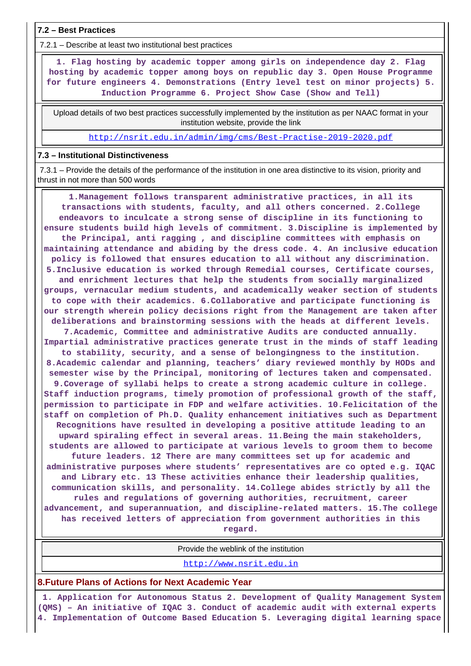**7.2 – Best Practices**

7.2.1 – Describe at least two institutional best practices

 **1. Flag hosting by academic topper among girls on independence day 2. Flag hosting by academic topper among boys on republic day 3. Open House Programme for future engineers 4. Demonstrations (Entry level test on minor projects) 5. Induction Programme 6. Project Show Case (Show and Tell)**

 Upload details of two best practices successfully implemented by the institution as per NAAC format in your institution website, provide the link

<http://nsrit.edu.in/admin/img/cms/Best-Practise-2019-2020.pdf>

#### **7.3 – Institutional Distinctiveness**

 7.3.1 – Provide the details of the performance of the institution in one area distinctive to its vision, priority and thrust in not more than 500 words

 **1.Management follows transparent administrative practices, in all its transactions with students, faculty, and all others concerned. 2.College endeavors to inculcate a strong sense of discipline in its functioning to ensure students build high levels of commitment. 3.Discipline is implemented by the Principal, anti ragging , and discipline committees with emphasis on maintaining attendance and abiding by the dress code. 4. An inclusive education policy is followed that ensures education to all without any discrimination. 5.Inclusive education is worked through Remedial courses, Certificate courses, and enrichment lectures that help the students from socially marginalized groups, vernacular medium students, and academically weaker section of students to cope with their academics. 6.Collaborative and participate functioning is our strength wherein policy decisions right from the Management are taken after deliberations and brainstorming sessions with the heads at different levels. 7.Academic, Committee and administrative Audits are conducted annually. Impartial administrative practices generate trust in the minds of staff leading to stability, security, and a sense of belongingness to the institution. 8.Academic calendar and planning, teachers' diary reviewed monthly by HODs and semester wise by the Principal, monitoring of lectures taken and compensated. 9.Coverage of syllabi helps to create a strong academic culture in college. Staff induction programs, timely promotion of professional growth of the staff, permission to participate in FDP and welfare activities. 10.Felicitation of the staff on completion of Ph.D. Quality enhancement initiatives such as Department Recognitions have resulted in developing a positive attitude leading to an upward spiraling effect in several areas. 11.Being the main stakeholders, students are allowed to participate at various levels to groom them to become future leaders. 12 There are many committees set up for academic and administrative purposes where students' representatives are co opted e.g. IQAC and Library etc. 13 These activities enhance their leadership qualities, communication skills, and personality. 14.College abides strictly by all the rules and regulations of governing authorities, recruitment, career advancement, and superannuation, and discipline-related matters. 15.The college has received letters of appreciation from government authorities in this regard.**

Provide the weblink of the institution

<http://www.nsrit.edu.in>

#### **8.Future Plans of Actions for Next Academic Year**

 **1. Application for Autonomous Status 2. Development of Quality Management System (QMS) – An initiative of IQAC 3. Conduct of academic audit with external experts 4. Implementation of Outcome Based Education 5. Leveraging digital learning space**